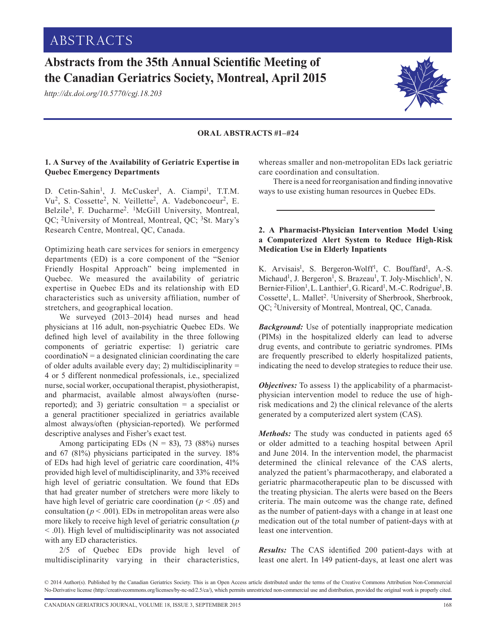# **Abstracts from the 35th Annual Scientific Meeting of the Canadian Geriatrics Society, Montreal, April 2015**

*http://dx.doi.org/10.5770/cgj.18.203*

#### **ORAL ABSTRACTS #1–#24**

# **1. A Survey of the Availability of Geriatric Expertise in Quebec Emergency Departments**

D. Cetin-Sahin<sup>1</sup>, J. McCusker<sup>1</sup>, A. Ciampi<sup>1</sup>, T.T.M. Vu<sup>2</sup>, S. Cossette<sup>2</sup>, N. Veillette<sup>2</sup>, A. Vadeboncoeur<sup>2</sup>, E. Belzile3, F. Ducharme2. 1McGill University, Montreal, QC; 2University of Montreal, Montreal, QC; 3St. Mary's Research Centre, Montreal, QC, Canada.

Optimizing heath care services for seniors in emergency departments (ED) is a core component of the "Senior Friendly Hospital Approach" being implemented in Quebec. We measured the availability of geriatric expertise in Quebec EDs and its relationship with ED characteristics such as university affiliation, number of stretchers, and geographical location.

We surveyed (2013–2014) head nurses and head physicians at 116 adult, non-psychiatric Quebec EDs. We defined high level of availability in the three following components of geriatric expertise: 1) geriatric care  $coordination = a$  designated clinician coordinating the care of older adults available every day; 2) multidisciplinarity  $=$ 4 or 5 different nonmedical professionals, i.e., specialized nurse, social worker, occupational therapist, physiotherapist, and pharmacist, available almost always/often (nursereported); and 3) geriatric consultation = a specialist or a general practitioner specialized in geriatrics available almost always/often (physician-reported). We performed descriptive analyses and Fisher's exact test.

Among participating EDs ( $N = 83$ ), 73 (88%) nurses and 67 (81%) physicians participated in the survey. 18% of EDs had high level of geriatric care coordination, 41% provided high level of multidisciplinarity, and 33% received high level of geriatric consultation. We found that EDs that had greater number of stretchers were more likely to have high level of geriatric care coordination ( $p < .05$ ) and consultation ( $p < .001$ ). EDs in metropolitan areas were also more likely to receive high level of geriatric consultation (*p* < .01). High level of multidisciplinarity was not associated with any ED characteristics.

2/5 of Quebec EDs provide high level of multidisciplinarity varying in their characteristics, whereas smaller and non-metropolitan EDs lack geriatric care coordination and consultation.

There is a need for reorganisation and finding innovative ways to use existing human resources in Quebec EDs.

## **2. A Pharmacist-Physician Intervention Model Using a Computerized Alert System to Reduce High-Risk Medication Use in Elderly Inpatients**

K. Arvisais<sup>1</sup>, S. Bergeron-Wolff<sup>1</sup>, C. Bouffard<sup>1</sup>, A.-S. Michaud<sup>1</sup>, J. Bergeron<sup>1</sup>, S. Brazeau<sup>1</sup>, T. Joly-Mischlich<sup>1</sup>, N. Bernier-Filion<sup>1</sup>, L. Lanthier<sup>1</sup>, G. Ricard<sup>1</sup>, M.-C. Rodrigue<sup>1</sup>, B. Cossette<sup>1</sup>, L. Mallet<sup>2</sup>. <sup>1</sup>University of Sherbrook, Sherbrook, QC; 2University of Montreal, Montreal, QC, Canada.

*Background:* Use of potentially inappropriate medication (PIMs) in the hospitalized elderly can lead to adverse drug events, and contribute to geriatric syndromes. PIMs are frequently prescribed to elderly hospitalized patients, indicating the need to develop strategies to reduce their use.

*Objectives:* To assess 1) the applicability of a pharmacistphysician intervention model to reduce the use of highrisk medications and 2) the clinical relevance of the alerts generated by a computerized alert system (CAS).

*Methods:* The study was conducted in patients aged 65 or older admitted to a teaching hospital between April and June 2014. In the intervention model, the pharmacist determined the clinical relevance of the CAS alerts, analyzed the patient's pharmacotherapy, and elaborated a geriatric pharmacotherapeutic plan to be discussed with the treating physician. The alerts were based on the Beers criteria. The main outcome was the change rate, defined as the number of patient-days with a change in at least one medication out of the total number of patient-days with at least one intervention.

*Results:* The CAS identified 200 patient-days with at least one alert. In 149 patient-days, at least one alert was



<sup>© 2014</sup> Author(s). Published by the Canadian Geriatrics Society. This is an Open Access article distributed under the terms of the Creative Commons Attribution Non-Commercial No-Derivative license ([http://creativecommons.org/licenses/by-nc-nd/2.5/ca/](http://creativecommons.org/licenses/by-nc-nd/2.5/ca)), which permits unrestricted non-commercial use and distribution, provided the original work is properly cited.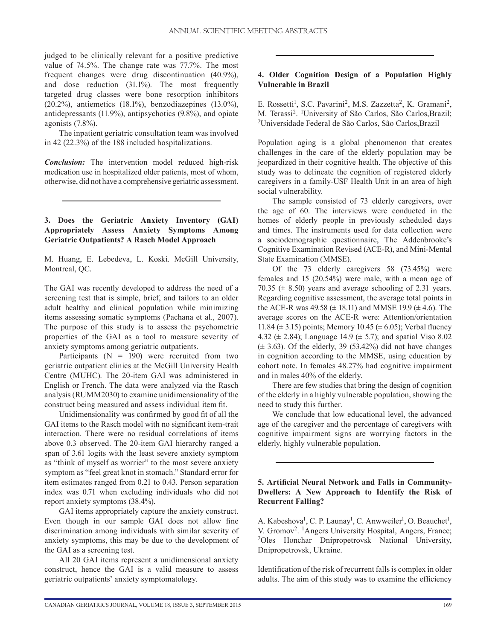judged to be clinically relevant for a positive predictive value of 74.5%. The change rate was 77.7%. The most frequent changes were drug discontinuation (40.9%), and dose reduction (31.1%). The most frequently targeted drug classes were bone resorption inhibitors (20.2%), antiemetics (18.1%), benzodiazepines (13.0%), antidepressants (11.9%), antipsychotics (9.8%), and opiate agonists (7.8%).

The inpatient geriatric consultation team was involved in 42 (22.3%) of the 188 included hospitalizations.

*Conclusion:* The intervention model reduced high-risk medication use in hospitalized older patients, most of whom, otherwise, did not have a comprehensive geriatric assessment.

## **3. Does the Geriatric Anxiety Inventory (GAI) Appropriately Assess Anxiety Symptoms Among Geriatric Outpatients? A Rasch Model Approach**

M. Huang, E. Lebedeva, L. Koski. McGill University, Montreal, QC.

The GAI was recently developed to address the need of a screening test that is simple, brief, and tailors to an older adult healthy and clinical population while minimizing items assessing somatic symptoms (Pachana et al., 2007). The purpose of this study is to assess the psychometric properties of the GAI as a tool to measure severity of anxiety symptoms among geriatric outpatients.

Participants  $(N = 190)$  were recruited from two geriatric outpatient clinics at the McGill University Health Centre (MUHC). The 20-item GAI was administered in English or French. The data were analyzed via the Rasch analysis (RUMM2030) to examine unidimensionality of the construct being measured and assess individual item fit.

Unidimensionality was confirmed by good fit of all the GAI items to the Rasch model with no significant item-trait interaction. There were no residual correlations of items above 0.3 observed. The 20-item GAI hierarchy ranged a span of 3.61 logits with the least severe anxiety symptom as "think of myself as worrier" to the most severe anxiety symptom as "feel great knot in stomach." Standard error for item estimates ranged from 0.21 to 0.43. Person separation index was 0.71 when excluding individuals who did not report anxiety symptoms (38.4%).

GAI items appropriately capture the anxiety construct. Even though in our sample GAI does not allow fine discrimination among individuals with similar severity of anxiety symptoms, this may be due to the development of the GAI as a screening test.

All 20 GAI items represent a unidimensional anxiety construct, hence the GAI is a valid measure to assess geriatric outpatients' anxiety symptomatology.

# **4. Older Cognition Design of a Population Highly Vulnerable in Brazil**

E. Rossetti<sup>1</sup>, S.C. Pavarini<sup>2</sup>, M.S. Zazzetta<sup>2</sup>, K. Gramani<sup>2</sup>, M. Terassi<sup>2</sup>. <sup>1</sup>University of São Carlos, São Carlos, Brazil; 2Universidade Federal de São Carlos, São Carlos,Brazil

Population aging is a global phenomenon that creates challenges in the care of the elderly population may be jeopardized in their cognitive health. The objective of this study was to delineate the cognition of registered elderly caregivers in a family-USF Health Unit in an area of high social vulnerability.

The sample consisted of 73 elderly caregivers, over the age of 60. The interviews were conducted in the homes of elderly people in previously scheduled days and times. The instruments used for data collection were a sociodemographic questionnaire, The Addenbrooke's Cognitive Examination Revised (ACE-R), and Mini-Mental State Examination (MMSE).

Of the 73 elderly caregivers 58 (73.45%) were females and 15 (20.54%) were male, with a mean age of 70.35 ( $\pm$  8.50) years and average schooling of 2.31 years. Regarding cognitive assessment, the average total points in the ACE-R was  $49.58 \ (\pm 18.11)$  and MMSE 19.9 ( $\pm 4.6$ ). The average scores on the ACE-R were: Attention/orientation 11.84 ( $\pm$  3.15) points; Memory 10.45 ( $\pm$  6.05); Verbal fluency 4.32 ( $\pm$  2.84); Language 14.9 ( $\pm$  5.7); and spatial Viso 8.02  $(\pm 3.63)$ . Of the elderly, 39 (53.42%) did not have changes in cognition according to the MMSE, using education by cohort note. In females 48.27% had cognitive impairment and in males 40% of the elderly.

There are few studies that bring the design of cognition of the elderly in a highly vulnerable population, showing the need to study this further.

We conclude that low educational level, the advanced age of the caregiver and the percentage of caregivers with cognitive impairment signs are worrying factors in the elderly, highly vulnerable population.

# **5. Artificial Neural Network and Falls in Community-Dwellers: A New Approach to Identify the Risk of Recurrent Falling?**

A. Kabeshova<sup>1</sup>, C. P. Launay<sup>1</sup>, C. Anwweiler<sup>1</sup>, O. Beauchet<sup>1</sup>, V. Gromov2. 1Angers University Hospital, Angers, France; 2Oles Honchar Dnipropetrovsk National University, Dnipropetrovsk, Ukraine.

Identification of the risk of recurrent falls is complex in older adults. The aim of this study was to examine the efficiency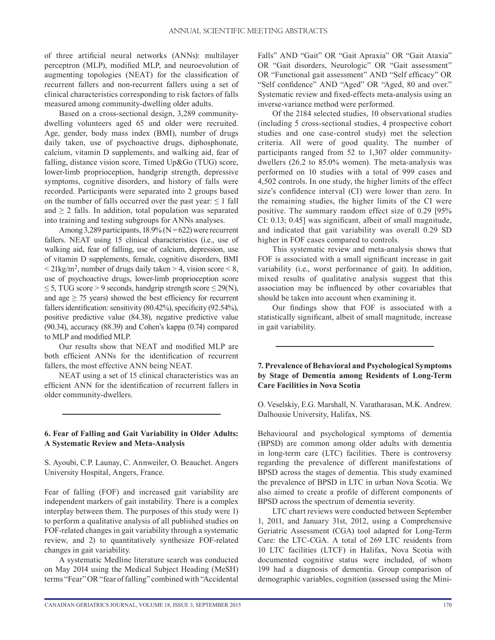of three artificial neural networks (ANNs): multilayer perceptron (MLP), modified MLP, and neuroevolution of augmenting topologies (NEAT) for the classification of recurrent fallers and non-recurrent fallers using a set of clinical characteristics corresponding to risk factors of falls measured among community-dwelling older adults.

Based on a cross-sectional design, 3,289 communitydwelling volunteers aged 65 and older were recruited. Age, gender, body mass index (BMI), number of drugs daily taken, use of psychoactive drugs, diphosphonate, calcium, vitamin D supplements, and walking aid, fear of falling, distance vision score, Timed Up&Go (TUG) score, lower-limb proprioception, handgrip strength, depressive symptoms, cognitive disorders, and history of falls were recorded. Participants were separated into 2 groups based on the number of falls occurred over the past year:  $\leq 1$  fall and  $\geq 2$  falls. In addition, total population was separated into training and testing subgroups for ANNs analyses.

Among 3,289 participants,  $18.9\%$  (N = 622) were recurrent fallers. NEAT using 15 clinical characteristics (i.e., use of walking aid, fear of falling, use of calcium, depression, use of vitamin D supplements, female, cognitive disorders, BMI  $\langle 21 \text{kg/m}^2$ , number of drugs daily taken  $> 4$ , vision score  $\langle 8 \rangle$ , use of psychoactive drugs, lower-limb proprioception score  $\leq$  5, TUG score > 9 seconds, handgrip strength score  $\leq$  29(N), and age  $\geq$  75 years) showed the best efficiency for recurrent fallers identification: sensitivity (80.42%), specificity (92.54%), positive predictive value (84.38), negative predictive value (90.34), accuracy (88.39) and Cohen's kappa (0.74) compared to MLP and modified MLP.

Our results show that NEAT and modified MLP are both efficient ANNs for the identification of recurrent fallers, the most effective ANN being NEAT.

NEAT using a set of 15 clinical characteristics was an efficient ANN for the identification of recurrent fallers in older community-dwellers.

# **6. Fear of Falling and Gait Variability in Older Adults: A Systematic Review and Meta-Analysis**

S. Ayoubi, C.P. Launay, C. Annweiler, O. Beauchet. Angers University Hospital, Angers, France.

Fear of falling (FOF) and increased gait variability are independent markers of gait instability. There is a complex interplay between them. The purposes of this study were 1) to perform a qualitative analysis of all published studies on FOF-related changes in gait variability through a systematic review, and 2) to quantitatively synthesize FOF-related changes in gait variability.

A systematic Medline literature search was conducted on May 2014 using the Medical Subject Heading (MeSH) terms "Fear" OR "fear of falling" combined with "Accidental Falls" AND "Gait" OR "Gait Apraxia" OR "Gait Ataxia" OR "Gait disorders, Neurologic" OR "Gait assessment" OR "Functional gait assessment" AND "Self efficacy" OR "Self confidence" AND "Aged" OR "Aged, 80 and over." Systematic review and fixed-effects meta-analysis using an inverse-variance method were performed.

Of the 2184 selected studies, 10 observational studies (including 5 cross-sectional studies, 4 prospective cohort studies and one case-control study) met the selection criteria. All were of good quality. The number of participants ranged from 52 to 1,307 older communitydwellers (26.2 to 85.0% women). The meta-analysis was performed on 10 studies with a total of 999 cases and 4,502 controls. In one study, the higher limits of the effect size's confidence interval (CI) were lower than zero. In the remaining studies, the higher limits of the CI were positive. The summary random effect size of 0.29 [95% CI: 0.13; 0.45] was significant, albeit of small magnitude, and indicated that gait variability was overall 0.29 SD higher in FOF cases compared to controls.

This systematic review and meta-analysis shows that FOF is associated with a small significant increase in gait variability (i.e., worst performance of gait). In addition, mixed results of qualitative analysis suggest that this association may be influenced by other covariables that should be taken into account when examining it.

Our findings show that FOF is associated with a statistically significant, albeit of small magnitude, increase in gait variability.

# **7. Prevalence of Behavioral and Psychological Symptoms by Stage of Dementia among Residents of Long-Term Care Facilities in Nova Scotia**

O. Veselskiy, E.G. Marshall, N. Varatharasan, M.K. Andrew. Dalhousie University, Halifax, NS.

Behavioural and psychological symptoms of dementia (BPSD) are common among older adults with dementia in long-term care (LTC) facilities. There is controversy regarding the prevalence of different manifestations of BPSD across the stages of dementia. This study examined the prevalence of BPSD in LTC in urban Nova Scotia. We also aimed to create a profile of different components of BPSD across the spectrum of dementia severity.

LTC chart reviews were conducted between September 1, 2011, and January 31st, 2012, using a Comprehensive Geriatric Assessment (CGA) tool adapted for Long-Term Care: the LTC-CGA. A total of 269 LTC residents from 10 LTC facilities (LTCF) in Halifax, Nova Scotia with documented cognitive status were included, of whom 199 had a diagnosis of dementia. Group comparison of demographic variables, cognition (assessed using the Mini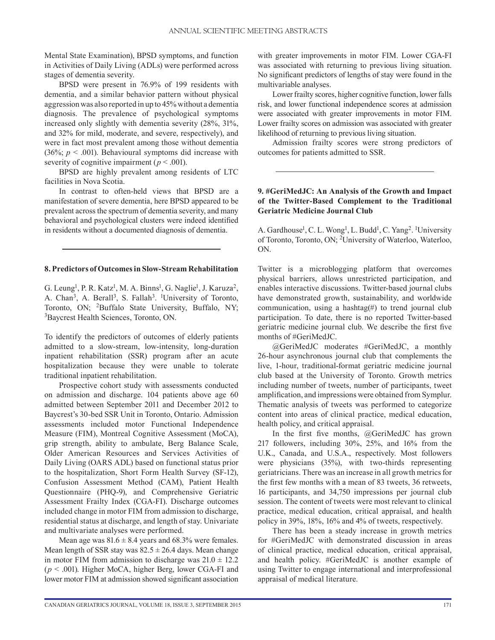Mental State Examination), BPSD symptoms, and function in Activities of Daily Living (ADLs) were performed across stages of dementia severity.

BPSD were present in 76.9% of 199 residents with dementia, and a similar behavior pattern without physical aggression was also reported in up to 45% without a dementia diagnosis. The prevalence of psychological symptoms increased only slightly with dementia severity (28%, 31%, and 32% for mild, moderate, and severe, respectively), and were in fact most prevalent among those without dementia (36%;  $p < .001$ ). Behavioural symptoms did increase with severity of cognitive impairment ( $p < .001$ ).

BPSD are highly prevalent among residents of LTC facilities in Nova Scotia.

In contrast to often-held views that BPSD are a manifestation of severe dementia, here BPSD appeared to be prevalent across the spectrum of dementia severity, and many behavioral and psychological clusters were indeed identified in residents without a documented diagnosis of dementia.

#### **8. Predictors of Outcomes in Slow-Stream Rehabilitation**

G. Leung<sup>1</sup>, P. R. Katz<sup>1</sup>, M. A. Binns<sup>1</sup>, G. Naglie<sup>1</sup>, J. Karuza<sup>2</sup>, A. Chan<sup>3</sup>, A. Berall<sup>3</sup>, S. Fallah<sup>3</sup>. <sup>1</sup>University of Toronto, Toronto, ON; 2Buffalo State University, Buffalo, NY; 3Baycrest Health Sciences, Toronto, ON.

To identify the predictors of outcomes of elderly patients admitted to a slow-stream, low-intensity, long-duration inpatient rehabilitation (SSR) program after an acute hospitalization because they were unable to tolerate traditional inpatient rehabilitation.

Prospective cohort study with assessments conducted on admission and discharge. 104 patients above age 60 admitted between September 2011 and December 2012 to Baycrest's 30-bed SSR Unit in Toronto, Ontario. Admission assessments included motor Functional Independence Measure (FIM), Montreal Cognitive Assessment (MoCA), grip strength, ability to ambulate, Berg Balance Scale, Older American Resources and Services Activities of Daily Living (OARS ADL) based on functional status prior to the hospitalization, Short Form Health Survey (SF-12), Confusion Assessment Method (CAM), Patient Health Questionnaire (PHQ-9), and Comprehensive Geriatric Assessment Frailty Index (CGA-FI). Discharge outcomes included change in motor FIM from admission to discharge, residential status at discharge, and length of stay. Univariate and multivariate analyses were performed.

Mean age was  $81.6 \pm 8.4$  years and 68.3% were females. Mean length of SSR stay was  $82.5 \pm 26.4$  days. Mean change in motor FIM from admission to discharge was  $21.0 \pm 12.2$ (*p* < .001). Higher MoCA, higher Berg, lower CGA-FI and lower motor FIM at admission showed significant association with greater improvements in motor FIM. Lower CGA-FI was associated with returning to previous living situation. No significant predictors of lengths of stay were found in the multivariable analyses.

Lower frailty scores, higher cognitive function, lower falls risk, and lower functional independence scores at admission were associated with greater improvements in motor FIM. Lower frailty scores on admission was associated with greater likelihood of returning to previous living situation.

Admission frailty scores were strong predictors of outcomes for patients admitted to SSR.

#### **9. #GeriMedJC: An Analysis of the Growth and Impact of the Twitter-Based Complement to the Traditional Geriatric Medicine Journal Club**

A. Gardhouse<sup>1</sup>, C. L. Wong<sup>1</sup>, L. Budd<sup>1</sup>, C. Yang<sup>2</sup>. <sup>1</sup>University of Toronto, Toronto, ON; 2University of Waterloo, Waterloo, ON.

Twitter is a microblogging platform that overcomes physical barriers, allows unrestricted participation, and enables interactive discussions. Twitter-based journal clubs have demonstrated growth, sustainability, and worldwide communication, using a hashtag( $#$ ) to trend journal club participation. To date, there is no reported Twitter-based geriatric medicine journal club. We describe the first five months of #GeriMedJC.

@GeriMedJC moderates #GeriMedJC, a monthly 26-hour asynchronous journal club that complements the live, 1-hour, traditional-format geriatric medicine journal club based at the University of Toronto. Growth metrics including number of tweets, number of participants, tweet amplification, and impressions were obtained from Symplur. Thematic analysis of tweets was performed to categorize content into areas of clinical practice, medical education, health policy, and critical appraisal.

In the first five months, @GeriMedJC has grown 217 followers, including 30%, 25%, and 16% from the U.K., Canada, and U.S.A., respectively. Most followers were physicians (35%), with two-thirds representing geriatricians. There was an increase in all growth metrics for the first few months with a mean of 83 tweets, 36 retweets, 16 participants, and 34,750 impressions per journal club session. The content of tweets were most relevant to clinical practice, medical education, critical appraisal, and health policy in 39%, 18%, 16% and 4% of tweets, respectively.

There has been a steady increase in growth metrics for #GeriMedJC with demonstrated discussion in areas of clinical practice, medical education, critical appraisal, and health policy. #GeriMedJC is another example of using Twitter to engage international and interprofessional appraisal of medical literature.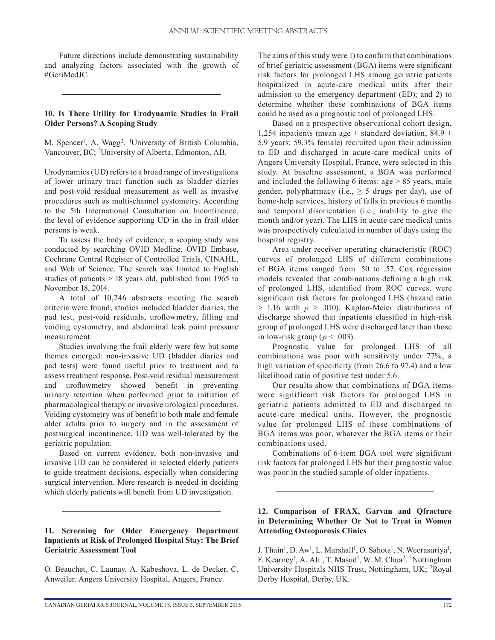Future directions include demonstrating sustainability and analyzing factors associated with the growth of #GeriMedJC.

# **10. Is There Utility for Urodynamic Studies in Frail Older Persons? A Scoping Study**

M. Spencer<sup>1</sup>, A. Wagg<sup>2</sup>. <sup>1</sup>University of British Columbia, Vancouver, BC; 2University of Alberta, Edmonton, AB.

Urodynamics (UD) refers to a broad range of investigations of lower urinary tract function such as bladder diaries and post-void residual measurement as well as invasive procedures such as multi-channel cystometry. According to the 5th International Consultation on Incontinence, the level of evidence supporting UD in the in frail older persons is weak.

To assess the body of evidence, a scoping study was conducted by searching OVID Medline, OVID Embase, Cochrane Central Register of Controlled Trials, CINAHL, and Web of Science. The search was limited to English studies of patients > 18 years old, published from 1965 to November 18, 2014.

A total of 10,246 abstracts meeting the search criteria were found; studies included bladder diaries, the pad test, post-void residuals, uroflowmetry, filling and voiding cystometry, and abdominal leak point pressure measurement.

Studies involving the frail elderly were few but some themes emerged: non-invasive UD (bladder diaries and pad tests) were found useful prior to treatment and to assess treatment response. Post-void residual measurement and uroflowmetry showed benefit in preventing urinary retention when performed prior to initiation of pharmacological therapy or invasive urological procedures. Voiding cystometry was of benefit to both male and female older adults prior to surgery and in the assessment of postsurgical incontinence. UD was well-tolerated by the geriatric population.

Based on current evidence, both non-invasive and invasive UD can be considered in selected elderly patients to guide treatment decisions, especially when considering surgical intervention. More research is needed in deciding which elderly patients will benefit from UD investigation.

#### **11. Screening for Older Emergency Department Inpatients at Risk of Prolonged Hospital Stay: The Brief Geriatric Assessment Tool**

O. Beauchet, C. Launay, A. Kabeshova, L. de Decker, C. Anweiler. Angers University Hospital, Angers, France.

The aims of this study were 1) to confirm that combinations of brief geriatric assessment (BGA) items were significant risk factors for prolonged LHS among geriatric patients hospitalized in acute-care medical units after their admission to the emergency department (ED); and 2) to determine whether these combinations of BGA items could be used as a prognostic tool of prolonged LHS.

Based on a prospective observational cohort design, 1,254 inpatients (mean age  $\pm$  standard deviation, 84.9  $\pm$ 5.9 years; 59.3% female) recruited upon their admission to ED and discharged in acute-care medical units of Angers University Hospital, France, were selected in this study. At baseline assessment, a BGA was performed and included the following 6 items:  $age > 85$  years, male gender, polypharmacy (i.e.,  $\geq$  5 drugs per day), use of home-help services, history of falls in previous 6 months and temporal disorientation (i.e., inability to give the month and/or year). The LHS in acute care medical units was prospectively calculated in number of days using the hospital registry.

Area under receiver operating characteristic (ROC) curves of prolonged LHS of different combinations of BGA items ranged from .50 to .57. Cox regression models revealed that combinations defining a high risk of prolonged LHS, identified from ROC curves, were significant risk factors for prolonged LHS (hazard ratio > 1.16 with *p* > .010). Kaplan-Meier distributions of discharge showed that inpatients classified in high-risk group of prolonged LHS were discharged later than those in low-risk group ( $p < .003$ ).

Prognostic value for prolonged LHS of all combinations was poor with sensitivity under 77%, a high variation of specificity (from 26.6 to 97.4) and a low likelihood ratio of positive test under 5.6.

Our results show that combinations of BGA items were significant risk factors for prolonged LHS in geriatric patients admitted to ED and discharged to acute-care medical units. However, the prognostic value for prolonged LHS of these combinations of BGA items was poor, whatever the BGA items or their combinations used.

Combinations of 6-item BGA tool were significant risk factors for prolonged LHS but their prognostic value was poor in the studied sample of older inpatients.

# **12. Comparison of FRAX, Garvan and Qfracture in Determining Whether Or Not to Treat in Women Attending Osteoporosis Clinics**

J. Thain<sup>1</sup>, D. Aw<sup>1</sup>, L. Marshall<sup>1</sup>, O. Sahota<sup>1</sup>, N. Weerasuriya<sup>1</sup>, F. Kearney<sup>1</sup>, A. Ali<sup>1</sup>, T. Masud<sup>1</sup>, W. M. Chua<sup>2</sup>. <sup>1</sup>Nottingham University Hospitals NHS Trust, Nottingham, UK; 2Royal Derby Hospital, Derby, UK.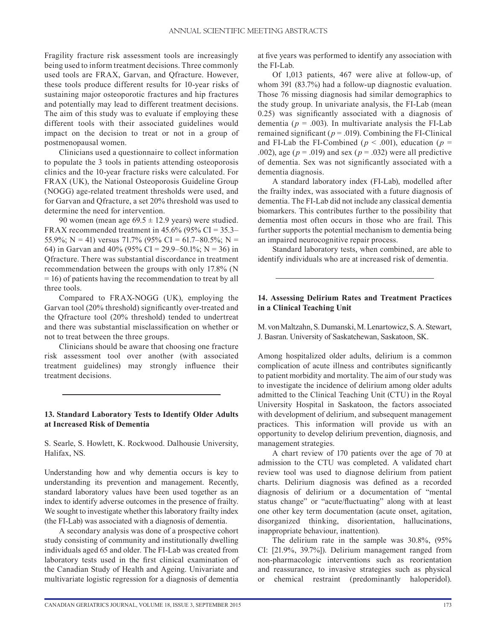Fragility fracture risk assessment tools are increasingly being used to inform treatment decisions. Three commonly used tools are FRAX, Garvan, and Qfracture. However, these tools produce different results for 10-year risks of sustaining major osteoporotic fractures and hip fractures and potentially may lead to different treatment decisions. The aim of this study was to evaluate if employing these different tools with their associated guidelines would impact on the decision to treat or not in a group of postmenopausal women.

Clinicians used a questionnaire to collect information to populate the 3 tools in patients attending osteoporosis clinics and the 10-year fracture risks were calculated. For FRAX (UK), the National Osteoporosis Guideline Group (NOGG) age-related treatment thresholds were used, and for Garvan and Qfracture, a set 20% threshold was used to determine the need for intervention.

90 women (mean age  $69.5 \pm 12.9$  years) were studied. FRAX recommended treatment in  $45.6\%$  (95% CI = 35.3– 55.9%; N = 41) versus 71.7% (95% CI = 61.7–80.5%; N = 64) in Garvan and 40% (95% CI = 29.9–50.1%; N = 36) in Qfracture. There was substantial discordance in treatment recommendation between the groups with only 17.8% (N = 16) of patients having the recommendation to treat by all three tools.

Compared to FRAX-NOGG (UK), employing the Garvan tool (20% threshold) significantly over-treated and the Qfracture tool (20% threshold) tended to undertreat and there was substantial misclassification on whether or not to treat between the three groups.

Clinicians should be aware that choosing one fracture risk assessment tool over another (with associated treatment guidelines) may strongly influence their treatment decisions.

#### **13. Standard Laboratory Tests to Identify Older Adults at Increased Risk of Dementia**

S. Searle, S. Howlett, K. Rockwood. Dalhousie University, Halifax, NS.

Understanding how and why dementia occurs is key to understanding its prevention and management. Recently, standard laboratory values have been used together as an index to identify adverse outcomes in the presence of frailty. We sought to investigate whether this laboratory frailty index (the FI-Lab) was associated with a diagnosis of dementia.

A secondary analysis was done of a prospective cohort study consisting of community and institutionally dwelling individuals aged 65 and older. The FI-Lab was created from laboratory tests used in the first clinical examination of the Canadian Study of Health and Ageing. Univariate and multivariate logistic regression for a diagnosis of dementia

at five years was performed to identify any association with the FI-Lab.

Of 1,013 patients, 467 were alive at follow-up, of whom 391 (83.7%) had a follow-up diagnostic evaluation. Those 76 missing diagnosis had similar demographics to the study group. In univariate analysis, the FI-Lab (mean 0.25) was significantly associated with a diagnosis of dementia ( $p = .003$ ). In multivariate analysis the FI-Lab remained significant ( $p = .019$ ). Combining the FI-Clinical and FI-Lab the FI-Combined ( $p < .001$ ), education ( $p =$ .002), age ( $p = .019$ ) and sex ( $p = .032$ ) were all predictive of dementia. Sex was not significantly associated with a dementia diagnosis.

A standard laboratory index (FI-Lab), modelled after the frailty index, was associated with a future diagnosis of dementia. The FI-Lab did not include any classical dementia biomarkers. This contributes further to the possibility that dementia most often occurs in those who are frail. This further supports the potential mechanism to dementia being an impaired neurocognitive repair process.

Standard laboratory tests, when combined, are able to identify individuals who are at increased risk of dementia.

#### **14. Assessing Delirium Rates and Treatment Practices in a Clinical Teaching Unit**

M. von Maltzahn, S. Dumanski, M. Lenartowicz, S. A. Stewart, J. Basran. University of Saskatchewan, Saskatoon, SK.

Among hospitalized older adults, delirium is a common complication of acute illness and contributes significantly to patient morbidity and mortality. The aim of our study was to investigate the incidence of delirium among older adults admitted to the Clinical Teaching Unit (CTU) in the Royal University Hospital in Saskatoon, the factors associated with development of delirium, and subsequent management practices. This information will provide us with an opportunity to develop delirium prevention, diagnosis, and management strategies.

A chart review of 170 patients over the age of 70 at admission to the CTU was completed. A validated chart review tool was used to diagnose delirium from patient charts. Delirium diagnosis was defined as a recorded diagnosis of delirium or a documentation of "mental status change" or "acute/fluctuating" along with at least one other key term documentation (acute onset, agitation, disorganized thinking, disorientation, hallucinations, inappropriate behaviour, inattention).

The delirium rate in the sample was 30.8%, (95% CI: [21.9%, 39.7%]). Delirium management ranged from non-pharmacologic interventions such as reorientation and reassurance, to invasive strategies such as physical or chemical restraint (predominantly haloperidol).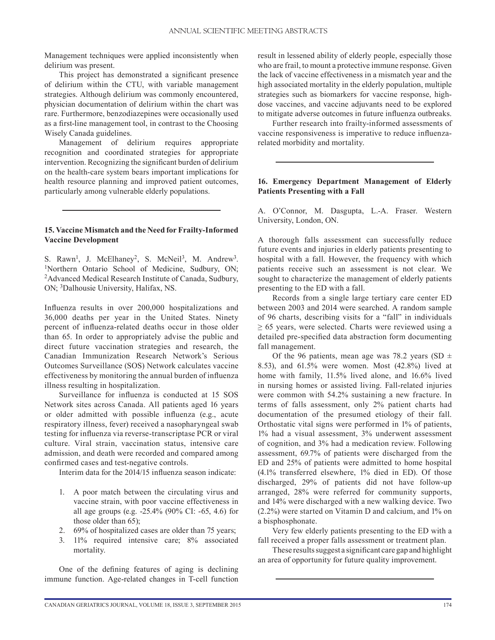Management techniques were applied inconsistently when delirium was present.

This project has demonstrated a significant presence of delirium within the CTU, with variable management strategies. Although delirium was commonly encountered, physician documentation of delirium within the chart was rare. Furthermore, benzodiazepines were occasionally used as a first-line management tool, in contrast to the Choosing Wisely Canada guidelines.

Management of delirium requires appropriate recognition and coordinated strategies for appropriate intervention. Recognizing the significant burden of delirium on the health-care system bears important implications for health resource planning and improved patient outcomes, particularly among vulnerable elderly populations.

#### **15. Vaccine Mismatch and the Need for Frailty-Informed Vaccine Development**

S. Rawn<sup>1</sup>, J. McElhaney<sup>2</sup>, S. McNeil<sup>3</sup>, M. Andrew<sup>3</sup>. <sup>1</sup>Northern Ontario School of Medicine, Sudbury, ON; 2Advanced Medical Research Institute of Canada, Sudbury, ON; 3Dalhousie University, Halifax, NS.

Influenza results in over 200,000 hospitalizations and 36,000 deaths per year in the United States. Ninety percent of influenza-related deaths occur in those older than 65. In order to appropriately advise the public and direct future vaccination strategies and research, the Canadian Immunization Research Network's Serious Outcomes Surveillance (SOS) Network calculates vaccine effectiveness by monitoring the annual burden of influenza illness resulting in hospitalization.

Surveillance for influenza is conducted at 15 SOS Network sites across Canada. All patients aged 16 years or older admitted with possible influenza (e.g., acute respiratory illness, fever) received a nasopharyngeal swab testing for influenza via reverse-transcriptase PCR or viral culture. Viral strain, vaccination status, intensive care admission, and death were recorded and compared among confirmed cases and test-negative controls.

Interim data for the 2014/15 influenza season indicate:

- 1. A poor match between the circulating virus and vaccine strain, with poor vaccine effectiveness in all age groups (e.g. -25.4% (90% CI: -65, 4.6) for those older than 65);
- 2. 69% of hospitalized cases are older than 75 years;
- 3. 11% required intensive care; 8% associated mortality.

One of the defining features of aging is declining immune function. Age-related changes in T-cell function result in lessened ability of elderly people, especially those who are frail, to mount a protective immune response. Given the lack of vaccine effectiveness in a mismatch year and the high associated mortality in the elderly population, multiple strategies such as biomarkers for vaccine response, highdose vaccines, and vaccine adjuvants need to be explored to mitigate adverse outcomes in future influenza outbreaks.

Further research into frailty-informed assessments of vaccine responsiveness is imperative to reduce influenzarelated morbidity and mortality.

#### **16. Emergency Department Management of Elderly Patients Presenting with a Fall**

A. O'Connor, M. Dasgupta, L.-A. Fraser. Western University, London, ON.

A thorough falls assessment can successfully reduce future events and injuries in elderly patients presenting to hospital with a fall. However, the frequency with which patients receive such an assessment is not clear. We sought to characterize the management of elderly patients presenting to the ED with a fall.

Records from a single large tertiary care center ED between 2003 and 2014 were searched. A random sample of 96 charts, describing visits for a "fall" in individuals  $\geq$  65 years, were selected. Charts were reviewed using a detailed pre-specified data abstraction form documenting fall management.

Of the 96 patients, mean age was 78.2 years (SD  $\pm$ 8.53), and 61.5% were women. Most (42.8%) lived at home with family, 11.5% lived alone, and 16.6% lived in nursing homes or assisted living. Fall-related injuries were common with 54.2% sustaining a new fracture. In terms of falls assessment, only 2% patient charts had documentation of the presumed etiology of their fall. Orthostatic vital signs were performed in 1% of patients, 1% had a visual assessment, 3% underwent assessment of cognition, and 3% had a medication review. Following assessment, 69.7% of patients were discharged from the ED and 25% of patients were admitted to home hospital (4.1% transferred elsewhere, 1% died in ED). Of those discharged, 29% of patients did not have follow-up arranged, 28% were referred for community supports, and 14% were discharged with a new walking device. Two (2.2%) were started on Vitamin D and calcium, and 1% on a bisphosphonate.

Very few elderly patients presenting to the ED with a fall received a proper falls assessment or treatment plan.

These results suggest a significant care gap and highlight an area of opportunity for future quality improvement.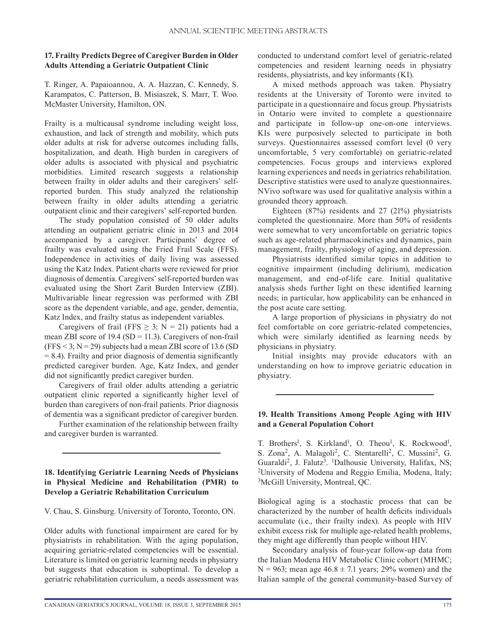# **17. Frailty Predicts Degree of Caregiver Burden in Older Adults Attending a Geriatric Outpatient Clinic**

T. Ringer, A. Papaioannou, A. A. Hazzan, C. Kennedy, S. Karampatos, C. Patterson, B. Misiaszek, S. Marr, T. Woo. McMaster University, Hamilton, ON.

Frailty is a multicausal syndrome including weight loss, exhaustion, and lack of strength and mobility, which puts older adults at risk for adverse outcomes including falls, hospitalization, and death. High burden in caregivers of older adults is associated with physical and psychiatric morbidities. Limited research suggests a relationship between frailty in older adults and their caregivers' selfreported burden. This study analyzed the relationship between frailty in older adults attending a geriatric outpatient clinic and their caregivers' self-reported burden.

The study population consisted of 50 older adults attending an outpatient geriatric clinic in 2013 and 2014 accompanied by a caregiver. Participants' degree of frailty was evaluated using the Fried Frail Scale (FFS). Independence in activities of daily living was assessed using the Katz Index. Patient charts were reviewed for prior diagnosis of dementia. Caregivers' self-reported burden was evaluated using the Short Zarit Burden Interview (ZBI). Multivariable linear regression was performed with ZBI score as the dependent variable, and age, gender, dementia, Katz Index, and frailty status as independent variables.

Caregivers of frail (FFS  $\geq$  3; N = 21) patients had a mean ZBI score of  $19.4$  (SD = 11.3). Caregivers of non-frail  $(FFS < 3; N = 29)$  subjects had a mean ZBI score of 13.6 (SD)  $= 8.4$ ). Frailty and prior diagnosis of dementia significantly predicted caregiver burden. Age, Katz Index, and gender did not significantly predict caregiver burden.

Caregivers of frail older adults attending a geriatric outpatient clinic reported a significantly higher level of burden than caregivers of non-frail patients. Prior diagnosis of dementia was a significant predictor of caregiver burden.

Further examination of the relationship between frailty and caregiver burden is warranted.

# **18. Identifying Geriatric Learning Needs of Physicians in Physical Medicine and Rehabilitation (PMR) to Develop a Geriatric Rehabilitation Curriculum**

V. Chau, S. Ginsburg. University of Toronto, Toronto, ON.

Older adults with functional impairment are cared for by physiatrists in rehabilitation. With the aging population, acquiring geriatric-related competencies will be essential. Literature is limited on geriatric learning needs in physiatry but suggests that education is suboptimal. To develop a geriatric rehabilitation curriculum, a needs assessment was conducted to understand comfort level of geriatric-related competencies and resident learning needs in physiatry residents, physiatrists, and key informants (KI).

A mixed methods approach was taken. Physiatry residents at the University of Toronto were invited to participate in a questionnaire and focus group. Physiatrists in Ontario were invited to complete a questionnaire and participate in follow-up one-on-one interviews. KIs were purposively selected to participate in both surveys. Questionnaires assessed comfort level (0 very uncomfortable, 5 very comfortable) on geriatric-related competencies. Focus groups and interviews explored learning experiences and needs in geriatrics rehabilitation. Descriptive statistics were used to analyze questionnaires. NVivo software was used for qualitative analysis within a grounded theory approach.

Eighteen (87%) residents and 27 (21%) physiatrists completed the questionnaire. More than 50% of residents were somewhat to very uncomfortable on geriatric topics such as age-related pharmacokinetics and dynamics, pain management, frailty, physiology of aging, and depression.

Physiatrists identified similar topics in addition to cognitive impairment (including delirium), medication management, and end-of-life care. Initial qualitative analysis sheds further light on these identified learning needs; in particular, how applicability can be enhanced in the post acute care setting.

A large proportion of physicians in physiatry do not feel comfortable on core geriatric-related competencies, which were similarly identified as learning needs by physicians in physiatry.

Initial insights may provide educators with an understanding on how to improve geriatric education in physiatry.

#### **19. Health Transitions Among People Aging with HIV and a General Population Cohort**

T. Brothers<sup>1</sup>, S. Kirkland<sup>1</sup>, O. Theou<sup>1</sup>, K. Rockwood<sup>1</sup>, S. Zona<sup>2</sup>, A. Malagoli<sup>2</sup>, C. Stentarelli<sup>2</sup>, C. Mussini<sup>2</sup>, G. Guaraldi<sup>2</sup>, J. Falutz<sup>3</sup>. <sup>1</sup>Dalhousie University, Halifax, NS; 2University of Modena and Reggio Emilia, Modena, Italy; 3McGill University, Montreal, QC.

Biological aging is a stochastic process that can be characterized by the number of health deficits individuals accumulate (i.e., their frailty index). As people with HIV exhibit excess risk for multiple age-related health problems, they might age differently than people without HIV.

Secondary analysis of four-year follow-up data from the Italian Modena HIV Metabolic Clinic cohort (MHMC;  $N = 963$ ; mean age  $46.8 \pm 7.1$  years; 29% women) and the Italian sample of the general community-based Survey of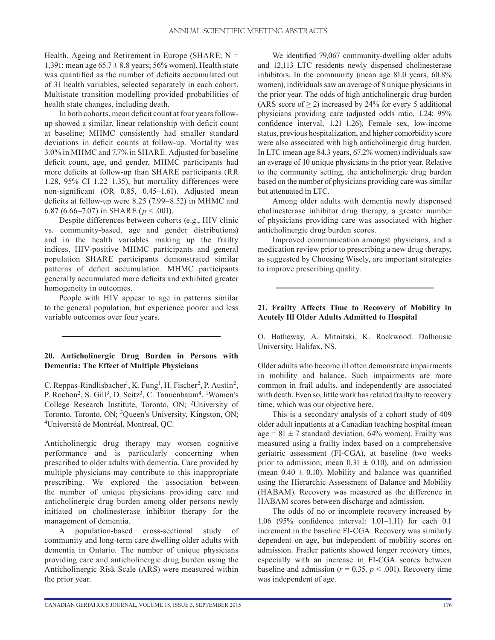Health, Ageing and Retirement in Europe (SHARE;  $N =$ 1,391; mean age  $65.7 \pm 8.8$  years; 56% women). Health state was quantified as the number of deficits accumulated out of 31 health variables, selected separately in each cohort. Multistate transition modelling provided probabilities of health state changes, including death.

In both cohorts, mean deficit count at four years followup showed a similar, linear relationship with deficit count at baseline; MHMC consistently had smaller standard deviations in deficit counts at follow-up. Mortality was 3.0% in MHMC and 7.7% in SHARE. Adjusted for baseline deficit count, age, and gender, MHMC participants had more deficits at follow-up than SHARE participants (RR 1.28, 95% CI 1.22–1.35), but mortality differences were non-significant (OR 0.85, 0.45–1.61). Adjusted mean deficits at follow-up were 8.25 (7.99–8.52) in MHMC and 6.87 (6.66–7.07) in SHARE (*p* < .001).

Despite differences between cohorts (e.g., HIV clinic vs. community-based, age and gender distributions) and in the health variables making up the frailty indices, HIV-positive MHMC participants and general population SHARE participants demonstrated similar patterns of deficit accumulation. MHMC participants generally accumulated more deficits and exhibited greater homogeneity in outcomes.

People with HIV appear to age in patterns similar to the general population, but experience poorer and less variable outcomes over four years.

# **20. Anticholinergic Drug Burden in Persons with Dementia: The Effect of Multiple Physicians**

C. Reppas-Rindlisbacher<sup>1</sup>, K. Fung<sup>1</sup>, H. Fischer<sup>2</sup>, P. Austin<sup>2</sup>, P. Rochon<sup>2</sup>, S. Gill<sup>3</sup>, D. Seitz<sup>3</sup>, C. Tannenbaum<sup>4</sup>. <sup>1</sup>Women's College Research Institute, Toronto, ON; 2University of Toronto, Toronto, ON; 3Queen's University, Kingston, ON; 4Université de Montréal, Montreal, QC.

Anticholinergic drug therapy may worsen cognitive performance and is particularly concerning when prescribed to older adults with dementia. Care provided by multiple physicians may contribute to this inappropriate prescribing. We explored the association between the number of unique physicians providing care and anticholinergic drug burden among older persons newly initiated on cholinesterase inhibitor therapy for the management of dementia.

A population-based cross-sectional study of community and long-term care dwelling older adults with dementia in Ontario. The number of unique physicians providing care and anticholinergic drug burden using the Anticholinergic Risk Scale (ARS) were measured within the prior year.

We identified 79,067 community-dwelling older adults and 12,113 LTC residents newly dispensed cholinesterase inhibitors. In the community (mean age 81.0 years, 60.8% women), individuals saw an average of 8 unique physicians in the prior year. The odds of high anticholinergic drug burden (ARS score of  $\geq$  2) increased by 24% for every 5 additional physicians providing care (adjusted odds ratio, 1.24; 95% confidence interval, 1.21–1.26). Female sex, low-income status, previous hospitalization, and higher comorbidity score were also associated with high anticholinergic drug burden. In LTC (mean age 84.3 years, 67.2% women) individuals saw an average of 10 unique physicians in the prior year. Relative to the community setting, the anticholinergic drug burden based on the number of physicians providing care was similar but attenuated in LTC.

Among older adults with dementia newly dispensed cholinesterase inhibitor drug therapy, a greater number of physicians providing care was associated with higher anticholinergic drug burden scores.

Improved communication amongst physicians, and a medication review prior to prescribing a new drug therapy, as suggested by Choosing Wisely, are important strategies to improve prescribing quality.

#### **21. Frailty Affects Time to Recovery of Mobility in Acutely Ill Older Adults Admitted to Hospital**

O. Hatheway, A. Mitnitski, K. Rockwood. Dalhousie University, Halifax, NS.

Older adults who become ill often demonstrate impairments in mobility and balance. Such impairments are more common in frail adults, and independently are associated with death. Even so, little work has related frailty to recovery time, which was our objective here.

This is a secondary analysis of a cohort study of 409 older adult inpatients at a Canadian teaching hospital (mean age =  $81 \pm 7$  standard deviation, 64% women). Frailty was measured using a frailty index based on a comprehensive geriatric assessment (FI-CGA), at baseline (two weeks prior to admission; mean  $0.31 \pm 0.10$ ), and on admission (mean  $0.40 \pm 0.10$ ). Mobility and balance was quantified using the Hierarchic Assessment of Balance and Mobility (HABAM). Recovery was measured as the difference in HABAM scores between discharge and admission.

The odds of no or incomplete recovery increased by 1.06 (95% confidence interval: 1.01–1.11) for each 0.1 increment in the baseline FI-CGA. Recovery was similarly dependent on age, but independent of mobility scores on admission. Frailer patients showed longer recovery times, especially with an increase in FI-CGA scores between baseline and admission ( $r = 0.35$ ,  $p < .001$ ). Recovery time was independent of age.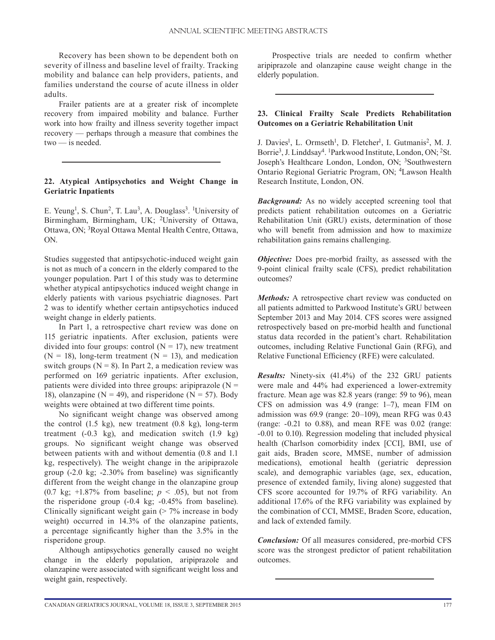Recovery has been shown to be dependent both on severity of illness and baseline level of frailty. Tracking mobility and balance can help providers, patients, and families understand the course of acute illness in older adults.

Frailer patients are at a greater risk of incomplete recovery from impaired mobility and balance. Further work into how frailty and illness severity together impact recovery — perhaps through a measure that combines the two — is needed.

# **22. Atypical Antipsychotics and Weight Change in Geriatric Inpatients**

E. Yeung<sup>1</sup>, S. Chun<sup>2</sup>, T. Lau<sup>3</sup>, A. Douglass<sup>3</sup>. <sup>1</sup>University of Birmingham, Birmingham, UK; 2University of Ottawa, Ottawa, ON; 3Royal Ottawa Mental Health Centre, Ottawa, ON.

Studies suggested that antipsychotic-induced weight gain is not as much of a concern in the elderly compared to the younger population. Part 1 of this study was to determine whether atypical antipsychotics induced weight change in elderly patients with various psychiatric diagnoses. Part 2 was to identify whether certain antipsychotics induced weight change in elderly patients.

In Part 1, a retrospective chart review was done on 115 geriatric inpatients. After exclusion, patients were divided into four groups: control  $(N = 17)$ , new treatment  $(N = 18)$ , long-term treatment  $(N = 13)$ , and medication switch groups ( $N = 8$ ). In Part 2, a medication review was performed on 169 geriatric inpatients. After exclusion, patients were divided into three groups: aripiprazole  $(N =$ 18), olanzapine ( $N = 49$ ), and risperidone ( $N = 57$ ). Body weights were obtained at two different time points.

No significant weight change was observed among the control (1.5 kg), new treatment (0.8 kg), long-term treatment (-0.3 kg), and medication switch (1.9 kg) groups. No significant weight change was observed between patients with and without dementia (0.8 and 1.1 kg, respectively). The weight change in the aripiprazole group (-2.0 kg; -2.30% from baseline) was significantly different from the weight change in the olanzapine group (0.7 kg;  $+1.87\%$  from baseline;  $p < .05$ ), but not from the risperidone group (-0.4 kg; -0.45% from baseline). Clinically significant weight gain  $($  > 7% increase in body weight) occurred in 14.3% of the olanzapine patients, a percentage significantly higher than the 3.5% in the risperidone group.

Although antipsychotics generally caused no weight change in the elderly population, aripiprazole and olanzapine were associated with significant weight loss and weight gain, respectively.

Prospective trials are needed to confirm whether aripiprazole and olanzapine cause weight change in the elderly population.

# **23. Clinical Frailty Scale Predicts Rehabilitation Outcomes on a Geriatric Rehabilitation Unit**

J. Davies<sup>1</sup>, L. Ormseth<sup>1</sup>, D. Fletcher<sup>1</sup>, I. Gutmanis<sup>2</sup>, M. J. Borrie3, J. Linddsay4. 1Parkwood Institute, London, ON; 2St. Joseph's Healthcare London, London, ON; 3Southwestern Ontario Regional Geriatric Program, ON; 4Lawson Health Research Institute, London, ON.

*Background:* As no widely accepted screening tool that predicts patient rehabilitation outcomes on a Geriatric Rehabilitation Unit (GRU) exists, determination of those who will benefit from admission and how to maximize rehabilitation gains remains challenging.

*Objective:* Does pre-morbid frailty, as assessed with the 9-point clinical frailty scale (CFS), predict rehabilitation outcomes?

*Methods:* A retrospective chart review was conducted on all patients admitted to Parkwood Institute's GRU between September 2013 and May 2014. CFS scores were assigned retrospectively based on pre-morbid health and functional status data recorded in the patient's chart. Rehabilitation outcomes, including Relative Functional Gain (RFG), and Relative Functional Efficiency (RFE) were calculated.

*Results:* Ninety-six (41.4%) of the 232 GRU patients were male and 44% had experienced a lower-extremity fracture. Mean age was 82.8 years (range: 59 to 96), mean CFS on admission was 4.9 (range: 1–7), mean FIM on admission was 69.9 (range: 20–109), mean RFG was 0.43 (range:  $-0.21$  to 0.88), and mean RFE was 0.02 (range: -0.01 to 0.10). Regression modeling that included physical health (Charlson comorbidity index [CCI], BMI, use of gait aids, Braden score, MMSE, number of admission medications), emotional health (geriatric depression scale), and demographic variables (age, sex, education, presence of extended family, living alone) suggested that CFS score accounted for 19.7% of RFG variability. An additional 17.6% of the RFG variability was explained by the combination of CCI, MMSE, Braden Score, education, and lack of extended family.

*Conclusion:* Of all measures considered, pre-morbid CFS score was the strongest predictor of patient rehabilitation outcomes.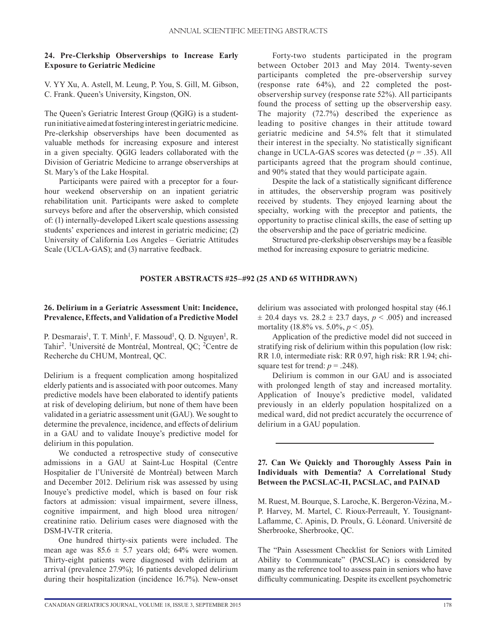## **24. Pre-Clerkship Observerships to Increase Early Exposure to Geriatric Medicine**

V. YY Xu, A. Astell, M. Leung, P. You, S. Gill, M. Gibson, C. Frank. Queen's University, Kingston, ON.

The Queen's Geriatric Interest Group (QGIG) is a studentrun initiative aimed at fostering interest in geriatric medicine. Pre-clerkship observerships have been documented as valuable methods for increasing exposure and interest in a given specialty. QGIG leaders collaborated with the Division of Geriatric Medicine to arrange observerships at St. Mary's of the Lake Hospital.

Participants were paired with a preceptor for a fourhour weekend observership on an inpatient geriatric rehabilitation unit. Participants were asked to complete surveys before and after the observership, which consisted of: (1) internally-developed Likert scale questions assessing students' experiences and interest in geriatric medicine; (2) University of California Los Angeles – Geriatric Attitudes Scale (UCLA-GAS); and (3) narrative feedback.

Forty-two students participated in the program between October 2013 and May 2014. Twenty-seven participants completed the pre-observership survey (response rate 64%), and 22 completed the postobservership survey (response rate 52%). All participants found the process of setting up the observership easy. The majority (72.7%) described the experience as leading to positive changes in their attitude toward geriatric medicine and 54.5% felt that it stimulated their interest in the specialty. No statistically significant change in UCLA-GAS scores was detected (*p* = .35). All participants agreed that the program should continue, and 90% stated that they would participate again.

Despite the lack of a statistically significant difference in attitudes, the observership program was positively received by students. They enjoyed learning about the specialty, working with the preceptor and patients, the opportunity to practise clinical skills, the ease of setting up the observership and the pace of geriatric medicine.

Structured pre-clerkship observerships may be a feasible method for increasing exposure to geriatric medicine.

# **POSTER ABSTRACTS #25–#92 (25 AND 65 WITHDRAWN)**

# **26. Delirium in a Geriatric Assessment Unit: Incidence, Prevalence, Effects, and Validation of a Predictive Model**

P. Desmarais<sup>1</sup>, T. T. Minh<sup>1</sup>, F. Massoud<sup>1</sup>, Q. D. Nguyen<sup>1</sup>, R. Tahir2. 1 Université de Montréal, Montreal, QC; 2Centre de Recherche du CHUM, Montreal, QC.

Delirium is a frequent complication among hospitalized elderly patients and is associated with poor outcomes. Many predictive models have been elaborated to identify patients at risk of developing delirium, but none of them have been validated in a geriatric assessment unit (GAU). We sought to determine the prevalence, incidence, and effects of delirium in a GAU and to validate Inouye's predictive model for delirium in this population.

We conducted a retrospective study of consecutive admissions in a GAU at Saint-Luc Hospital (Centre Hospitalier de l'Université de Montréal) between March and December 2012. Delirium risk was assessed by using Inouye's predictive model, which is based on four risk factors at admission: visual impairment, severe illness, cognitive impairment, and high blood urea nitrogen/ creatinine ratio. Delirium cases were diagnosed with the DSM-IV-TR criteria.

One hundred thirty-six patients were included. The mean age was  $85.6 \pm 5.7$  years old; 64% were women. Thirty-eight patients were diagnosed with delirium at arrival (prevalence 27.9%); 16 patients developed delirium during their hospitalization (incidence 16.7%). New-onset delirium was associated with prolonged hospital stay (46.1  $\pm$  20.4 days vs. 28.2  $\pm$  23.7 days, *p* < .005) and increased mortality (18.8% vs. 5.0%, *p* < .05).

Application of the predictive model did not succeed in stratifying risk of delirium within this population (low risk: RR 1.0, intermediate risk: RR 0.97, high risk: RR 1.94; chisquare test for trend:  $p = .248$ ).

Delirium is common in our GAU and is associated with prolonged length of stay and increased mortality. Application of Inouye's predictive model, validated previously in an elderly population hospitalized on a medical ward, did not predict accurately the occurrence of delirium in a GAU population.

# **27. Can We Quickly and Thoroughly Assess Pain in Individuals with Dementia? A Correlational Study Between the PACSLAC-II, PACSLAC, and PAINAD**

M. Ruest, M. Bourque, S. Laroche, K. Bergeron-Vézina, M.- P. Harvey, M. Martel, C. Rioux-Perreault, Y. Tousignant-Laflamme, C. Apinis, D. Proulx, G. Léonard. Université de Sherbrooke, Sherbrooke, QC.

The "Pain Assessment Checklist for Seniors with Limited Ability to Communicate" (PACSLAC) is considered by many as the reference tool to assess pain in seniors who have difficulty communicating. Despite its excellent psychometric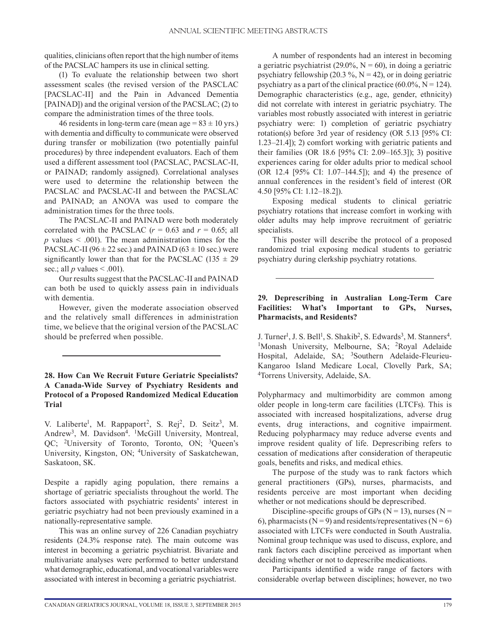qualities, clinicians often report that the high number of items of the PACSLAC hampers its use in clinical setting.

(1) To evaluate the relationship between two short assessment scales (the revised version of the PASCLAC [PACSLAC-II] and the Pain in Advanced Dementia [PAINAD]) and the original version of the PACSLAC; (2) to compare the administration times of the three tools.

46 residents in long-term care (mean age  $= 83 \pm 10$  yrs.) with dementia and difficulty to communicate were observed during transfer or mobilization (two potentially painful procedures) by three independent evaluators. Each of them used a different assessment tool (PACSLAC, PACSLAC-II, or PAINAD; randomly assigned). Correlational analyses were used to determine the relationship between the PACSLAC and PACSLAC-II and between the PACSLAC and PAINAD; an ANOVA was used to compare the administration times for the three tools.

The PACSLAC-II and PAINAD were both moderately correlated with the PACSLAC  $(r = 0.63$  and  $r = 0.65$ ; all  $p$  values  $\leq$  .001). The mean administration times for the PACSLAC-II (96  $\pm$  22 sec.) and PAINAD (63  $\pm$  10 sec.) were significantly lower than that for the PACSLAC (135  $\pm$  29 sec.; all *p* values  $\leq$  .001).

Our results suggest that the PACSLAC-II and PAINAD can both be used to quickly assess pain in individuals with dementia.

However, given the moderate association observed and the relatively small differences in administration time, we believe that the original version of the PACSLAC should be preferred when possible.

# **28. How Can We Recruit Future Geriatric Specialists? A Canada-Wide Survey of Psychiatry Residents and Protocol of a Proposed Randomized Medical Education Trial**

V. Laliberte<sup>1</sup>, M. Rappaport<sup>2</sup>, S. Rej<sup>2</sup>, D. Seitz<sup>3</sup>, M. Andrew<sup>3</sup>, M. Davidson<sup>4</sup>. <sup>1</sup>McGill University, Montreal, QC; 2University of Toronto, Toronto, ON; 3Queen's University, Kingston, ON; 4University of Saskatchewan, Saskatoon, SK.

Despite a rapidly aging population, there remains a shortage of geriatric specialists throughout the world. The factors associated with psychiatric residents' interest in geriatric psychiatry had not been previously examined in a nationally-representative sample.

This was an online survey of 226 Canadian psychiatry residents (24.3% response rate). The main outcome was interest in becoming a geriatric psychiatrist. Bivariate and multivariate analyses were performed to better understand what demographic, educational, and vocational variables were associated with interest in becoming a geriatric psychiatrist.

A number of respondents had an interest in becoming a geriatric psychiatrist (29.0%,  $N = 60$ ), in doing a geriatric psychiatry fellowship (20.3 %,  $N = 42$ ), or in doing geriatric psychiatry as a part of the clinical practice  $(60.0\%, N = 124)$ . Demographic characteristics (e.g., age, gender, ethnicity) did not correlate with interest in geriatric psychiatry. The variables most robustly associated with interest in geriatric psychiatry were: 1) completion of geriatric psychiatry rotation(s) before 3rd year of residency (OR 5.13 [95% CI: 1.23–21.4]); 2) comfort working with geriatric patients and their families (OR 18.6 [95% CI: 2.09–165.3]); 3) positive experiences caring for older adults prior to medical school (OR 12.4 [95% CI: 1.07–144.5]); and 4) the presence of annual conferences in the resident's field of interest (OR 4.50 [95% CI: 1.12–18.2]).

Exposing medical students to clinical geriatric psychiatry rotations that increase comfort in working with older adults may help improve recruitment of geriatric specialists.

This poster will describe the protocol of a proposed randomized trial exposing medical students to geriatric psychiatry during clerkship psychiatry rotations.

# **29. Deprescribing in Australian Long-Term Care Facilities: What's Important to GPs, Nurses, Pharmacists, and Residents?**

J. Turner<sup>1</sup>, J. S. Bell<sup>1</sup> <sup>1</sup>Monash University, Melbourne, SA; <sup>2</sup>Royal Adelaide Hospital, Adelaide, SA; <sup>3</sup>Southern Adelaide-Fleurieu-Kangaroo Island Medicare Local, Clovelly Park, SA; 4Torrens University, Adelaide, SA.

Polypharmacy and multimorbidity are common among older people in long-term care facilities (LTCFs). This is associated with increased hospitalizations, adverse drug events, drug interactions, and cognitive impairment. Reducing polypharmacy may reduce adverse events and improve resident quality of life. Deprescribing refers to cessation of medications after consideration of therapeutic goals, benefits and risks, and medical ethics.

The purpose of the study was to rank factors which general practitioners (GPs), nurses, pharmacists, and residents perceive are most important when deciding whether or not medications should be deprescribed.

Discipline-specific groups of GPs ( $N = 13$ ), nurses ( $N =$ 6), pharmacists ( $N = 9$ ) and residents/representatives ( $N = 6$ ) associated with LTCFs were conducted in South Australia. Nominal group technique was used to discuss, explore, and rank factors each discipline perceived as important when deciding whether or not to deprescribe medications.

Participants identified a wide range of factors with considerable overlap between disciplines; however, no two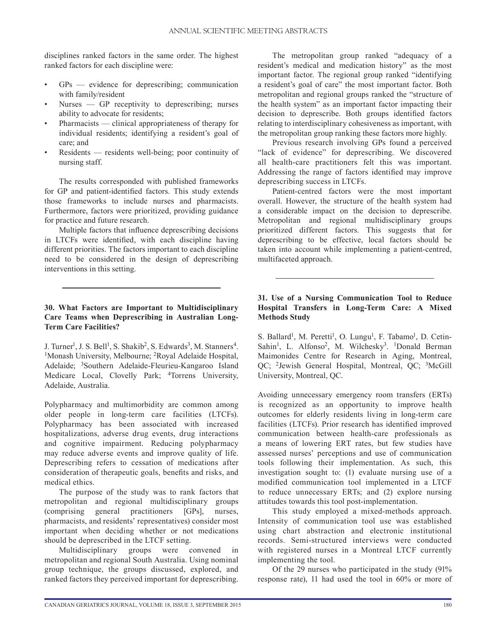disciplines ranked factors in the same order. The highest ranked factors for each discipline were:

- GPs evidence for deprescribing; communication with family/resident
- Nurses GP receptivity to deprescribing; nurses ability to advocate for residents;
- Pharmacists clinical appropriateness of therapy for individual residents; identifying a resident's goal of care; and
- Residents residents well-being; poor continuity of nursing staff.

The results corresponded with published frameworks for GP and patient-identified factors. This study extends those frameworks to include nurses and pharmacists. Furthermore, factors were prioritized, providing guidance for practice and future research.

Multiple factors that influence deprescribing decisions in LTCFs were identified, with each discipline having different priorities. The factors important to each discipline need to be considered in the design of deprescribing interventions in this setting.

# **30. What Factors are Important to Multidisciplinary Care Teams when Deprescribing in Australian Long-Term Care Facilities?**

J. Turner<sup>1</sup>, J. S. Bell<sup>1</sup> <sup>1</sup>Monash University, Melbourne; <sup>2</sup>Royal Adelaide Hospital, Adelaide; 3Southern Adelaide-Fleurieu-Kangaroo Island Medicare Local, Clovelly Park; 4Torrens University, Adelaide, Australia.

Polypharmacy and multimorbidity are common among older people in long-term care facilities (LTCFs). Polypharmacy has been associated with increased hospitalizations, adverse drug events, drug interactions and cognitive impairment. Reducing polypharmacy may reduce adverse events and improve quality of life. Deprescribing refers to cessation of medications after consideration of therapeutic goals, benefits and risks, and medical ethics.

The purpose of the study was to rank factors that metropolitan and regional multidisciplinary groups (comprising general practitioners [GPs], nurses, pharmacists, and residents' representatives) consider most important when deciding whether or not medications should be deprescribed in the LTCF setting.

Multidisciplinary groups were convened in metropolitan and regional South Australia. Using nominal group technique, the groups discussed, explored, and ranked factors they perceived important for deprescribing.

The metropolitan group ranked "adequacy of a resident's medical and medication history" as the most important factor. The regional group ranked "identifying a resident's goal of care" the most important factor. Both metropolitan and regional groups ranked the "structure of the health system" as an important factor impacting their decision to deprescribe. Both groups identified factors relating to interdisciplinary cohesiveness as important, with the metropolitan group ranking these factors more highly.

Previous research involving GPs found a perceived "lack of evidence" for deprescribing. We discovered all health-care practitioners felt this was important. Addressing the range of factors identified may improve deprescribing success in LTCFs.

Patient-centred factors were the most important overall. However, the structure of the health system had a considerable impact on the decision to deprescribe. Metropolitan and regional multidisciplinary groups prioritized different factors. This suggests that for deprescribing to be effective, local factors should be taken into account while implementing a patient-centred, multifaceted approach.

# **31. Use of a Nursing Communication Tool to Reduce Hospital Transfers in Long-Term Care: A Mixed Methods Study**

S. Ballard<sup>1</sup>, M. Peretti<sup>1</sup>, O. Lungu<sup>1</sup>, F. Tabamo<sup>1</sup>, D. Cetin-Sahin<sup>1</sup>, L. Alfonso<sup>2</sup>, M. Wilchesky<sup>3</sup>. <sup>1</sup>Donald Berman Maimonides Centre for Research in Aging, Montreal, QC; 2Jewish General Hospital, Montreal, QC; 3McGill University, Montreal, QC.

Avoiding unnecessary emergency room transfers (ERTs) is recognized as an opportunity to improve health outcomes for elderly residents living in long-term care facilities (LTCFs). Prior research has identified improved communication between health-care professionals as a means of lowering ERT rates, but few studies have assessed nurses' perceptions and use of communication tools following their implementation. As such, this investigation sought to: (1) evaluate nursing use of a modified communication tool implemented in a LTCF to reduce unnecessary ERTs; and (2) explore nursing attitudes towards this tool post-implementation.

This study employed a mixed-methods approach. Intensity of communication tool use was established using chart abstraction and electronic institutional records. Semi-structured interviews were conducted with registered nurses in a Montreal LTCF currently implementing the tool.

Of the 29 nurses who participated in the study (91% response rate), 11 had used the tool in 60% or more of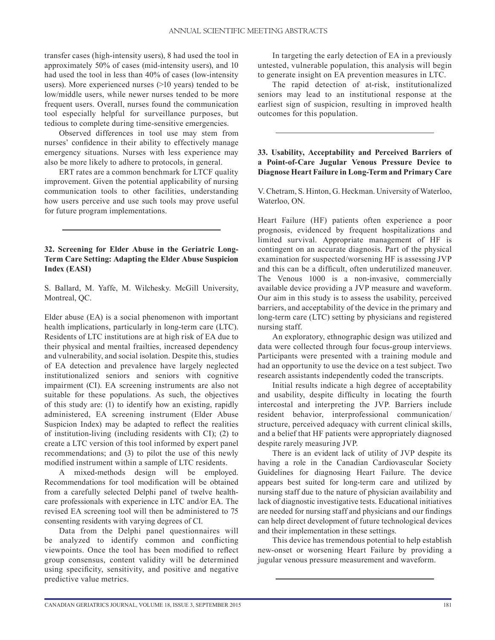transfer cases (high-intensity users), 8 had used the tool in approximately 50% of cases (mid-intensity users), and 10 had used the tool in less than 40% of cases (low-intensity users). More experienced nurses (>10 years) tended to be low/middle users, while newer nurses tended to be more frequent users. Overall, nurses found the communication tool especially helpful for surveillance purposes, but tedious to complete during time-sensitive emergencies.

Observed differences in tool use may stem from nurses' confidence in their ability to effectively manage emergency situations. Nurses with less experience may also be more likely to adhere to protocols, in general.

ERT rates are a common benchmark for LTCF quality improvement. Given the potential applicability of nursing communication tools to other facilities, understanding how users perceive and use such tools may prove useful for future program implementations.

# **32. Screening for Elder Abuse in the Geriatric Long-Term Care Setting: Adapting the Elder Abuse Suspicion Index (EASI)**

S. Ballard, M. Yaffe, M. Wilchesky. McGill University, Montreal, QC.

Elder abuse (EA) is a social phenomenon with important health implications, particularly in long-term care (LTC). Residents of LTC institutions are at high risk of EA due to their physical and mental frailties, increased dependency and vulnerability, and social isolation. Despite this, studies of EA detection and prevalence have largely neglected institutionalized seniors and seniors with cognitive impairment (CI). EA screening instruments are also not suitable for these populations. As such, the objectives of this study are: (1) to identify how an existing, rapidly administered, EA screening instrument (Elder Abuse Suspicion Index) may be adapted to reflect the realities of institution-living (including residents with CI); (2) to create a LTC version of this tool informed by expert panel recommendations; and (3) to pilot the use of this newly modified instrument within a sample of LTC residents.

A mixed-methods design will be employed. Recommendations for tool modification will be obtained from a carefully selected Delphi panel of twelve healthcare professionals with experience in LTC and/or EA. The revised EA screening tool will then be administered to 75 consenting residents with varying degrees of CI.

Data from the Delphi panel questionnaires will be analyzed to identify common and conflicting viewpoints. Once the tool has been modified to reflect group consensus, content validity will be determined using specificity, sensitivity, and positive and negative predictive value metrics.

In targeting the early detection of EA in a previously untested, vulnerable population, this analysis will begin to generate insight on EA prevention measures in LTC.

The rapid detection of at-risk, institutionalized seniors may lead to an institutional response at the earliest sign of suspicion, resulting in improved health outcomes for this population.

# **33. Usability, Acceptability and Perceived Barriers of a Point-of-Care Jugular Venous Pressure Device to Diagnose Heart Failure in Long-Term and Primary Care**

V. Chetram, S. Hinton, G. Heckman. University of Waterloo, Waterloo, ON.

Heart Failure (HF) patients often experience a poor prognosis, evidenced by frequent hospitalizations and limited survival. Appropriate management of HF is contingent on an accurate diagnosis. Part of the physical examination for suspected/worsening HF is assessing JVP and this can be a difficult, often underutilized maneuver. The Venous 1000 is a non-invasive, commercially available device providing a JVP measure and waveform. Our aim in this study is to assess the usability, perceived barriers, and acceptability of the device in the primary and long-term care (LTC) setting by physicians and registered nursing staff.

An exploratory, ethnographic design was utilized and data were collected through four focus-group interviews. Participants were presented with a training module and had an opportunity to use the device on a test subject. Two research assistants independently coded the transcripts.

Initial results indicate a high degree of acceptability and usability, despite difficulty in locating the fourth intercostal and interpreting the JVP. Barriers include resident behavior, interprofessional communication/ structure, perceived adequacy with current clinical skills, and a belief that HF patients were appropriately diagnosed despite rarely measuring JVP.

There is an evident lack of utility of JVP despite its having a role in the Canadian Cardiovascular Society Guidelines for diagnosing Heart Failure. The device appears best suited for long-term care and utilized by nursing staff due to the nature of physician availability and lack of diagnostic investigative tests. Educational initiatives are needed for nursing staff and physicians and our findings can help direct development of future technological devices and their implementation in these settings.

This device has tremendous potential to help establish new-onset or worsening Heart Failure by providing a jugular venous pressure measurement and waveform.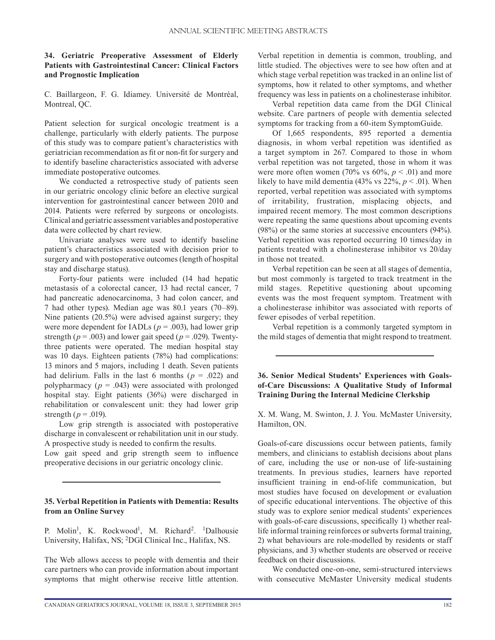#### **34. Geriatric Preoperative Assessment of Elderly Patients with Gastrointestinal Cancer: Clinical Factors and Prognostic Implication**

C. Baillargeon, F. G. Idiamey. Université de Montréal, Montreal, QC.

Patient selection for surgical oncologic treatment is a challenge, particularly with elderly patients. The purpose of this study was to compare patient's characteristics with geriatrician recommendation as fit or non-fit for surgery and to identify baseline characteristics associated with adverse immediate postoperative outcomes.

We conducted a retrospective study of patients seen in our geriatric oncology clinic before an elective surgical intervention for gastrointestinal cancer between 2010 and 2014. Patients were referred by surgeons or oncologists. Clinical and geriatric assessment variables and postoperative data were collected by chart review.

Univariate analyses were used to identify baseline patient's characteristics associated with decision prior to surgery and with postoperative outcomes (length of hospital stay and discharge status).

Forty-four patients were included (14 had hepatic metastasis of a colorectal cancer, 13 had rectal cancer, 7 had pancreatic adenocarcinoma, 3 had colon cancer, and 7 had other types). Median age was 80.1 years (70–89). Nine patients (20.5%) were advised against surgery; they were more dependent for IADLs ( $p = .003$ ), had lower grip strength ( $p = .003$ ) and lower gait speed ( $p = .029$ ). Twentythree patients were operated. The median hospital stay was 10 days. Eighteen patients (78%) had complications: 13 minors and 5 majors, including 1 death. Seven patients had delirium. Falls in the last 6 months ( $p = .022$ ) and polypharmacy ( $p = .043$ ) were associated with prolonged hospital stay. Eight patients (36%) were discharged in rehabilitation or convalescent unit: they had lower grip strength ( $p = .019$ ).

Low grip strength is associated with postoperative discharge in convalescent or rehabilitation unit in our study. A prospective study is needed to confirm the results. Low gait speed and grip strength seem to influence

preoperative decisions in our geriatric oncology clinic.

# **35. Verbal Repetition in Patients with Dementia: Results from an Online Survey**

P. Molin<sup>1</sup>, K. Rockwood<sup>1</sup>, M. Richard<sup>2</sup>. <sup>1</sup>Dalhousie University, Halifax, NS; 2DGI Clinical Inc., Halifax, NS.

The Web allows access to people with dementia and their care partners who can provide information about important symptoms that might otherwise receive little attention. Verbal repetition in dementia is common, troubling, and little studied. The objectives were to see how often and at which stage verbal repetition was tracked in an online list of symptoms, how it related to other symptoms, and whether frequency was less in patients on a cholinesterase inhibitor.

Verbal repetition data came from the DGI Clinical website. Care partners of people with dementia selected symptoms for tracking from a 60-item SymptomGuide.

Of 1,665 respondents, 895 reported a dementia diagnosis, in whom verbal repetition was identified as a target symptom in 267. Compared to those in whom verbal repetition was not targeted, those in whom it was were more often women (70% vs  $60\%$ ,  $p < .01$ ) and more likely to have mild dementia  $(43\% \text{ vs } 22\%, p < .01)$ . When reported, verbal repetition was associated with symptoms of irritability, frustration, misplacing objects, and impaired recent memory. The most common descriptions were repeating the same questions about upcoming events (98%) or the same stories at successive encounters (94%). Verbal repetition was reported occurring 10 times/day in patients treated with a cholinesterase inhibitor vs 20/day in those not treated.

Verbal repetition can be seen at all stages of dementia, but most commonly is targeted to track treatment in the mild stages. Repetitive questioning about upcoming events was the most frequent symptom. Treatment with a cholinesterase inhibitor was associated with reports of fewer episodes of verbal repetition.

Verbal repetition is a commonly targeted symptom in the mild stages of dementia that might respond to treatment.

**36. Senior Medical Students' Experiences with Goalsof-Care Discussions: A Qualitative Study of Informal Training During the Internal Medicine Clerkship**

X. M. Wang, M. Swinton, J. J. You. McMaster University, Hamilton, ON.

Goals-of-care discussions occur between patients, family members, and clinicians to establish decisions about plans of care, including the use or non-use of life-sustaining treatments. In previous studies, learners have reported insufficient training in end-of-life communication, but most studies have focused on development or evaluation of specific educational interventions. The objective of this study was to explore senior medical students' experiences with goals-of-care discussions, specifically 1) whether reallife informal training reinforces or subverts formal training, 2) what behaviours are role-modelled by residents or staff physicians, and 3) whether students are observed or receive feedback on their discussions.

We conducted one-on-one, semi-structured interviews with consecutive McMaster University medical students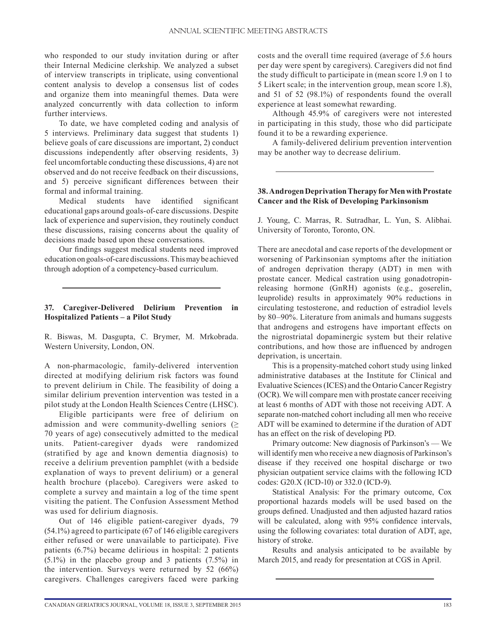who responded to our study invitation during or after their Internal Medicine clerkship. We analyzed a subset of interview transcripts in triplicate, using conventional content analysis to develop a consensus list of codes and organize them into meaningful themes. Data were analyzed concurrently with data collection to inform further interviews.

To date, we have completed coding and analysis of 5 interviews. Preliminary data suggest that students 1) believe goals of care discussions are important, 2) conduct discussions independently after observing residents, 3) feel uncomfortable conducting these discussions, 4) are not observed and do not receive feedback on their discussions, and 5) perceive significant differences between their formal and informal training.

Medical students have identified significant educational gaps around goals-of-care discussions. Despite lack of experience and supervision, they routinely conduct these discussions, raising concerns about the quality of decisions made based upon these conversations.

Our findings suggest medical students need improved education on goals-of-care discussions. This may be achieved through adoption of a competency-based curriculum.

#### **37. Caregiver-Delivered Delirium Prevention in Hospitalized Patients – a Pilot Study**

R. Biswas, M. Dasgupta, C. Brymer, M. Mrkobrada. Western University, London, ON.

A non-pharmacologic, family-delivered intervention directed at modifying delirium risk factors was found to prevent delirium in Chile. The feasibility of doing a similar delirium prevention intervention was tested in a pilot study at the London Health Sciences Centre (LHSC).

Eligible participants were free of delirium on admission and were community-dwelling seniors  $(\geq$ 70 years of age) consecutively admitted to the medical units. Patient-caregiver dyads were randomized (stratified by age and known dementia diagnosis) to receive a delirium prevention pamphlet (with a bedside explanation of ways to prevent delirium) or a general health brochure (placebo). Caregivers were asked to complete a survey and maintain a log of the time spent visiting the patient. The Confusion Assessment Method was used for delirium diagnosis.

Out of 146 eligible patient-caregiver dyads, 79 (54.1%) agreed to participate (67 of 146 eligible caregivers either refused or were unavailable to participate). Five patients (6.7%) became delirious in hospital: 2 patients (5.1%) in the placebo group and 3 patients (7.5%) in the intervention. Surveys were returned by 52 (66%) caregivers. Challenges caregivers faced were parking costs and the overall time required (average of 5.6 hours per day were spent by caregivers). Caregivers did not find the study difficult to participate in (mean score 1.9 on 1 to 5 Likert scale; in the intervention group, mean score 1.8), and 51 of 52 (98.1%) of respondents found the overall experience at least somewhat rewarding.

Although 45.9% of caregivers were not interested in participating in this study, those who did participate found it to be a rewarding experience.

A family-delivered delirium prevention intervention may be another way to decrease delirium.

# **38. Androgen Deprivation Therapy for Men with Prostate Cancer and the Risk of Developing Parkinsonism**

J. Young, C. Marras, R. Sutradhar, L. Yun, S. Alibhai. University of Toronto, Toronto, ON.

There are anecdotal and case reports of the development or worsening of Parkinsonian symptoms after the initiation of androgen deprivation therapy (ADT) in men with prostate cancer. Medical castration using gonadotropinreleasing hormone (GnRH) agonists (e.g., goserelin, leuprolide) results in approximately 90% reductions in circulating testosterone, and reduction of estradiol levels by 80–90%. Literature from animals and humans suggests that androgens and estrogens have important effects on the nigrostriatal dopaminergic system but their relative contributions, and how those are influenced by androgen deprivation, is uncertain.

This is a propensity-matched cohort study using linked administrative databases at the Institute for Clinical and Evaluative Sciences (ICES) and the Ontario Cancer Registry (OCR). We will compare men with prostate cancer receiving at least 6 months of ADT with those not receiving ADT. A separate non-matched cohort including all men who receive ADT will be examined to determine if the duration of ADT has an effect on the risk of developing PD.

Primary outcome: New diagnosis of Parkinson's — We will identify men who receive a new diagnosis of Parkinson's disease if they received one hospital discharge or two physician outpatient service claims with the following ICD codes: G20.X (ICD-10) or 332.0 (ICD-9).

Statistical Analysis: For the primary outcome, Cox proportional hazards models will be used based on the groups defined. Unadjusted and then adjusted hazard ratios will be calculated, along with 95% confidence intervals, using the following covariates: total duration of ADT, age, history of stroke.

Results and analysis anticipated to be available by March 2015, and ready for presentation at CGS in April.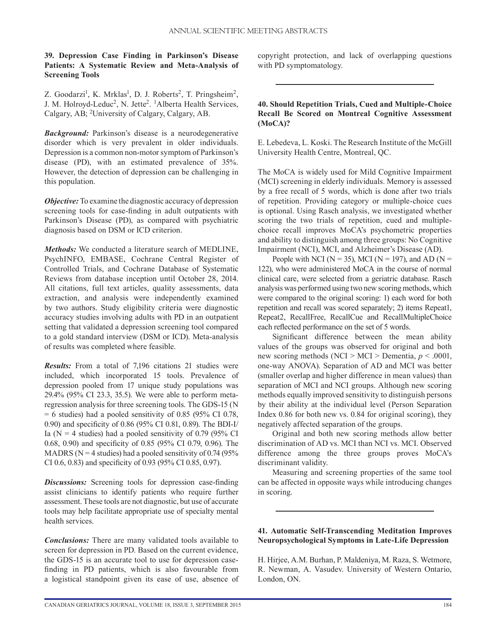# **39. Depression Case Finding in Parkinson's Disease Patients: A Systematic Review and Meta-Analysis of Screening Tools**

Z. Goodarzi<sup>1</sup>, K. Mrklas<sup>1</sup>, D. J. Roberts<sup>2</sup>, T. Pringsheim<sup>2</sup>, J. M. Holroyd-Leduc<sup>2</sup>, N. Jette<sup>2</sup>. <sup>1</sup>Alberta Health Services, Calgary, AB; 2University of Calgary, Calgary, AB.

*Background:* Parkinson's disease is a neurodegenerative disorder which is very prevalent in older individuals. Depression is a common non-motor symptom of Parkinson's disease (PD), with an estimated prevalence of 35%. However, the detection of depression can be challenging in this population.

*Objective:* To examine the diagnostic accuracy of depression screening tools for case-finding in adult outpatients with Parkinson's Disease (PD), as compared with psychiatric diagnosis based on DSM or ICD criterion.

*Methods:* We conducted a literature search of MEDLINE, PsychINFO, EMBASE, Cochrane Central Register of Controlled Trials, and Cochrane Database of Systematic Reviews from database inception until October 28, 2014. All citations, full text articles, quality assessments, data extraction, and analysis were independently examined by two authors. Study eligibility criteria were diagnostic accuracy studies involving adults with PD in an outpatient setting that validated a depression screening tool compared to a gold standard interview (DSM or ICD). Meta-analysis of results was completed where feasible.

*Results:* From a total of 7,196 citations 21 studies were included, which incorporated 15 tools. Prevalence of depression pooled from 17 unique study populations was 29.4% (95% CI 23.3, 35.5). We were able to perform metaregression analysis for three screening tools. The GDS-15 (N  $= 6$  studies) had a pooled sensitivity of 0.85 (95% CI 0.78, 0.90) and specificity of 0.86 (95% CI 0.81, 0.89). The BDI-I/ Ia ( $N = 4$  studies) had a pooled sensitivity of 0.79 (95% CI 0.68, 0.90) and specificity of 0.85 (95% CI 0.79, 0.96). The MADRS ( $N = 4$  studies) had a pooled sensitivity of 0.74 (95%) CI 0.6, 0.83) and specificity of 0.93 (95% CI 0.85, 0.97).

*Discussions:* Screening tools for depression case-finding assist clinicians to identify patients who require further assessment. These tools are not diagnostic, but use of accurate tools may help facilitate appropriate use of specialty mental health services.

*Conclusions:* There are many validated tools available to screen for depression in PD. Based on the current evidence, the GDS-15 is an accurate tool to use for depression casefinding in PD patients, which is also favourable from a logistical standpoint given its ease of use, absence of copyright protection, and lack of overlapping questions with PD symptomatology.

# **40. Should Repetition Trials, Cued and Multiple-Choice Recall Be Scored on Montreal Cognitive Assessment (MoCA)?**

E. Lebedeva, L. Koski. The Research Institute of the McGill University Health Centre, Montreal, QC.

The MoCA is widely used for Mild Cognitive Impairment (MCI) screening in elderly individuals. Memory is assessed by a free recall of 5 words, which is done after two trials of repetition. Providing category or multiple-choice cues is optional. Using Rasch analysis, we investigated whether scoring the two trials of repetition, cued and multiplechoice recall improves MoCA's psychometric properties and ability to distinguish among three groups: No Cognitive Impairment (NCI), MCI, and Alzheimer's Disease (AD).

People with NCI ( $N = 35$ ), MCI ( $N = 197$ ), and AD ( $N =$ 122), who were administered MoCA in the course of normal clinical care, were selected from a geriatric database. Rasch analysis was performed using two new scoring methods, which were compared to the original scoring: 1) each word for both repetition and recall was scored separately; 2) items Repeat1, Repeat2, RecallFree, RecallCue and RecallMultipleChoice each reflected performance on the set of 5 words.

Significant difference between the mean ability values of the groups was observed for original and both new scoring methods (NCI > MCI > Dementia, *p* < .0001, one-way ANOVA). Separation of AD and MCI was better (smaller overlap and higher difference in mean values) than separation of MCI and NCI groups. Although new scoring methods equally improved sensitivity to distinguish persons by their ability at the individual level (Person Separation Index 0.86 for both new vs. 0.84 for original scoring), they negatively affected separation of the groups.

Original and both new scoring methods allow better discrimination of AD vs. MCI than NCI vs. MCI. Observed difference among the three groups proves MoCA's discriminant validity.

Measuring and screening properties of the same tool can be affected in opposite ways while introducing changes in scoring.

# **41. Automatic Self-Transcending Meditation Improves Neuropsychological Symptoms in Late-Life Depression**

H. Hirjee, A.M. Burhan, P. Maldeniya, M. Raza, S. Wetmore, R. Newman, A. Vasudev. University of Western Ontario, London, ON.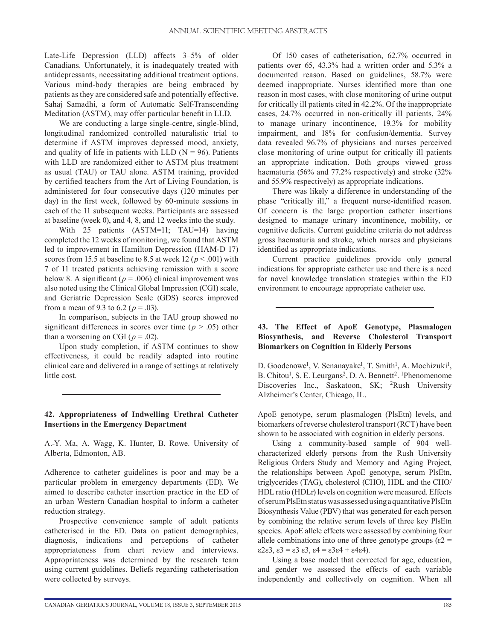Late-Life Depression (LLD) affects 3–5% of older Canadians. Unfortunately, it is inadequately treated with antidepressants, necessitating additional treatment options. Various mind-body therapies are being embraced by patients as they are considered safe and potentially effective. Sahaj Samadhi, a form of Automatic Self-Transcending Meditation (ASTM), may offer particular benefit in LLD.

We are conducting a large single-centre, single-blind, longitudinal randomized controlled naturalistic trial to determine if ASTM improves depressed mood, anxiety, and quality of life in patients with LLD ( $N = 96$ ). Patients with LLD are randomized either to ASTM plus treatment as usual (TAU) or TAU alone. ASTM training, provided by certified teachers from the Art of Living Foundation, is administered for four consecutive days (120 minutes per day) in the first week, followed by 60-minute sessions in each of the 11 subsequent weeks. Participants are assessed at baseline (week 0), and 4, 8, and 12 weeks into the study.

With 25 patients (ASTM=11; TAU=14) having completed the 12 weeks of monitoring, we found that ASTM led to improvement in Hamilton Depression (HAM-D 17) scores from 15.5 at baseline to 8.5 at week 12 ( $p < .001$ ) with 7 of 11 treated patients achieving remission with a score below 8. A significant ( $p = .006$ ) clinical improvement was also noted using the Clinical Global Impression (CGI) scale, and Geriatric Depression Scale (GDS) scores improved from a mean of 9.3 to 6.2 ( $p = .03$ ).

In comparison, subjects in the TAU group showed no significant differences in scores over time ( $p > .05$ ) other than a worsening on CGI ( $p = .02$ ).

Upon study completion, if ASTM continues to show effectiveness, it could be readily adapted into routine clinical care and delivered in a range of settings at relatively little cost.

#### **42. Appropriateness of Indwelling Urethral Catheter Insertions in the Emergency Department**

A.-Y. Ma, A. Wagg, K. Hunter, B. Rowe. University of Alberta, Edmonton, AB.

Adherence to catheter guidelines is poor and may be a particular problem in emergency departments (ED). We aimed to describe catheter insertion practice in the ED of an urban Western Canadian hospital to inform a catheter reduction strategy.

Prospective convenience sample of adult patients catheterised in the ED. Data on patient demographics, diagnosis, indications and perceptions of catheter appropriateness from chart review and interviews. Appropriateness was determined by the research team using current guidelines. Beliefs regarding catheterisation were collected by surveys.

Of 150 cases of catheterisation, 62.7% occurred in patients over 65, 43.3% had a written order and 5.3% a documented reason. Based on guidelines, 58.7% were deemed inappropriate. Nurses identified more than one reason in most cases, with close monitoring of urine output for critically ill patients cited in 42.2%. Of the inappropriate cases, 24.7% occurred in non-critically ill patients, 24% to manage urinary incontinence, 19.3% for mobility impairment, and 18% for confusion/dementia. Survey data revealed 96.7% of physicians and nurses perceived close monitoring of urine output for critically ill patients an appropriate indication. Both groups viewed gross haematuria (56% and 77.2% respectively) and stroke (32% and 55.9% respectively) as appropriate indications.

There was likely a difference in understanding of the phase "critically ill," a frequent nurse-identified reason. Of concern is the large proportion catheter insertions designed to manage urinary incontinence, mobility, or cognitive deficits. Current guideline criteria do not address gross haematuria and stroke, which nurses and physicians identified as appropriate indications.

Current practice guidelines provide only general indications for appropriate catheter use and there is a need for novel knowledge translation strategies within the ED environment to encourage appropriate catheter use.

# **43. The Effect of ApoE Genotype, Plasmalogen Biosynthesis, and Reverse Cholesterol Transport Biomarkers on Cognition in Elderly Persons**

D. Goodenowe<sup>1</sup>, V. Senanayake<sup>1</sup>, T. Smith<sup>1</sup>, A. Mochizuki<sup>1</sup>, B. Chitou<sup>1</sup>, S. E. Leurgans<sup>2</sup>, D. A. Bennett<sup>2</sup>. <sup>1</sup>Phenomenome Discoveries Inc., Saskatoon, SK; <sup>2</sup>Rush University Alzheimer's Center, Chicago, IL.

ApoE genotype, serum plasmalogen (PlsEtn) levels, and biomarkers of reverse cholesterol transport (RCT) have been shown to be associated with cognition in elderly persons.

Using a community-based sample of 904 wellcharacterized elderly persons from the Rush University Religious Orders Study and Memory and Aging Project, the relationships between ApoE genotype, serum PlsEtn, triglycerides (TAG), cholesterol (CHO), HDL and the CHO/ HDL ratio (HDLr) levels on cognition were measured. Effects of serum PlsEtn status was assessed using a quantitative PlsEtn Biosynthesis Value (PBV) that was generated for each person by combining the relative serum levels of three key PlsEtn species. ApoE allele effects were assessed by combining four allele combinations into one of three genotype groups ( $\varepsilon$ 2 =  $\epsilon$ 2 $\epsilon$ 3,  $\epsilon$ 3 =  $\epsilon$ 3  $\epsilon$ 3,  $\epsilon$ 4 =  $\epsilon$ 3 $\epsilon$ 4 +  $\epsilon$ 4 $\epsilon$ 4).

Using a base model that corrected for age, education, and gender we assessed the effects of each variable independently and collectively on cognition. When all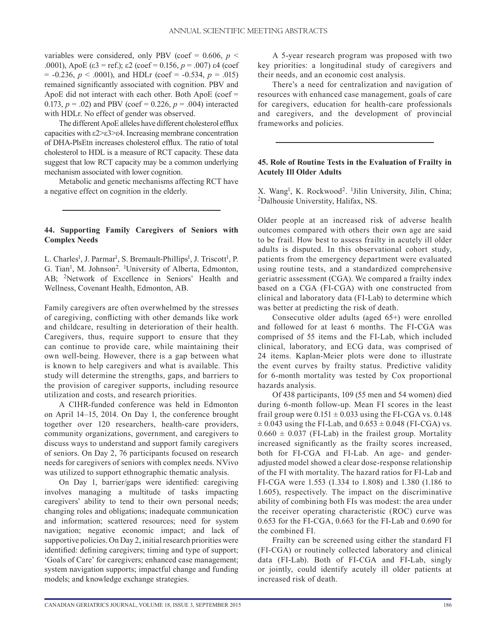variables were considered, only PBV (coef =  $0.606$ ,  $p \leq$ .0001), ApoE (ε3 = ref.); ε2 (coef = 0.156, *p* = .007) ε4 (coef  $= -0.236, p < .0001$ , and HDLr (coef  $= -0.534, p = .015$ ) remained significantly associated with cognition. PBV and ApoE did not interact with each other. Both ApoE (coef = 0.173,  $p = .02$ ) and PBV (coef = 0.226,  $p = .004$ ) interacted with HDLr. No effect of gender was observed.

The different ApoE alleles have different cholesterol efflux capacities with ε2>ε3>ε4. Increasing membrane concentration of DHA-PlsEtn increases cholesterol efflux. The ratio of total cholesterol to HDL is a measure of RCT capacity. These data suggest that low RCT capacity may be a common underlying mechanism associated with lower cognition.

Metabolic and genetic mechanisms affecting RCT have a negative effect on cognition in the elderly.

# **44. Supporting Family Caregivers of Seniors with Complex Needs**

L. Charles<sup>1</sup>, J. Parmar<sup>1</sup>, S. Bremault-Phillips<sup>1</sup>, J. Triscott<sup>1</sup>, P. G. Tian<sup>1</sup>, M. Johnson<sup>2</sup>. <sup>1</sup>University of Alberta, Edmonton, AB; 2Network of Excellence in Seniors' Health and Wellness, Covenant Health, Edmonton, AB.

Family caregivers are often overwhelmed by the stresses of caregiving, conflicting with other demands like work and childcare, resulting in deterioration of their health. Caregivers, thus, require support to ensure that they can continue to provide care, while maintaining their own well-being. However, there is a gap between what is known to help caregivers and what is available. This study will determine the strengths, gaps, and barriers to the provision of caregiver supports, including resource utilization and costs, and research priorities.

A CIHR-funded conference was held in Edmonton on April 14–15, 2014. On Day 1, the conference brought together over 120 researchers, health-care providers, community organizations, government, and caregivers to discuss ways to understand and support family caregivers of seniors. On Day 2, 76 participants focused on research needs for caregivers of seniors with complex needs. NVivo was utilized to support ethnographic thematic analysis.

On Day 1, barrier/gaps were identified: caregiving involves managing a multitude of tasks impacting caregivers' ability to tend to their own personal needs; changing roles and obligations; inadequate communication and information; scattered resources; need for system navigation; negative economic impact; and lack of supportive policies. On Day 2, initial research priorities were identified: defining caregivers; timing and type of support; 'Goals of Care' for caregivers; enhanced case management; system navigation supports; impactful change and funding models; and knowledge exchange strategies.

A 5-year research program was proposed with two key priorities: a longitudinal study of caregivers and their needs, and an economic cost analysis.

There's a need for centralization and navigation of resources with enhanced case management, goals of care for caregivers, education for health-care professionals and caregivers, and the development of provincial frameworks and policies.

# **45. Role of Routine Tests in the Evaluation of Frailty in Acutely Ill Older Adults**

X. Wang<sup>1</sup>, K. Rockwood<sup>2</sup>. <sup>1</sup>Jilin University, Jilin, China; 2Dalhousie Universtity, Halifax, NS.

Older people at an increased risk of adverse health outcomes compared with others their own age are said to be frail. How best to assess frailty in acutely ill older adults is disputed. In this observational cohort study, patients from the emergency department were evaluated using routine tests, and a standardized comprehensive geriatric assessment (CGA). We compared a frailty index based on a CGA (FI-CGA) with one constructed from clinical and laboratory data (FI-Lab) to determine which was better at predicting the risk of death.

Consecutive older adults (aged 65+) were enrolled and followed for at least 6 months. The FI-CGA was comprised of 55 items and the FI-Lab, which included clinical, laboratory, and ECG data, was comprised of 24 items. Kaplan-Meier plots were done to illustrate the event curves by frailty status. Predictive validity for 6-month mortality was tested by Cox proportional hazards analysis.

Of 438 participants, 109 (55 men and 54 women) died during 6-month follow-up. Mean FI scores in the least frail group were  $0.151 \pm 0.033$  using the FI-CGA vs. 0.148  $\pm$  0.043 using the FI-Lab, and 0.653  $\pm$  0.048 (FI-CGA) vs.  $0.660 \pm 0.037$  (FI-Lab) in the frailest group. Mortality increased significantly as the frailty scores increased, both for FI-CGA and FI-Lab. An age- and genderadjusted model showed a clear dose-response relationship of the FI with mortality. The hazard ratios for FI-Lab and FI-CGA were 1.553 (1.334 to 1.808) and 1.380 (1.186 to 1.605), respectively. The impact on the discriminative ability of combining both FIs was modest: the area under the receiver operating characteristic (ROC) curve was 0.653 for the FI-CGA, 0.663 for the FI-Lab and 0.690 for the combined FI.

Frailty can be screened using either the standard FI (FI-CGA) or routinely collected laboratory and clinical data (FI-Lab). Both of FI-CGA and FI-Lab, singly or jointly, could identify acutely ill older patients at increased risk of death.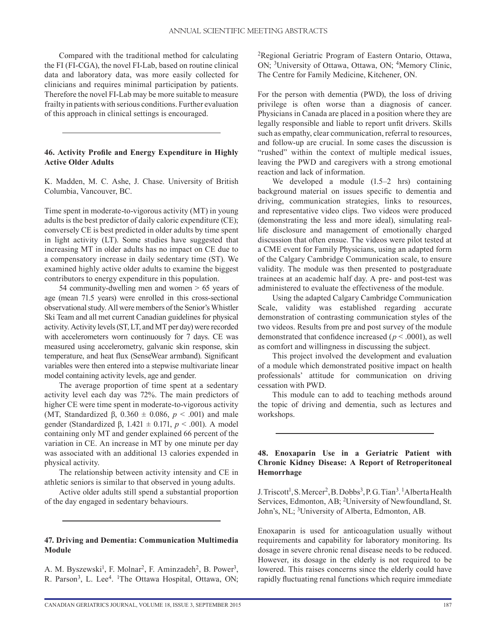Compared with the traditional method for calculating the FI (FI-CGA), the novel FI-Lab, based on routine clinical data and laboratory data, was more easily collected for clinicians and requires minimal participation by patients. Therefore the novel FI-Lab may be more suitable to measure frailty in patients with serious conditions. Further evaluation of this approach in clinical settings is encouraged.

# **46. Activity Profile and Energy Expenditure in Highly Active Older Adults**

K. Madden, M. C. Ashe, J. Chase. University of British Columbia, Vancouver, BC.

Time spent in moderate-to-vigorous activity (MT) in young adults is the best predictor of daily caloric expenditure (CE); conversely CE is best predicted in older adults by time spent in light activity (LT). Some studies have suggested that increasing MT in older adults has no impact on CE due to a compensatory increase in daily sedentary time (ST). We examined highly active older adults to examine the biggest contributors to energy expenditure in this population.

54 community-dwelling men and women > 65 years of age (mean 71.5 years) were enrolled in this cross-sectional observational study. All were members of the Senior's Whistler Ski Team and all met current Canadian guidelines for physical activity. Activity levels (ST, LT, and MT per day) were recorded with accelerometers worn continuously for 7 days. CE was measured using accelerometry, galvanic skin response, skin temperature, and heat flux (SenseWear armband). Significant variables were then entered into a stepwise multivariate linear model containing activity levels, age and gender.

The average proportion of time spent at a sedentary activity level each day was 72%. The main predictors of higher CE were time spent in moderate-to-vigorous activity (MT, Standardized β,  $0.360 \pm 0.086$ ,  $p < .001$ ) and male gender (Standardized β, 1.421 ± 0.171, *p* < .001). A model containing only MT and gender explained 66 percent of the variation in CE. An increase in MT by one minute per day was associated with an additional 13 calories expended in physical activity.

The relationship between activity intensity and CE in athletic seniors is similar to that observed in young adults.

Active older adults still spend a substantial proportion of the day engaged in sedentary behaviours.

#### **47. Driving and Dementia: Communication Multimedia Module**

A. M. Byszewski<sup>1</sup>, F. Molnar<sup>2</sup>, F. Aminzadeh<sup>2</sup>, B. Power<sup>3</sup>, R. Parson<sup>3</sup>, L. Lee<sup>4</sup>. <sup>1</sup>The Ottawa Hospital, Ottawa, ON; 2Regional Geriatric Program of Eastern Ontario, Ottawa, ON; 3University of Ottawa, Ottawa, ON; 4Memory Clinic, The Centre for Family Medicine, Kitchener, ON.

For the person with dementia (PWD), the loss of driving privilege is often worse than a diagnosis of cancer. Physicians in Canada are placed in a position where they are legally responsible and liable to report unfit drivers. Skills such as empathy, clear communication, referral to resources, and follow-up are crucial. In some cases the discussion is "rushed" within the context of multiple medical issues, leaving the PWD and caregivers with a strong emotional reaction and lack of information.

We developed a module  $(1.5-2$  hrs) containing background material on issues specific to dementia and driving, communication strategies, links to resources, and representative video clips. Two videos were produced (demonstrating the less and more ideal), simulating reallife disclosure and management of emotionally charged discussion that often ensue. The videos were pilot tested at a CME event for Family Physicians, using an adapted form of the Calgary Cambridge Communication scale, to ensure validity. The module was then presented to postgraduate trainees at an academic half day. A pre- and post-test was administered to evaluate the effectiveness of the module.

Using the adapted Calgary Cambridge Communication Scale, validity was established regarding accurate demonstration of contrasting communication styles of the two videos. Results from pre and post survey of the module demonstrated that confidence increased ( $p < .0001$ ), as well as comfort and willingness in discussing the subject.

This project involved the development and evaluation of a module which demonstrated positive impact on health professionals' attitude for communication on driving cessation with PWD.

This module can to add to teaching methods around the topic of driving and dementia, such as lectures and workshops.

# **48. Enoxaparin Use in a Geriatric Patient with Chronic Kidney Disease: A Report of Retroperitoneal Hemorrhage**

J. Triscott<sup>1</sup>, S. Mercer<sup>2</sup>, B. Dobbs<sup>3</sup>, P. G. Tian<sup>3</sup>. <sup>1</sup>Alberta Health Services, Edmonton, AB; 2University of Newfoundland, St. John's, NL; 3University of Alberta, Edmonton, AB.

Enoxaparin is used for anticoagulation usually without requirements and capability for laboratory monitoring. Its dosage in severe chronic renal disease needs to be reduced. However, its dosage in the elderly is not required to be lowered. This raises concerns since the elderly could have rapidly fluctuating renal functions which require immediate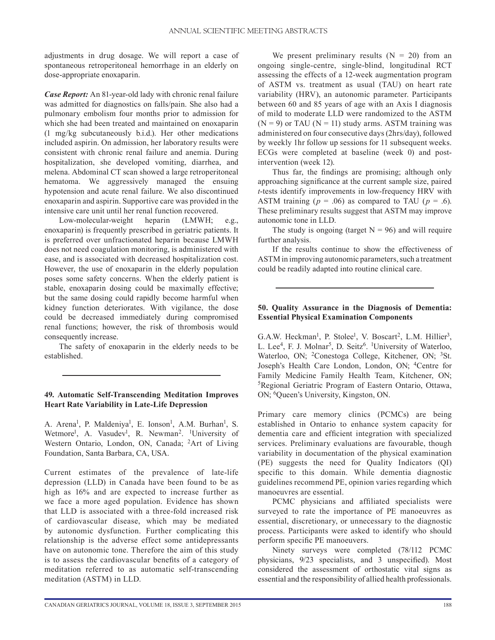adjustments in drug dosage. We will report a case of spontaneous retroperitoneal hemorrhage in an elderly on dose-appropriate enoxaparin.

*Case Report:* An 81-year-old lady with chronic renal failure was admitted for diagnostics on falls/pain. She also had a pulmonary embolism four months prior to admission for which she had been treated and maintained on enoxaparin (1 mg/kg subcutaneously b.i.d.). Her other medications included aspirin. On admission, her laboratory results were consistent with chronic renal failure and anemia. During hospitalization, she developed vomiting, diarrhea, and melena. Abdominal CT scan showed a large retroperitoneal hematoma. We aggressively managed the ensuing hypotension and acute renal failure. We also discontinued enoxaparin and aspirin. Supportive care was provided in the intensive care unit until her renal function recovered.

Low-molecular-weight heparin (LMWH; e.g., enoxaparin) is frequently prescribed in geriatric patients. It is preferred over unfractionated heparin because LMWH does not need coagulation monitoring, is administered with ease, and is associated with decreased hospitalization cost. However, the use of enoxaparin in the elderly population poses some safety concerns. When the elderly patient is stable, enoxaparin dosing could be maximally effective; but the same dosing could rapidly become harmful when kidney function deteriorates. With vigilance, the dose could be decreased immediately during compromised renal functions; however, the risk of thrombosis would consequently increase.

The safety of enoxaparin in the elderly needs to be established.

# **49. Automatic Self-Transcending Meditation Improves Heart Rate Variability in Late-Life Depression**

A. Arena<sup>1</sup>, P. Maldeniya<sup>1</sup>, E. Ionson<sup>1</sup>, A.M. Burhan<sup>1</sup>, S. Wetmore<sup>1</sup>, A. Vasudev<sup>1</sup>, R. Newman<sup>2</sup>. <sup>1</sup>University of Western Ontario, London, ON, Canada; 2Art of Living Foundation, Santa Barbara, CA, USA.

Current estimates of the prevalence of late-life depression (LLD) in Canada have been found to be as high as 16% and are expected to increase further as we face a more aged population. Evidence has shown that LLD is associated with a three-fold increased risk of cardiovascular disease, which may be mediated by autonomic dysfunction. Further complicating this relationship is the adverse effect some antidepressants have on autonomic tone. Therefore the aim of this study is to assess the cardiovascular benefits of a category of meditation referred to as automatic self-transcending meditation (ASTM) in LLD.

We present preliminary results  $(N = 20)$  from an ongoing single-centre, single-blind, longitudinal RCT assessing the effects of a 12-week augmentation program of ASTM vs. treatment as usual (TAU) on heart rate variability (HRV), an autonomic parameter. Participants between 60 and 85 years of age with an Axis I diagnosis of mild to moderate LLD were randomized to the ASTM  $(N = 9)$  or TAU  $(N = 11)$  study arms. ASTM training was administered on four consecutive days (2hrs/day), followed by weekly 1hr follow up sessions for 11 subsequent weeks. ECGs were completed at baseline (week 0) and postintervention (week 12).

Thus far, the findings are promising; although only approaching significance at the current sample size, paired *t*-tests identify improvements in low-frequency HRV with ASTM training ( $p = .06$ ) as compared to TAU ( $p = .6$ ). These preliminary results suggest that ASTM may improve autonomic tone in LLD.

The study is ongoing (target  $N = 96$ ) and will require further analysis.

If the results continue to show the effectiveness of ASTM in improving autonomic parameters, such a treatment could be readily adapted into routine clinical care.

# **50. Quality Assurance in the Diagnosis of Dementia: Essential Physical Examination Components**

G.A.W. Heckman<sup>1</sup>, P. Stolee<sup>1</sup>, V. Boscart<sup>2</sup>, L.M. Hillier<sup>3</sup>, L. Lee<sup>4</sup>, F. J. Molnar<sup>5</sup>, D. Seitz<sup>6</sup>. <sup>1</sup>University of Waterloo, Waterloo, ON; <sup>2</sup>Conestoga College, Kitchener, ON; <sup>3</sup>St. Joseph's Health Care London, London, ON; 4Centre for Family Medicine Family Health Team, Kitchener, ON; 5Regional Geriatric Program of Eastern Ontario, Ottawa, ON; 6Queen's University, Kingston, ON.

Primary care memory clinics (PCMCs) are being established in Ontario to enhance system capacity for dementia care and efficient integration with specialized services. Preliminary evaluations are favourable, though variability in documentation of the physical examination (PE) suggests the need for Quality Indicators (QI) specific to this domain. While dementia diagnostic guidelines recommend PE, opinion varies regarding which manoeuvres are essential.

PCMC physicians and affiliated specialists were surveyed to rate the importance of PE manoeuvres as essential, discretionary, or unnecessary to the diagnostic process. Participants were asked to identify who should perform specific PE manoeuvers.

Ninety surveys were completed (78/112 PCMC physicians, 9/23 specialists, and 3 unspecified). Most considered the assessment of orthostatic vital signs as essential and the responsibility of allied health professionals.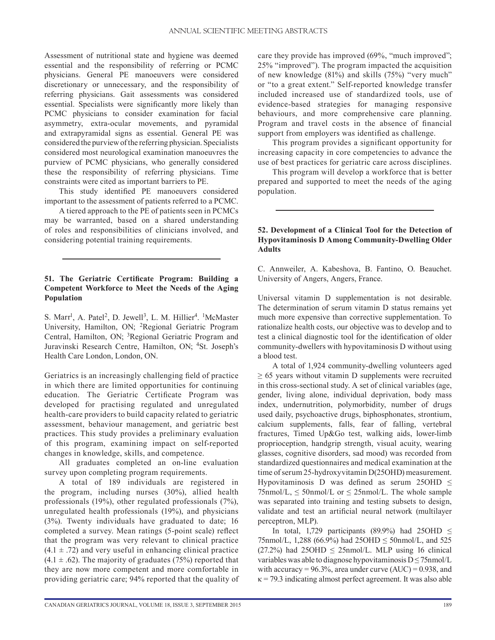Assessment of nutritional state and hygiene was deemed essential and the responsibility of referring or PCMC physicians. General PE manoeuvers were considered discretionary or unnecessary, and the responsibility of referring physicians. Gait assessments was considered essential. Specialists were significantly more likely than PCMC physicians to consider examination for facial asymmetry, extra-ocular movements, and pyramidal and extrapyramidal signs as essential. General PE was considered the purview of the referring physician. Specialists considered most neurological examination manoeuvres the purview of PCMC physicians, who generally considered these the responsibility of referring physicians. Time constraints were cited as important barriers to PE.

This study identified PE manoeuvers considered important to the assessment of patients referred to a PCMC.

A tiered approach to the PE of patients seen in PCMCs may be warranted, based on a shared understanding of roles and responsibilities of clinicians involved, and considering potential training requirements.

# **51. The Geriatric Certificate Program: Building a Competent Workforce to Meet the Needs of the Aging Population**

S. Marr<sup>1</sup>, A. Patel<sup>2</sup>, D. Jewell<sup>3</sup>, L. M. Hillier<sup>4</sup>. <sup>1</sup>McMaster University, Hamilton, ON; 2Regional Geriatric Program Central, Hamilton, ON; 3Regional Geriatric Program and Juravinski Research Centre, Hamilton, ON; 4St. Joseph's Health Care London, London, ON.

Geriatrics is an increasingly challenging field of practice in which there are limited opportunities for continuing education. The Geriatric Certificate Program was developed for practising regulated and unregulated health-care providers to build capacity related to geriatric assessment, behaviour management, and geriatric best practices. This study provides a preliminary evaluation of this program, examining impact on self-reported changes in knowledge, skills, and competence.

All graduates completed an on-line evaluation survey upon completing program requirements.

A total of 189 individuals are registered in the program, including nurses (30%), allied health professionals (19%), other regulated professionals (7%), unregulated health professionals (19%), and physicians (3%). Twenty individuals have graduated to date; 16 completed a survey. Mean ratings (5-point scale) reflect that the program was very relevant to clinical practice  $(4.1 \pm .72)$  and very useful in enhancing clinical practice  $(4.1 \pm .62)$ . The majority of graduates (75%) reported that they are now more competent and more comfortable in providing geriatric care; 94% reported that the quality of care they provide has improved (69%, "much improved"; 25% "improved"). The program impacted the acquisition of new knowledge (81%) and skills (75%) "very much" or "to a great extent." Self-reported knowledge transfer included increased use of standardized tools, use of evidence-based strategies for managing responsive behaviours, and more comprehensive care planning. Program and travel costs in the absence of financial support from employers was identified as challenge.

This program provides a significant opportunity for increasing capacity in core competencies to advance the use of best practices for geriatric care across disciplines.

This program will develop a workforce that is better prepared and supported to meet the needs of the aging population.

# **52. Development of a Clinical Tool for the Detection of Hypovitaminosis D Among Community-Dwelling Older Adults**

C. Annweiler, A. Kabeshova, B. Fantino, O. Beauchet. University of Angers, Angers, France.

Universal vitamin D supplementation is not desirable. The determination of serum vitamin D status remains yet much more expensive than corrective supplementation. To rationalize health costs, our objective was to develop and to test a clinical diagnostic tool for the identification of older community-dwellers with hypovitaminosis D without using a blood test.

A total of 1,924 community-dwelling volunteers aged  $\geq$  65 years without vitamin D supplements were recruited in this cross-sectional study. A set of clinical variables (age, gender, living alone, individual deprivation, body mass index, undernutrition, polymorbidity, number of drugs used daily, psychoactive drugs, biphosphonates, strontium, calcium supplements, falls, fear of falling, vertebral fractures, Timed Up&Go test, walking aids, lower-limb proprioception, handgrip strength, visual acuity, wearing glasses, cognitive disorders, sad mood) was recorded from standardized questionnaires and medical examination at the time of serum 25-hydroxyvitamin D(25OHD) measurement. Hypovitaminosis D was defined as serum 25OHD ≤  $75$ nmol/L,  $\leq 50$ nmol/L or  $\leq 25$ nmol/L. The whole sample was separated into training and testing subsets to design, validate and test an artificial neural network (multilayer perceptron, MLP).

In total, 1,729 participants (89.9%) had 250HD  $\leq$ 75nmol/L, 1,288 (66.9%) had  $25OHD \leq 50$ nmol/L, and 525  $(27.2\%)$  had  $25OHD \leq 25nmol/L$ . MLP using 16 clinical variables was able to diagnose hypovitaminosis  $D \le 75$ nmol/L with accuracy =  $96.3\%$ , area under curve (AUC) = 0.938, and  $\kappa$  = 79.3 indicating almost perfect agreement. It was also able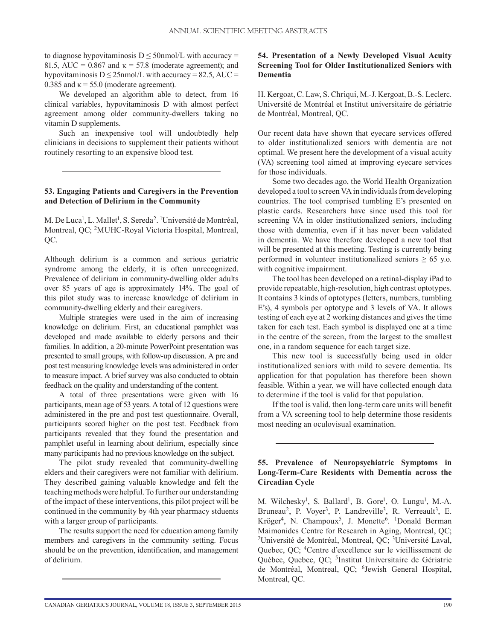to diagnose hypovitaminosis  $D \leq 50$ nmol/L with accuracy = 81.5, AUC = 0.867 and  $\kappa$  = 57.8 (moderate agreement); and hypovitaminosis  $D \le 25$ nmol/L with accuracy = 82.5, AUC = 0.385 and  $\kappa$  = 55.0 (moderate agreement).

We developed an algorithm able to detect, from 16 clinical variables, hypovitaminosis D with almost perfect agreement among older community-dwellers taking no vitamin D supplements.

Such an inexpensive tool will undoubtedly help clinicians in decisions to supplement their patients without routinely resorting to an expensive blood test.

# **53. Engaging Patients and Caregivers in the Prevention and Detection of Delirium in the Community**

M. De Luca<sup>1</sup>, L. Mallet<sup>1</sup>, S. Sereda<sup>2</sup>. <sup>1</sup>Université de Montréal, Montreal, QC; 2MUHC-Royal Victoria Hospital, Montreal, QC.

Although delirium is a common and serious geriatric syndrome among the elderly, it is often unrecognized. Prevalence of delirium in community-dwelling older adults over 85 years of age is approximately 14%. The goal of this pilot study was to increase knowledge of delirium in community-dwelling elderly and their caregivers.

Multiple strategies were used in the aim of increasing knowledge on delirium. First, an educational pamphlet was developed and made available to elderly persons and their families. In addition, a 20-minute PowerPoint presentation was presented to small groups, with follow-up discussion. A pre and post test measuring knowledge levels was administered in order to measure impact. A brief survey was also conducted to obtain feedback on the quality and understanding of the content.

A total of three presentations were given with 16 participants, mean age of 53 years. A total of 12 questions were administered in the pre and post test questionnaire. Overall, participants scored higher on the post test. Feedback from participants revealed that they found the presentation and pamphlet useful in learning about delirium, especially since many participants had no previous knowledge on the subject.

The pilot study revealed that community-dwelling elders and their caregivers were not familiar with delirium. They described gaining valuable knowledge and felt the teaching methods were helpful. To further our understanding of the impact of these interventions, this pilot project will be continued in the community by 4th year pharmacy stduents with a larger group of participants.

The results support the need for education among family members and caregivers in the community setting. Focus should be on the prevention, identification, and management of delirium.

# **54. Presentation of a Newly Developed Visual Acuity Screening Tool for Older Institutionalized Seniors with Dementia**

H. Kergoat, C. Law, S. Chriqui, M.-J. Kergoat, B.-S. Leclerc. Université de Montréal et Institut universitaire de gériatrie de Montréal, Montreal, QC.

Our recent data have shown that eyecare services offered to older institutionalized seniors with dementia are not optimal. We present here the development of a visual acuity (VA) screening tool aimed at improving eyecare services for those individuals.

Some two decades ago, the World Health Organization developed a tool to screen VA in individuals from developing countries. The tool comprised tumbling E's presented on plastic cards. Researchers have since used this tool for screening VA in older institutionalized seniors, including those with dementia, even if it has never been validated in dementia. We have therefore developed a new tool that will be presented at this meeting. Testing is currently being performed in volunteer institutionalized seniors  $\geq 65$  y.o. with cognitive impairment.

The tool has been developed on a retinal-display iPad to provide repeatable, high-resolution, high contrast optotypes. It contains 3 kinds of optotypes (letters, numbers, tumbling E's), 4 symbols per optotype and 3 levels of VA. It allows testing of each eye at 2 working distances and gives the time taken for each test. Each symbol is displayed one at a time in the centre of the screen, from the largest to the smallest one, in a random sequence for each target size.

This new tool is successfully being used in older institutionalized seniors with mild to severe dementia. Its application for that population has therefore been shown feasible. Within a year, we will have collected enough data to determine if the tool is valid for that population.

If the tool is valid, then long-term care units will benefit from a VA screening tool to help determine those residents most needing an oculovisual examination.

# **55. Prevalence of Neuropsychiatric Symptoms in Long-Term-Care Residents with Dementia across the Circadian Cycle**

M. Wilchesky<sup>1</sup>, S. Ballard<sup>1</sup>, B. Gore<sup>1</sup>, O. Lungu<sup>1</sup>, M.-A. Bruneau<sup>2</sup>, P. Voyer<sup>3</sup>, P. Landreville<sup>3</sup>, R. Verreault<sup>3</sup>, E. Kröger<sup>4</sup>, N. Champoux<sup>5</sup>, J. Monette<sup>6</sup>. <sup>1</sup>Donald Berman Maimonides Centre for Research in Aging, Montreal, QC; 2Université de Montréal, Montreal, QC; 3Université Laval, Quebec, QC; 4Centre d'excellence sur le vieillissement de Québec, Quebec, QC; 5Institut Universitaire de Gériatrie de Montréal, Montreal, QC; 6Jewish General Hospital, Montreal, QC.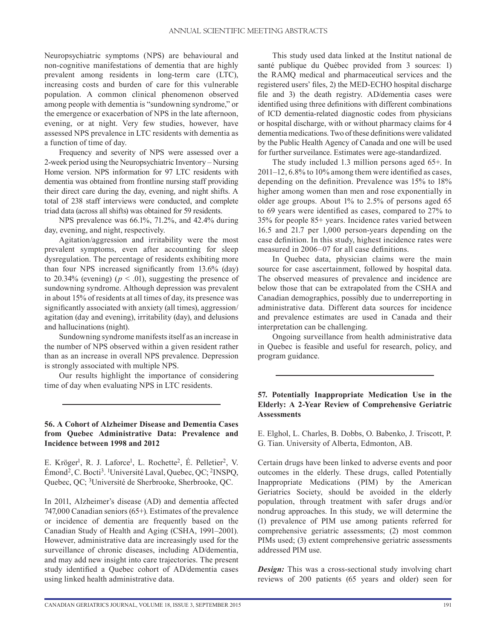Neuropsychiatric symptoms (NPS) are behavioural and non-cognitive manifestations of dementia that are highly prevalent among residents in long-term care (LTC), increasing costs and burden of care for this vulnerable population. A common clinical phenomenon observed among people with dementia is "sundowning syndrome," or the emergence or exacerbation of NPS in the late afternoon, evening, or at night. Very few studies, however, have assessed NPS prevalence in LTC residents with dementia as a function of time of day.

Frequency and severity of NPS were assessed over a 2-week period using the Neuropsychiatric Inventory – Nursing Home version. NPS information for 97 LTC residents with dementia was obtained from frontline nursing staff providing their direct care during the day, evening, and night shifts. A total of 238 staff interviews were conducted, and complete triad data (across all shifts) was obtained for 59 residents.

NPS prevalence was 66.1%, 71.2%, and 42.4% during day, evening, and night, respectively.

Agitation/aggression and irritability were the most prevalent symptoms, even after accounting for sleep dysregulation. The percentage of residents exhibiting more than four NPS increased significantly from 13.6% (day) to 20.34% (evening) ( $p < .01$ ), suggesting the presence of sundowning syndrome. Although depression was prevalent in about 15% of residents at all times of day, its presence was significantly associated with anxiety (all times), aggression/ agitation (day and evening), irritability (day), and delusions and hallucinations (night).

Sundowning syndrome manifests itself as an increase in the number of NPS observed within a given resident rather than as an increase in overall NPS prevalence. Depression is strongly associated with multiple NPS.

Our results highlight the importance of considering time of day when evaluating NPS in LTC residents.

#### **56. A Cohort of Alzheimer Disease and Dementia Cases from Quebec Administrative Data: Prevalence and Incidence between 1998 and 2012**

E. Kröger<sup>1</sup>, R. J. Laforce<sup>1</sup>, L. Rochette<sup>2</sup>, É. Pelletier<sup>2</sup>, V. Émond<sup>2</sup>, C. Bocti<sup>3</sup>. <sup>1</sup>Université Laval, Quebec, QC; <sup>2</sup>INSPQ, Quebec, QC; 3Université de Sherbrooke, Sherbrooke, QC.

In 2011, Alzheimer's disease (AD) and dementia affected 747,000 Canadian seniors (65+). Estimates of the prevalence or incidence of dementia are frequently based on the Canadian Study of Health and Aging (CSHA, 1991–2001). However, administrative data are increasingly used for the surveillance of chronic diseases, including AD/dementia, and may add new insight into care trajectories. The present study identified a Quebec cohort of AD/dementia cases using linked health administrative data.

This study used data linked at the Institut national de santé publique du Québec provided from 3 sources: 1) the RAMQ medical and pharmaceutical services and the registered users' files, 2) the MED-ECHO hospital discharge file and 3) the death registry. AD/dementia cases were identified using three definitions with different combinations of ICD dementia-related diagnostic codes from physicians or hospital discharge, with or without pharmacy claims for 4 dementia medications. Two of these definitions were validated by the Public Health Agency of Canada and one will be used for further surveilance. Estimates were age-standardized.

The study included 1.3 million persons aged 65+. In 2011–12, 6.8% to 10% among them were identified as cases, depending on the definition. Prevalence was 15% to 18% higher among women than men and rose exponentially in older age groups. About 1% to 2.5% of persons aged 65 to 69 years were identified as cases, compared to 27% to 35% for people 85+ years. Incidence rates varied between 16.5 and 21.7 per 1,000 person-years depending on the case definition. In this study, highest incidence rates were measured in 2006–07 for all case definitions.

In Quebec data, physician claims were the main source for case ascertainment, followed by hospital data. The observed measures of prevalence and incidence are below those that can be extrapolated from the CSHA and Canadian demographics, possibly due to underreporting in administrative data. Different data sources for incidence and prevalence estimates are used in Canada and their interpretation can be challenging.

Ongoing surveillance from health administrative data in Quebec is feasible and useful for research, policy, and program guidance.

## **57. Potentially Inappropriate Medication Use in the Elderly: A 2-Year Review of Comprehensive Geriatric Assessments**

E. Elghol, L. Charles, B. Dobbs, O. Babenko, J. Triscott, P. G. Tian. University of Alberta, Edmonton, AB.

Certain drugs have been linked to adverse events and poor outcomes in the elderly. These drugs, called Potentially Inappropriate Medications (PIM) by the American Geriatrics Society, should be avoided in the elderly population, through treatment with safer drugs and/or nondrug approaches. In this study, we will determine the (1) prevalence of PIM use among patients referred for comprehensive geriatric assessments; (2) most common PIMs used; (3) extent comprehensive geriatric assessments addressed PIM use.

*Design:* This was a cross-sectional study involving chart reviews of 200 patients (65 years and older) seen for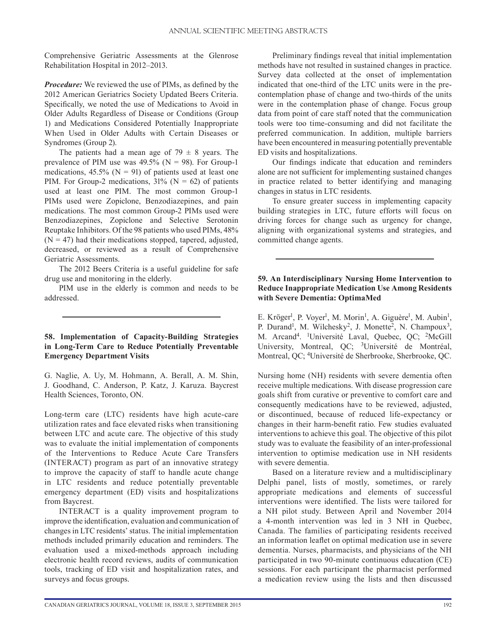Comprehensive Geriatric Assessments at the Glenrose Rehabilitation Hospital in 2012–2013.

*Procedure:* We reviewed the use of PIMs, as defined by the 2012 American Geriatrics Society Updated Beers Criteria. Specifically, we noted the use of Medications to Avoid in Older Adults Regardless of Disease or Conditions (Group 1) and Medications Considered Potentially Inappropriate When Used in Older Adults with Certain Diseases or Syndromes (Group 2).

The patients had a mean age of  $79 \pm 8$  years. The prevalence of PIM use was  $49.5\%$  (N = 98). For Group-1 medications,  $45.5\%$  (N = 91) of patients used at least one PIM. For Group-2 medications,  $31\%$  (N = 62) of patients used at least one PIM. The most common Group-1 PIMs used were Zopiclone, Benzodiazepines, and pain medications. The most common Group-2 PIMs used were Benzodiazepines, Zopiclone and Selective Serotonin Reuptake Inhibitors. Of the 98 patients who used PIMs, 48%  $(N = 47)$  had their medications stopped, tapered, adjusted, decreased, or reviewed as a result of Comprehensive Geriatric Assessments.

The 2012 Beers Criteria is a useful guideline for safe drug use and monitoring in the elderly.

PIM use in the elderly is common and needs to be addressed.

# **58. Implementation of Capacity-Building Strategies in Long-Term Care to Reduce Potentially Preventable Emergency Department Visits**

G. Naglie, A. Uy, M. Hohmann, A. Berall, A. M. Shin, J. Goodhand, C. Anderson, P. Katz, J. Karuza. Baycrest Health Sciences, Toronto, ON.

Long-term care (LTC) residents have high acute-care utilization rates and face elevated risks when transitioning between LTC and acute care. The objective of this study was to evaluate the initial implementation of components of the Interventions to Reduce Acute Care Transfers (INTERACT) program as part of an innovative strategy to improve the capacity of staff to handle acute change in LTC residents and reduce potentially preventable emergency department (ED) visits and hospitalizations from Baycrest.

INTERACT is a quality improvement program to improve the identification, evaluation and communication of changes in LTC residents' status. The initial implementation methods included primarily education and reminders. The evaluation used a mixed-methods approach including electronic health record reviews, audits of communication tools, tracking of ED visit and hospitalization rates, and surveys and focus groups.

Preliminary findings reveal that initial implementation methods have not resulted in sustained changes in practice. Survey data collected at the onset of implementation indicated that one-third of the LTC units were in the precontemplation phase of change and two-thirds of the units were in the contemplation phase of change. Focus group data from point of care staff noted that the communication tools were too time-consuming and did not facilitate the preferred communication. In addition, multiple barriers have been encountered in measuring potentially preventable ED visits and hospitalizations.

Our findings indicate that education and reminders alone are not sufficient for implementing sustained changes in practice related to better identifying and managing changes in status in LTC residents.

To ensure greater success in implementing capacity building strategies in LTC, future efforts will focus on driving forces for change such as urgency for change, aligning with organizational systems and strategies, and committed change agents.

## **59. An Interdisciplinary Nursing Home Intervention to Reduce Inappropriate Medication Use Among Residents with Severe Dementia: OptimaMed**

E. Kröger<sup>1</sup>, P. Voyer<sup>1</sup>, M. Morin<sup>1</sup>, A. Giguère<sup>1</sup>, M. Aubin<sup>1</sup>, P. Durand<sup>1</sup>, M. Wilchesky<sup>2</sup>, J. Monette<sup>2</sup>, N. Champoux<sup>3</sup>, M. Arcand<sup>4</sup>. <sup>1</sup>Université Laval, Quebec, QC; <sup>2</sup>McGill University, Montreal, QC; 3Université de Montréal, Montreal, QC; 4Université de Sherbrooke, Sherbrooke, QC.

Nursing home (NH) residents with severe dementia often receive multiple medications. With disease progression care goals shift from curative or preventive to comfort care and consequently medications have to be reviewed, adjusted, or discontinued, because of reduced life-expectancy or changes in their harm-benefit ratio. Few studies evaluated interventions to achieve this goal. The objective of this pilot study was to evaluate the feasibility of an inter-professional intervention to optimise medication use in NH residents with severe dementia.

Based on a literature review and a multidisciplinary Delphi panel, lists of mostly, sometimes, or rarely appropriate medications and elements of successful interventions were identified. The lists were tailored for a NH pilot study. Between April and November 2014 a 4-month intervention was led in 3 NH in Quebec, Canada. The families of participating residents received an information leaflet on optimal medication use in severe dementia. Nurses, pharmacists, and physicians of the NH participated in two 90-minute continuous education (CE) sessions. For each participant the pharmacist performed a medication review using the lists and then discussed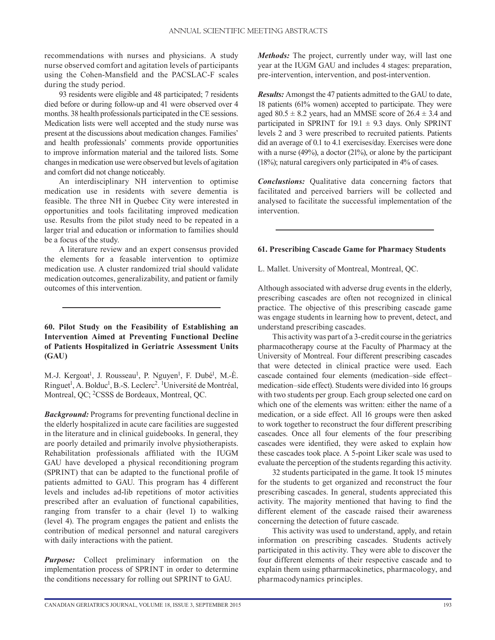recommendations with nurses and physicians. A study nurse observed comfort and agitation levels of participants using the Cohen-Mansfield and the PACSLAC-F scales during the study period.

93 residents were eligible and 48 participated; 7 residents died before or during follow-up and 41 were observed over 4 months. 38 health professionals participated in the CE sessions. Medication lists were well accepted and the study nurse was present at the discussions about medication changes. Families' and health professionals' comments provide opportunities to improve information material and the tailored lists. Some changes in medication use were observed but levels of agitation and comfort did not change noticeably.

An interdisciplinary NH intervention to optimise medication use in residents with severe dementia is feasible. The three NH in Quebec City were interested in opportunities and tools facilitating improved medication use. Results from the pilot study need to be repeated in a larger trial and education or information to families should be a focus of the study.

A literature review and an expert consensus provided the elements for a feasable intervention to optimize medication use. A cluster randomized trial should validate medication outcomes, generalizability, and patient or family outcomes of this intervention.

#### **60. Pilot Study on the Feasibility of Establishing an Intervention Aimed at Preventing Functional Decline of Patients Hospitalized in Geriatric Assessment Units (GAU)**

M.-J. Kergoat<sup>1</sup>, J. Rousseau<sup>1</sup>, P. Nguyen<sup>1</sup>, F. Dubé<sup>1</sup>, M.-È. Ringuet<sup>1</sup>, A. Bolduc<sup>1</sup>, B.-S. Leclerc<sup>2</sup>. <sup>1</sup>Université de Montréal, Montreal, QC; 2CSSS de Bordeaux, Montreal, QC.

*Background:* Programs for preventing functional decline in the elderly hospitalized in acute care facilities are suggested in the literature and in clinical guidebooks. In general, they are poorly detailed and primarily involve physiotherapists. Rehabilitation professionals affiliated with the IUGM GAU have developed a physical reconditioning program (SPRINT) that can be adapted to the functional profile of patients admitted to GAU. This program has 4 different levels and includes ad-lib repetitions of motor activities prescribed after an evaluation of functional capabilities, ranging from transfer to a chair (level 1) to walking (level 4). The program engages the patient and enlists the contribution of medical personnel and natural caregivers with daily interactions with the patient.

*Purpose:* Collect preliminary information on the implementation process of SPRINT in order to determine the conditions necessary for rolling out SPRINT to GAU.

*Methods:* The project, currently under way, will last one year at the IUGM GAU and includes 4 stages: preparation, pre-intervention, intervention, and post-intervention.

*Results:* Amongst the 47 patients admitted to the GAU to date, 18 patients (61% women) accepted to participate. They were aged  $80.5 \pm 8.2$  years, had an MMSE score of  $26.4 \pm 3.4$  and participated in SPRINT for  $19.1 \pm 9.3$  days. Only SPRINT levels 2 and 3 were prescribed to recruited patients. Patients did an average of 0.1 to 4.1 exercises/day. Exercises were done with a nurse (49%), a doctor (21%), or alone by the participant (18%); natural caregivers only participated in 4% of cases.

*Conclustions:* Qualitative data concerning factors that facilitated and perceived barriers will be collected and analysed to facilitate the successful implementation of the intervention.

#### **61. Prescribing Cascade Game for Pharmacy Students**

L. Mallet. University of Montreal, Montreal, QC.

Although associated with adverse drug events in the elderly, prescribing cascades are often not recognized in clinical practice. The objective of this prescribing cascade game was engage students in learning how to prevent, detect, and understand prescribing cascades.

This activity was part of a 3-credit course in the geriatrics pharmacotherapy course at the Faculty of Pharmacy at the University of Montreal. Four different prescribing cascades that were detected in clinical practice were used. Each cascade contained four elements (medication–side effect– medication–side effect). Students were divided into 16 groups with two students per group. Each group selected one card on which one of the elements was written: either the name of a medication, or a side effect. All 16 groups were then asked to work together to reconstruct the four different prescribing cascades. Once all four elements of the four prescribing cascades were identified, they were asked to explain how these cascades took place. A 5-point Liker scale was used to evaluate the perception of the students regarding this activity.

32 students participated in the game. It took 15 minutes for the students to get organized and reconstruct the four prescribing cascades. In general, students appreciated this activity. The majority mentioned that having to find the different element of the cascade raised their awareness concerning the detection of future cascade.

This activity was used to understand, apply, and retain information on prescribing cascades. Students actively participated in this activity. They were able to discover the four different elements of their respective cascade and to explain them using ptharmacokinetics, pharmacology, and pharmacodynamics principles.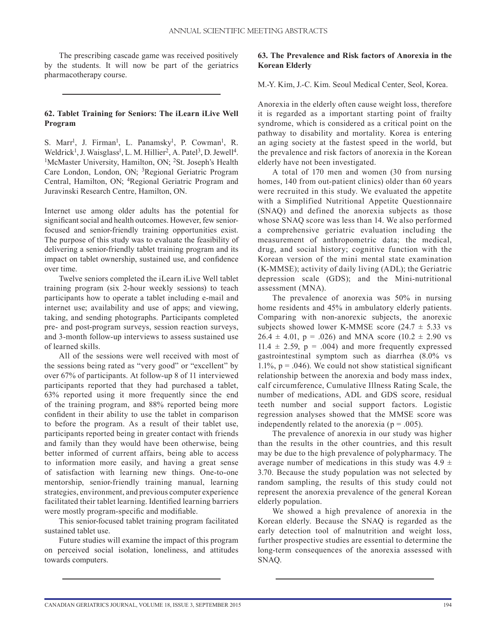The prescribing cascade game was received positively by the students. It will now be part of the geriatrics pharmacotherapy course.

# **62. Tablet Training for Seniors: The iLearn iLive Well Program**

S. Marr<sup>1</sup>, J. Firman<sup>1</sup>, L. Panamsky<sup>1</sup>, P. Cowman<sup>1</sup>, R. Weldrick<sup>1</sup>, J. Waisglass<sup>1</sup> <sup>1</sup>McMaster University, Hamilton, ON; <sup>2</sup>St. Joseph's Health Care London, London, ON; 3Regional Geriatric Program Central, Hamilton, ON; 4Regional Geriatric Program and Juravinski Research Centre, Hamilton, ON.

Internet use among older adults has the potential for significant social and health outcomes. However, few seniorfocused and senior-friendly training opportunities exist. The purpose of this study was to evaluate the feasibility of delivering a senior-friendly tablet training program and its impact on tablet ownership, sustained use, and confidence over time.

Twelve seniors completed the iLearn iLive Well tablet training program (six 2-hour weekly sessions) to teach participants how to operate a tablet including e-mail and internet use; availability and use of apps; and viewing, taking, and sending photographs. Participants completed pre- and post-program surveys, session reaction surveys, and 3-month follow-up interviews to assess sustained use of learned skills.

All of the sessions were well received with most of the sessions being rated as "very good" or "excellent" by over 67% of participants. At follow-up 8 of 11 interviewed participants reported that they had purchased a tablet, 63% reported using it more frequently since the end of the training program, and 88% reported being more confident in their ability to use the tablet in comparison to before the program. As a result of their tablet use, participants reported being in greater contact with friends and family than they would have been otherwise, being better informed of current affairs, being able to access to information more easily, and having a great sense of satisfaction with learning new things. One-to-one mentorship, senior-friendly training manual, learning strategies, environment, and previous computer experience facilitated their tablet learning. Identified learning barriers were mostly program-specific and modifiable.

This senior-focused tablet training program facilitated sustained tablet use.

Future studies will examine the impact of this program on perceived social isolation, loneliness, and attitudes towards computers.

# **63. The Prevalence and Risk factors of Anorexia in the Korean Elderly**

M.-Y. Kim, J.-C. Kim. Seoul Medical Center, Seol, Korea.

Anorexia in the elderly often cause weight loss, therefore it is regarded as a important starting point of frailty syndrome, which is considered as a critical point on the pathway to disability and mortality. Korea is entering an aging society at the fastest speed in the world, but the prevalence and risk factors of anorexia in the Korean elderly have not been investigated.

A total of 170 men and women (30 from nursing homes, 140 from out-patient clinics) older than 60 years were recruited in this study. We evaluated the appetite with a Simplified Nutritional Appetite Questionnaire (SNAQ) and defined the anorexia subjects as those whose SNAQ score was less than 14. We also performed a comprehensive geriatric evaluation including the measurement of anthropometric data; the medical, drug, and social history; cognitive function with the Korean version of the mini mental state examination (K-MMSE); activity of daily living (ADL); the Geriatric depression scale (GDS); and the Mini-nutritional assessment (MNA).

The prevalence of anorexia was 50% in nursing home residents and 45% in ambulatory elderly patients. Comparing with non-anorexic subjects, the anorexic subjects showed lower K-MMSE score  $(24.7 \pm 5.33 \text{ vs }$  $26.4 \pm 4.01$ , p = .026) and MNA score (10.2  $\pm$  2.90 vs 11.4  $\pm$  2.59, p = .004) and more frequently expressed gastrointestinal symptom such as diarrhea (8.0% vs 1.1%,  $p = .046$ ). We could not show statistical significant relationship between the anorexia and body mass index, calf circumference, Cumulative Illness Rating Scale, the number of medications, ADL and GDS score, residual teeth number and social support factors. Logistic regression analyses showed that the MMSE score was independently related to the anorexia ( $p = .005$ ).

The prevalence of anorexia in our study was higher than the results in the other countries, and this result may be due to the high prevalence of polypharmacy. The average number of medications in this study was  $4.9 \pm$ 3.70. Because the study population was not selected by random sampling, the results of this study could not represent the anorexia prevalence of the general Korean elderly population.

We showed a high prevalence of anorexia in the Korean elderly. Because the SNAQ is regarded as the early detection tool of malnutrition and weight loss, further prospective studies are essential to determine the long-term consequences of the anorexia assessed with SNAQ.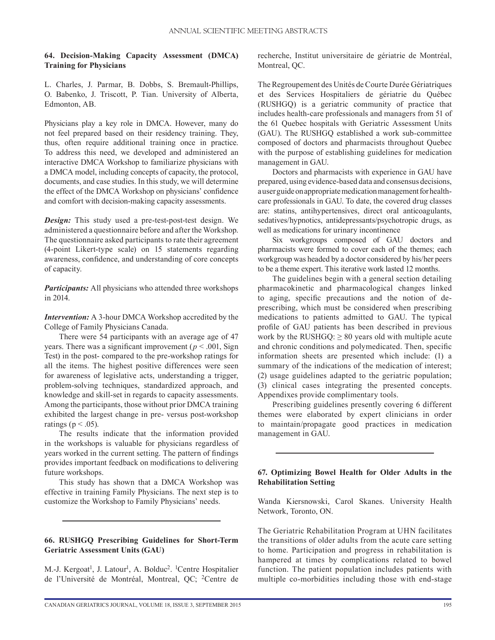# **64. Decision-Making Capacity Assessment (DMCA) Training for Physicians**

L. Charles, J. Parmar, B. Dobbs, S. Bremault-Phillips, O. Babenko, J. Triscott, P. Tian. University of Alberta, Edmonton, AB.

Physicians play a key role in DMCA. However, many do not feel prepared based on their residency training. They, thus, often require additional training once in practice. To address this need, we developed and administered an interactive DMCA Workshop to familiarize physicians with a DMCA model, including concepts of capacity, the protocol, documents, and case studies. In this study, we will determine the effect of the DMCA Workshop on physicians' confidence and comfort with decision-making capacity assessments.

*Design:* This study used a pre-test-post-test design. We administered a questionnaire before and after the Workshop. The questionnaire asked participants to rate their agreement (4-point Likert-type scale) on 15 statements regarding awareness, confidence, and understanding of core concepts of capacity.

*Participants:* All physicians who attended three workshops in 2014.

*Intervention:* A 3-hour DMCA Workshop accredited by the College of Family Physicians Canada.

There were 54 participants with an average age of 47 years. There was a significant improvement ( $p < .001$ , Sign Test) in the post- compared to the pre-workshop ratings for all the items. The highest positive differences were seen for awareness of legislative acts, understanding a trigger, problem-solving techniques, standardized approach, and knowledge and skill-set in regards to capacity assessments. Among the participants, those without prior DMCA training exhibited the largest change in pre- versus post-workshop ratings ( $p < .05$ ).

The results indicate that the information provided in the workshops is valuable for physicians regardless of years worked in the current setting. The pattern of findings provides important feedback on modifications to delivering future workshops.

This study has shown that a DMCA Workshop was effective in training Family Physicians. The next step is to customize the Workshop to Family Physicians' needs.

# **66. RUSHGQ Prescribing Guidelines for Short-Term Geriatric Assessment Units (GAU)**

M.-J. Kergoat<sup>1</sup>, J. Latour<sup>1</sup>, A. Bolduc<sup>2</sup>. <sup>1</sup>Centre Hospitalier de l'Université de Montréal, Montreal, QC; 2Centre de

recherche, Institut universitaire de gériatrie de Montréal, Montreal, QC.

The Regroupement des Unités de Courte Durée Gériatriques et des Services Hospitaliers de gériatrie du Québec (RUSHGQ) is a geriatric community of practice that includes health-care professionals and managers from 51 of the 61 Quebec hospitals with Geriatric Assessment Units (GAU). The RUSHGQ established a work sub-committee composed of doctors and pharmacists throughout Quebec with the purpose of establishing guidelines for medication management in GAU.

Doctors and pharmacists with experience in GAU have prepared, using evidence-based data and consensus decisions, a user guide on appropriate medication management for healthcare professionals in GAU. To date, the covered drug classes are: statins, antihypertensives, direct oral anticoagulants, sedatives/hypnotics, antidepressants/psychotropic drugs, as well as medications for urinary incontinence

Six workgroups composed of GAU doctors and pharmacists were formed to cover each of the themes; each workgroup was headed by a doctor considered by his/her peers to be a theme expert. This iterative work lasted 12 months.

The guidelines begin with a general section detailing pharmacokinetic and pharmacological changes linked to aging, specific precautions and the notion of deprescribing, which must be considered when prescribing medications to patients admitted to GAU. The typical profile of GAU patients has been described in previous work by the RUSHGQ:  $\geq 80$  years old with multiple acute and chronic conditions and polymedicated. Then, specific information sheets are presented which include: (1) a summary of the indications of the medication of interest; (2) usage guidelines adapted to the geriatric population; (3) clinical cases integrating the presented concepts. Appendixes provide complimentary tools.

Prescribing guidelines presently covering 6 different themes were elaborated by expert clinicians in order to maintain/propagate good practices in medication management in GAU.

# **67. Optimizing Bowel Health for Older Adults in the Rehabilitation Setting**

Wanda Kiersnowski, Carol Skanes. University Health Network, Toronto, ON.

The Geriatric Rehabilitation Program at UHN facilitates the transitions of older adults from the acute care setting to home. Participation and progress in rehabilitation is hampered at times by complications related to bowel function. The patient population includes patients with multiple co-morbidities including those with end-stage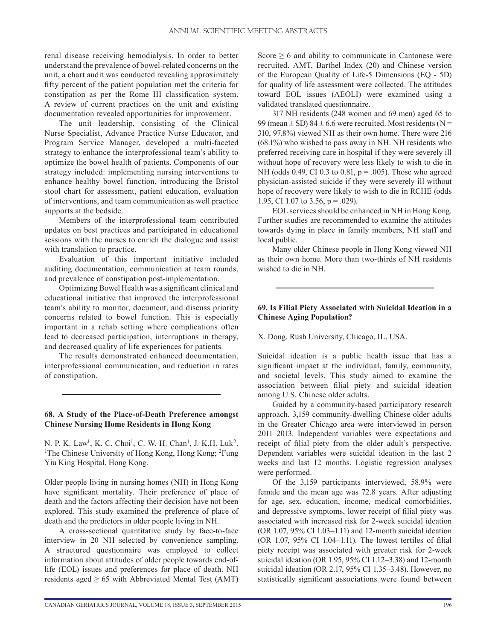renal disease receiving hemodialysis. In order to better understand the prevalence of bowel-related concerns on the unit, a chart audit was conducted revealing approximately fifty percent of the patient population met the criteria for constipation as per the Rome III classification system. A review of current practices on the unit and existing documentation revealed opportunities for improvement.

The unit leadership, consisting of the Clinical Nurse Specialist, Advance Practice Nurse Educator, and Program Service Manager, developed a multi-faceted strategy to enhance the interprofessional team's ability to optimize the bowel health of patients. Components of our strategy included: implementing nursing interventions to enhance healthy bowel function, introducing the Bristol stool chart for assessment, patient education, evaluation of interventions, and team communication as well practice supports at the bedside.

Members of the interprofessional team contributed updates on best practices and participated in educational sessions with the nurses to enrich the dialogue and assist with translation to practice.

Evaluation of this important initiative included auditing documentation, communication at team rounds, and prevalence of constipation post-implementation.

Optimizing Bowel Health was a significant clinical and educational initiative that improved the interprofessional team's ability to monitor, document, and discuss priority concerns related to bowel function. This is especially important in a rehab setting where complications often lead to decreased participation, interruptions in therapy, and decreased quality of life experiences for patients.

The results demonstrated enhanced documentation, interprofessional communication, and reduction in rates of constipation.

#### **68. A Study of the Place-of-Death Preference amongst Chinese Nursing Home Residents in Hong Kong**

N. P. K. Law<sup>1</sup>, K. C. Choi<sup>1</sup>, C. W. H. Chan<sup>1</sup>, J. K.H. Luk<sup>2</sup>.<br><sup>1</sup>The Chinese University of Hong Kong, Hong Kong: <sup>2</sup>Fung. <sup>1</sup>The Chinese University of Hong Kong, Hong Kong; <sup>2</sup>Fung Yiu King Hospital, Hong Kong.

Older people living in nursing homes (NH) in Hong Kong have significant mortality. Their preference of place of death and the factors affecting their decision have not been explored. This study examined the preference of place of death and the predictors in older people living in NH.

A cross-sectional quantitative study by face-to-face interview in 20 NH selected by convenience sampling. A structured questionnaire was employed to collect information about attitudes of older people towards end-oflife (EOL) issues and preferences for place of death. NH residents aged  $\geq 65$  with Abbreviated Mental Test (AMT) Score  $\geq 6$  and ability to communicate in Cantonese were recruited. AMT, Barthel Index (20) and Chinese version of the European Quality of Life-5 Dimensions (EQ - 5D) for quality of life assessment were collected. The attitudes toward EOL issues (AEOLI) were examined using a validated translated questionnaire.

317 NH residents (248 women and 69 men) aged 65 to 99 (mean  $\pm$  SD) 84  $\pm$  6.6 were recruited. Most residents (N = 310, 97.8%) viewed NH as their own home. There were 216 (68.1%) who wished to pass away in NH. NH residents who preferred receiving care in hospital if they were severely ill without hope of recovery were less likely to wish to die in NH (odds 0.49, CI 0.3 to 0.81, p = .005). Those who agreed physician-assisted suicide if they were severely ill without hope of recovery were likely to wish to die in RCHE (odds 1.95, CI 1.07 to 3.56,  $p = .029$ ).

EOL services should be enhanced in NH in Hong Kong. Further studies are recommended to examine the attitudes towards dying in place in family members, NH staff and local public.

Many older Chinese people in Hong Kong viewed NH as their own home. More than two-thirds of NH residents wished to die in NH.

## **69. Is Filial Piety Associated with Suicidal Ideation in a Chinese Aging Population?**

X. Dong. Rush University, Chicago, IL, USA.

Suicidal ideation is a public health issue that has a significant impact at the individual, family, community, and societal levels. This study aimed to examine the association between filial piety and suicidal ideation among U.S. Chinese older adults.

Guided by a community-based participatory research approach, 3,159 community-dwelling Chinese older adults in the Greater Chicago area were interviewed in person 2011–2013. Independent variables were expectations and receipt of filial piety from the older adult's perspective. Dependent variables were suicidal ideation in the last 2 weeks and last 12 months. Logistic regression analyses were performed.

Of the 3,159 participants interviewed, 58.9% were female and the mean age was 72.8 years. After adjusting for age, sex, education, income, medical comorbidities, and depressive symptoms, lower receipt of filial piety was associated with increased risk for 2-week suicidal ideation (OR 1.07, 95% CI 1.03–1.11) and 12-month suicidal ideation (OR 1.07, 95% CI 1.04–1.11). The lowest tertiles of filial piety receipt was associated with greater risk for 2-week suicidal ideation (OR 1.95, 95% CI 1.12–3.38) and 12-month suicidal ideation (OR 2.17, 95% CI 1.35–3.48). However, no statistically significant associations were found between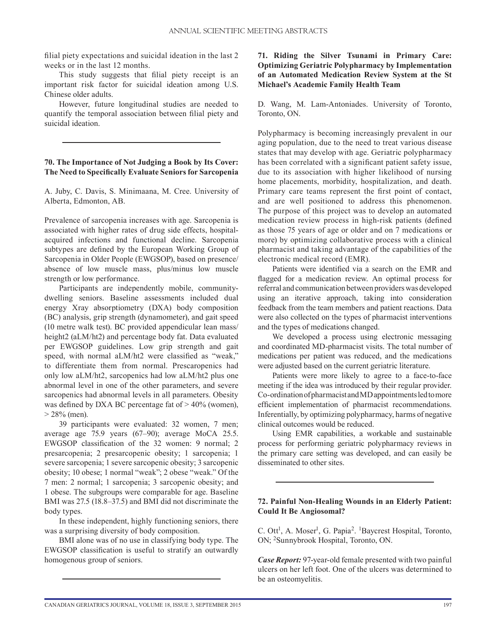filial piety expectations and suicidal ideation in the last 2 weeks or in the last 12 months.

This study suggests that filial piety receipt is an important risk factor for suicidal ideation among U.S. Chinese older adults.

However, future longitudinal studies are needed to quantify the temporal association between filial piety and suicidal ideation.

# **70. The Importance of Not Judging a Book by Its Cover: The Need to Specifically Evaluate Seniors for Sarcopenia**

A. Juby, C. Davis, S. Minimaana, M. Cree. University of Alberta, Edmonton, AB.

Prevalence of sarcopenia increases with age. Sarcopenia is associated with higher rates of drug side effects, hospitalacquired infections and functional decline. Sarcopenia subtypes are defined by the European Working Group of Sarcopenia in Older People (EWGSOP), based on presence/ absence of low muscle mass, plus/minus low muscle strength or low performance.

Participants are independently mobile, communitydwelling seniors. Baseline assessments included dual energy Xray absorptiometry (DXA) body composition (BC) analysis, grip strength (dynamometer), and gait speed (10 metre walk test). BC provided appendicular lean mass/ height2 (aLM/ht2) and percentage body fat. Data evaluated per EWGSOP guidelines. Low grip strength and gait speed, with normal aLM/ht2 were classified as "weak," to differentiate them from normal. Prescaropenics had only low aLM/ht2, sarcopenics had low aLM/ht2 plus one abnormal level in one of the other parameters, and severe sarcopenics had abnormal levels in all parameters. Obesity was defined by DXA BC percentage fat of > 40% (women),  $> 28\%$  (men).

39 participants were evaluated: 32 women, 7 men; average age 75.9 years (67–90); average MoCA 25.5. EWGSOP classification of the 32 women: 9 normal; 2 presarcopenia; 2 presarcopenic obesity; 1 sarcopenia; 1 severe sarcopenia; 1 severe sarcopenic obesity; 3 sarcopenic obesity; 10 obese; 1 normal "weak"; 2 obese "weak." Of the 7 men: 2 normal; 1 sarcopenia; 3 sarcopenic obesity; and 1 obese. The subgroups were comparable for age. Baseline BMI was 27.5 (18.8–37.5) and BMI did not discriminate the body types.

In these independent, highly functioning seniors, there was a surprising diversity of body composition.

BMI alone was of no use in classifying body type. The EWGSOP classification is useful to stratify an outwardly homogenous group of seniors.

# **71. Riding the Silver Tsunami in Primary Care: Optimizing Geriatric Polypharmacy by Implementation of an Automated Medication Review System at the St Michael's Academic Family Health Team**

D. Wang, M. Lam-Antoniades. University of Toronto, Toronto, ON.

Polypharmacy is becoming increasingly prevalent in our aging population, due to the need to treat various disease states that may develop with age. Geriatric polypharmacy has been correlated with a significant patient safety issue, due to its association with higher likelihood of nursing home placements, morbidity, hospitalization, and death. Primary care teams represent the first point of contact, and are well positioned to address this phenomenon. The purpose of this project was to develop an automated medication review process in high-risk patients (defined as those 75 years of age or older and on 7 medications or more) by optimizing collaborative process with a clinical pharmacist and taking advantage of the capabilities of the electronic medical record (EMR).

Patients were identified via a search on the EMR and flagged for a medication review. An optimal process for referral and communication between providers was developed using an iterative approach, taking into consideration feedback from the team members and patient reactions. Data were also collected on the types of pharmacist interventions and the types of medications changed.

We developed a process using electronic messaging and coordinated MD-pharmacist visits. The total number of medications per patient was reduced, and the medications were adjusted based on the current geriatric literature.

Patients were more likely to agree to a face-to-face meeting if the idea was introduced by their regular provider. Co-ordination of pharmacist and MD appointments led to more efficient implementation of pharmacist recommendations. Inferentially, by optimizing polypharmacy, harms of negative clinical outcomes would be reduced.

Using EMR capabilities, a workable and sustainable process for performing geriatric polypharmacy reviews in the primary care setting was developed, and can easily be disseminated to other sites.

#### **72. Painful Non-Healing Wounds in an Elderly Patient: Could It Be Angiosomal?**

C. Ott<sup>1</sup>, A. Moser<sup>1</sup>, G. Papia<sup>2</sup>. <sup>1</sup>Baycrest Hospital, Toronto, ON; 2Sunnybrook Hospital, Toronto, ON.

*Case Report:* 97-year-old female presented with two painful ulcers on her left foot. One of the ulcers was determined to be an osteomyelitis.

CANADIAN GERIATRICS JOURNAL, VOLUME 18, ISSUE 3, SEPTEMBER 2015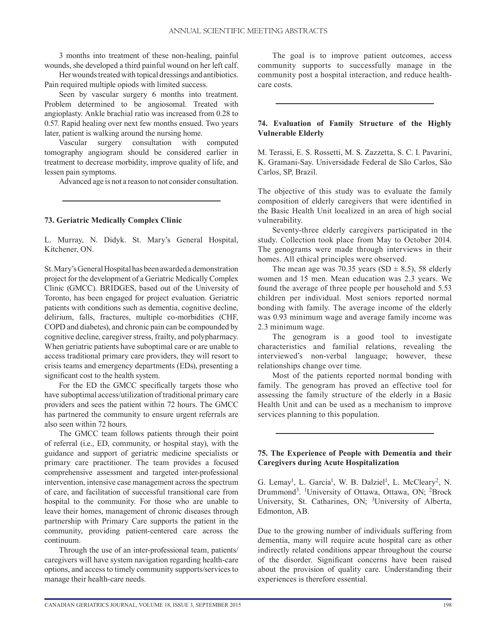3 months into treatment of these non-healing, painful wounds, she developed a third painful wound on her left calf.

Her wounds treated with topical dressings and antibiotics. Pain required multiple opiods with limited success.

Seen by vascular surgery 6 months into treatment. Problem determined to be angiosomal. Treated with angioplasty. Ankle brachial ratio was increased from 0.28 to 0.57. Rapid healing over next few months ensued. Two years later, patient is walking around the nursing home.

Vascular surgery consultation with computed tomography angiogram should be considered earlier in treatment to decrease morbidity, improve quality of life, and lessen pain symptoms.

Advanced age is not a reason to not consider consultation.

#### **73. Geriatric Medically Complex Clinic**

L. Murray, N. Didyk. St. Mary's General Hospital, Kitchener, ON.

St. Mary's General Hospital has been awarded a demonstration project for the development of a Geriatric Medically Complex Clinic (GMCC). BRIDGES, based out of the University of Toronto, has been engaged for project evaluation. Geriatric patients with conditions such as dementia, cognitive decline, delirium, falls, fractures, multiple co-morbidities (CHF, COPD and diabetes), and chronic pain can be compounded by cognitive decline, caregiver stress, frailty, and polypharmacy. When geriatric patients have suboptimal care or are unable to access traditional primary care providers, they will resort to crisis teams and emergency departments (EDs), presenting a significant cost to the health system.

For the ED the GMCC specifically targets those who have suboptimal access/utilization of traditional primary care providers and sees the patient within 72 hours. The GMCC has partnered the community to ensure urgent referrals are also seen within 72 hours.

The GMCC team follows patients through their point of referral (i.e., ED, community, or hospital stay), with the guidance and support of geriatric medicine specialists or primary care practitioner. The team provides a focused comprehensive assessment and targeted inter-professional intervention, intensive case management across the spectrum of care, and facilitation of successful transitional care from hospital to the community. For those who are unable to leave their homes, management of chronic diseases through partnership with Primary Care supports the patient in the community, providing patient-centered care across the continuum.

Through the use of an inter-professional team, patients/ caregivers will have system navigation regarding health-care options, and access to timely community supports/services to manage their health-care needs.

The goal is to improve patient outcomes, access community supports to successfully manage in the community post a hospital interaction, and reduce healthcare costs.

# **74. Evaluation of Family Structure of the Highly Vulnerable Elderly**

M. Terassi, E. S. Rossetti, M. S. Zazzetta, S. C. I. Pavarini, K. Gramani-Say. Universidade Federal de São Carlos, São Carlos, SP, Brazil.

The objective of this study was to evaluate the family composition of elderly caregivers that were identified in the Basic Health Unit localized in an area of high social vulnerability.

Seventy-three elderly caregivers participated in the study. Collection took place from May to October 2014. The genograms were made through interviews in their homes. All ethical principles were observed.

The mean age was 70.35 years (SD  $\pm$  8.5), 58 elderly women and 15 men. Mean education was 2.3 years. We found the average of three people per household and 5.53 children per individual. Most seniors reported normal bonding with family. The average income of the elderly was 0.93 minimum wage and average family income was 2.3 minimum wage.

The genogram is a good tool to investigate characteristics and familial relations, revealing the interviewed's non-verbal language; however, these relationships change over time.

Most of the patients reported normal bonding with family. The genogram has proved an effective tool for assessing the family structure of the elderly in a Basic Health Unit and can be used as a mechanism to improve services planning to this population.

# **75. The Experience of People with Dementia and their Caregivers during Acute Hospitalization**

G. Lemay<sup>1</sup>, L. Garcia<sup>1</sup>, W. B. Dalziel<sup>1</sup>, L. McCleary<sup>2</sup>, N. Drummond<sup>3</sup>. <sup>1</sup>University of Ottawa, Ottawa, ON; <sup>2</sup>Brock University, St. Catharines, ON; 3University of Alberta, Edmonton, AB.

Due to the growing number of individuals suffering from dementia, many will require acute hospital care as other indirectly related conditions appear throughout the course of the disorder. Significant concerns have been raised about the provision of quality care. Understanding their experiences is therefore essential.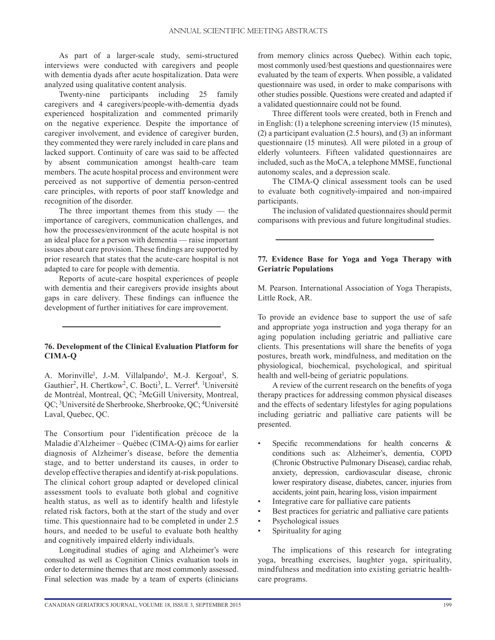As part of a larger-scale study, semi-structured interviews were conducted with caregivers and people with dementia dyads after acute hospitalization. Data were analyzed using qualitative content analysis.

Twenty-nine participants including 25 family caregivers and 4 caregivers/people-with-dementia dyads experienced hospitalization and commented primarily on the negative experience. Despite the importance of caregiver involvement, and evidence of caregiver burden, they commented they were rarely included in care plans and lacked support. Continuity of care was said to be affected by absent communication amongst health-care team members. The acute hospital process and environment were perceived as not supportive of dementia person-centred care principles, with reports of poor staff knowledge and recognition of the disorder.

The three important themes from this study  $-$  the importance of caregivers, communication challenges, and how the processes/environment of the acute hospital is not an ideal place for a person with dementia — raise important issues about care provision. These findings are supported by prior research that states that the acute-care hospital is not adapted to care for people with dementia.

Reports of acute-care hospital experiences of people with dementia and their caregivers provide insights about gaps in care delivery. These findings can influence the development of further initiatives for care improvement.

# **76. Development of the Clinical Evaluation Platform for CIMA-Q**

A. Morinville<sup>1</sup>, J.-M. Villalpando<sup>1</sup>, M.-J. Kergoat<sup>1</sup>, S. Gauthier<sup>2</sup>, H. Chertkow<sup>2</sup>, C. Bocti<sup>3</sup>, L. Verret<sup>4</sup>. <sup>1</sup>Université de Montréal, Montreal, QC; 2McGill University, Montreal, QC; 3Université de Sherbrooke, Sherbrooke, QC; 4Université Laval, Quebec, QC.

The Consortium pour l'identification précoce de la Maladie d'Alzheimer – Québec (CIMA-Q) aims for earlier diagnosis of Alzheimer's disease, before the dementia stage, and to better understand its causes, in order to develop effective therapies and identify at-risk populations. The clinical cohort group adapted or developed clinical assessment tools to evaluate both global and cognitive health status, as well as to identify health and lifestyle related risk factors, both at the start of the study and over time. This questionnaire had to be completed in under 2.5 hours, and needed to be useful to evaluate both healthy and cognitively impaired elderly individuals.

Longitudinal studies of aging and Alzheimer's were consulted as well as Cognition Clinics evaluation tools in order to determine themes that are most commonly assessed. Final selection was made by a team of experts (clinicians from memory clinics across Quebec). Within each topic, most commonly used/best questions and questionnaires were evaluated by the team of experts. When possible, a validated questionnaire was used, in order to make comparisons with other studies possible. Questions were created and adapted if a validated questionnaire could not be found.

Three different tools were created, both in French and in English: (1) a telephone screening interview (15 minutes), (2) a participant evaluation (2.5 hours), and (3) an informant questionnaire (15 minutes). All were piloted in a group of elderly volunteers. Fifteen validated questionnaires are included, such as the MoCA, a telephone MMSE, functional autonomy scales, and a depression scale.

The CIMA-Q clinical assessment tools can be used to evaluate both cognitively-impaired and non-impaired participants.

The inclusion of validated questionnaires should permit comparisons with previous and future longitudinal studies.

## **77. Evidence Base for Yoga and Yoga Therapy with Geriatric Populations**

M. Pearson. International Association of Yoga Therapists, Little Rock, AR.

To provide an evidence base to support the use of safe and appropriate yoga instruction and yoga therapy for an aging population including geriatric and palliative care clients. This presentations will share the benefits of yoga postures, breath work, mindfulness, and meditation on the physiological, biochemical, psychological, and spiritual health and well-being of geriatric populations.

A review of the current research on the benefits of yoga therapy practices for addressing common physical diseases and the effects of sedentary lifestyles for aging populations including geriatric and palliative care patients will be presented.

- Specific recommendations for health concerns  $\&$ conditions such as: Alzheimer's, dementia, COPD (Chronic Obstructive Pulmonary Disease), cardiac rehab, anxiety, depression, cardiovascular disease, chronic lower respiratory disease, diabetes, cancer, injuries from accidents, joint pain, hearing loss, vision impairment
- Integrative care for palliative care patients
- Best practices for geriatric and palliative care patients
- Psychological issues<br>• Spirituality for aging
- Spirituality for aging

The implications of this research for integrating yoga, breathing exercises, laughter yoga, spirituality, mindfulness and meditation into existing geriatric healthcare programs.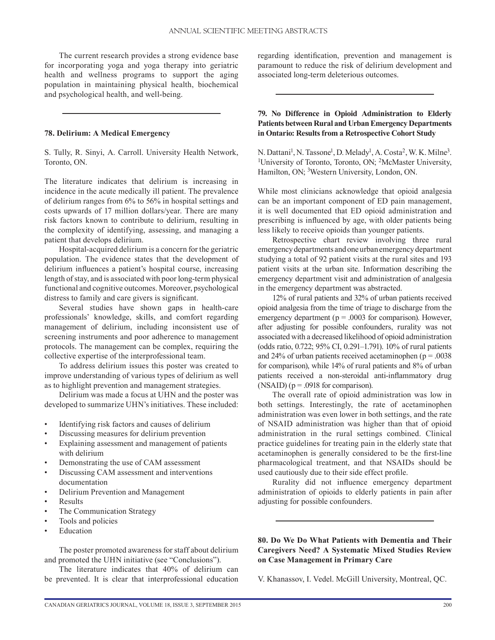The current research provides a strong evidence base for incorporating yoga and yoga therapy into geriatric health and wellness programs to support the aging population in maintaining physical health, biochemical and psychological health, and well-being.

#### **78. Delirium: A Medical Emergency**

S. Tully, R. Sinyi, A. Carroll. University Health Network, Toronto, ON.

The literature indicates that delirium is increasing in incidence in the acute medically ill patient. The prevalence of delirium ranges from 6% to 56% in hospital settings and costs upwards of 17 million dollars/year. There are many risk factors known to contribute to delirium, resulting in the complexity of identifying, assessing, and managing a patient that develops delirium.

Hospital-acquired delirium is a concern for the geriatric population. The evidence states that the development of delirium influences a patient's hospital course, increasing length of stay, and is associated with poor long-term physical functional and cognitive outcomes. Moreover, psychological distress to family and care givers is significant.

Several studies have shown gaps in health-care professionals' knowledge, skills, and comfort regarding management of delirium, including inconsistent use of screening instruments and poor adherence to management protocols. The management can be complex, requiring the collective expertise of the interprofessional team.

To address delirium issues this poster was created to improve understanding of various types of delirium as well as to highlight prevention and management strategies.

Delirium was made a focus at UHN and the poster was developed to summarize UHN's initiatives. These included:

- Identifying risk factors and causes of delirium
- Discussing measures for delirium prevention
- Explaining assessment and management of patients with delirium
- Demonstrating the use of CAM assessment
- Discussing CAM assessment and interventions documentation
- Delirium Prevention and Management
- **Results**
- The Communication Strategy
- Tools and policies
- **Education**

The poster promoted awareness for staff about delirium and promoted the UHN initiative (see "Conclusions").

The literature indicates that 40% of delirium can be prevented. It is clear that interprofessional education regarding identification, prevention and management is paramount to reduce the risk of delirium development and associated long-term deleterious outcomes.

#### **79. No Difference in Opioid Administration to Elderly Patients between Rural and Urban Emergency Departments in Ontario: Results from a Retrospective Cohort Study**

N. Dattani<sup>1</sup>, N. Tassone<sup>1</sup>, D. Melady<sup>1</sup>, A. Costa<sup>2</sup>, W. K. Milne<sup>3</sup>.<br><sup>1</sup>I Iniversity of Toronto, Toronto, ON<sup>-2</sup>McMaster University <sup>1</sup>University of Toronto, Toronto, ON; <sup>2</sup>McMaster University, Hamilton, ON; <sup>3</sup>Western University, London, ON.

While most clinicians acknowledge that opioid analgesia can be an important component of ED pain management, it is well documented that ED opioid administration and prescribing is influenced by age, with older patients being less likely to receive opioids than younger patients.

Retrospective chart review involving three rural emergency departments and one urban emergency department studying a total of 92 patient visits at the rural sites and 193 patient visits at the urban site. Information describing the emergency department visit and administration of analgesia in the emergency department was abstracted.

12% of rural patients and 32% of urban patients received opioid analgesia from the time of triage to discharge from the emergency department ( $p = .0003$  for comparison). However, after adjusting for possible confounders, rurality was not associated with a decreased likelihood of opioid administration (odds ratio, 0.722; 95% CI, 0.291–1.791). 10% of rural patients and 24% of urban patients received acetaminophen ( $p = .0038$ ) for comparison), while 14% of rural patients and 8% of urban patients received a non-steroidal anti-inflammatory drug  $(NSAID)$  ( $p = .0918$  for comparison).

The overall rate of opioid administration was low in both settings. Interestingly, the rate of acetaminophen administration was even lower in both settings, and the rate of NSAID administration was higher than that of opioid administration in the rural settings combined. Clinical practice guidelines for treating pain in the elderly state that acetaminophen is generally considered to be the first-line pharmacological treatment, and that NSAIDs should be used cautiously due to their side effect profile.

Rurality did not influence emergency department administration of opioids to elderly patients in pain after adjusting for possible confounders.

#### **80. Do We Do What Patients with Dementia and Their Caregivers Need? A Systematic Mixed Studies Review on Case Management in Primary Care**

V. Khanassov, I. Vedel. McGill University, Montreal, QC.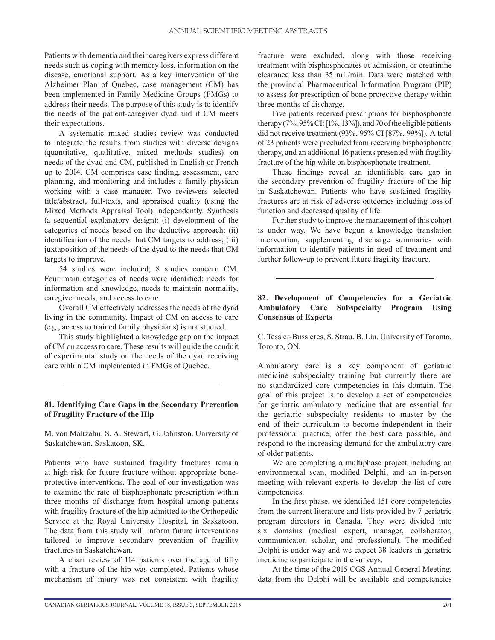Patients with dementia and their caregivers express different needs such as coping with memory loss, information on the disease, emotional support. As a key intervention of the Alzheimer Plan of Quebec, case management (CM) has been implemented in Family Medicine Groups (FMGs) to address their needs. The purpose of this study is to identify the needs of the patient-caregiver dyad and if CM meets their expectations.

A systematic mixed studies review was conducted to integrate the results from studies with diverse designs (quantitative, qualitative, mixed methods studies) on needs of the dyad and CM, published in English or French up to 2014. CM comprises case finding, assessment, care planning, and monitoring and includes a family physican working with a case manager. Two reviewers selected title/abstract, full-texts, and appraised quality (using the Mixed Methods Appraisal Tool) independently. Synthesis (a sequential explanatory design): (i) development of the categories of needs based on the deductive approach; (ii) identification of the needs that CM targets to address; (iii) juxtaposition of the needs of the dyad to the needs that CM targets to improve.

54 studies were included; 8 studies concern CM. Four main categories of needs were identified: needs for information and knowledge, needs to maintain normality, caregiver needs, and access to care.

Overall CM effectively addresses the needs of the dyad living in the community. Impact of CM on access to care (e.g., access to trained family physicians) is not studied.

This study highlighted a knowledge gap on the impact of CM on access to care. These results will guide the conduit of experimental study on the needs of the dyad receiving care within CM implemented in FMGs of Quebec.

#### **81. Identifying Care Gaps in the Secondary Prevention of Fragility Fracture of the Hip**

M. von Maltzahn, S. A. Stewart, G. Johnston. University of Saskatchewan, Saskatoon, SK.

Patients who have sustained fragility fractures remain at high risk for future fracture without appropriate boneprotective interventions. The goal of our investigation was to examine the rate of bisphosphonate prescription within three months of discharge from hospital among patients with fragility fracture of the hip admitted to the Orthopedic Service at the Royal University Hospital, in Saskatoon. The data from this study will inform future interventions tailored to improve secondary prevention of fragility fractures in Saskatchewan.

A chart review of 114 patients over the age of fifty with a fracture of the hip was completed. Patients whose mechanism of injury was not consistent with fragility fracture were excluded, along with those receiving treatment with bisphosphonates at admission, or creatinine clearance less than 35 mL/min. Data were matched with the provincial Pharmaceutical Information Program (PIP) to assess for prescription of bone protective therapy within three months of discharge.

Five patients received prescriptions for bisphosphonate therapy (7%, 95% CI: [1%, 13%]), and 70 of the eligible patients did not receive treatment (93%, 95% CI [87%, 99%]). A total of 23 patients were precluded from receiving bisphosphonate therapy, and an additional 16 patients presented with fragility fracture of the hip while on bisphosphonate treatment.

These findings reveal an identifiable care gap in the secondary prevention of fragility fracture of the hip in Saskatchewan. Patients who have sustained fragility fractures are at risk of adverse outcomes including loss of function and decreased quality of life.

Further study to improve the management of this cohort is under way. We have begun a knowledge translation intervention, supplementing discharge summaries with information to identify patients in need of treatment and further follow-up to prevent future fragility fracture.

# **82. Development of Competencies for a Geriatric Ambulatory Care Subspecialty Program Using Consensus of Experts**

C. Tessier-Bussieres, S. Strau, B. Liu. University of Toronto, Toronto, ON.

Ambulatory care is a key component of geriatric medicine subspecialty training but currently there are no standardized core competencies in this domain. The goal of this project is to develop a set of competencies for geriatric ambulatory medicine that are essential for the geriatric subspecialty residents to master by the end of their curriculum to become independent in their professional practice, offer the best care possible, and respond to the increasing demand for the ambulatory care of older patients.

We are completing a multiphase project including an environmental scan, modified Delphi, and an in-person meeting with relevant experts to develop the list of core competencies.

In the first phase, we identified 151 core competencies from the current literature and lists provided by 7 geriatric program directors in Canada. They were divided into six domains (medical expert, manager, collaborator, communicator, scholar, and professional). The modified Delphi is under way and we expect 38 leaders in geriatric medicine to participate in the surveys.

At the time of the 2015 CGS Annual General Meeting, data from the Delphi will be available and competencies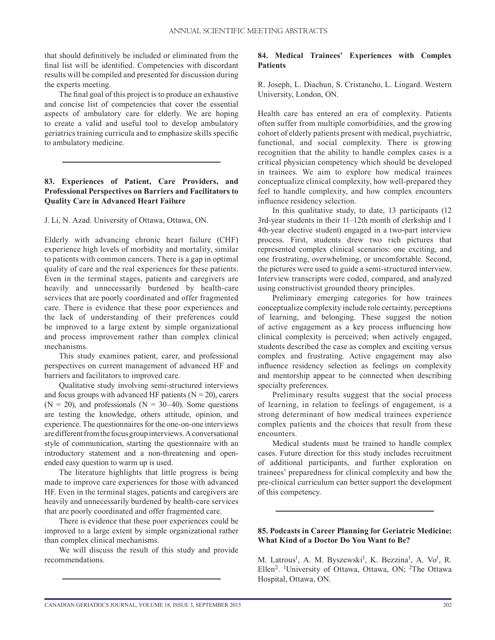that should definitively be included or eliminated from the final list will be identified. Competencies with discordant results will be compiled and presented for discussion during the experts meeting.

The final goal of this project is to produce an exhaustive and concise list of competencies that cover the essential aspects of ambulatory care for elderly. We are hoping to create a valid and useful tool to develop ambulatory geriatrics training curricula and to emphasize skills specific to ambulatory medicine.

# **83. Experiences of Patient, Care Providers, and Professional Perspectives on Barriers and Facilitators to Quality Care in Advanced Heart Failure**

J. Li, N. Azad. University of Ottawa, Ottawa, ON.

Elderly with advancing chronic heart failure (CHF) experience high levels of morbidity and mortality, similar to patients with common cancers. There is a gap in optimal quality of care and the real experiences for these patients. Even in the terminal stages, patients and caregivers are heavily and unnecessarily burdened by health-care services that are poorly coordinated and offer fragmented care. There is evidence that these poor experiences and the lack of understanding of their preferences could be improved to a large extent by simple organizational and process improvement rather than complex clinical mechanisms.

This study examines patient, carer, and professional perspectives on current management of advanced HF and barriers and facilitators to improved care.

Qualitative study involving semi-structured interviews and focus groups with advanced HF patients  $(N = 20)$ , carers  $(N = 20)$ , and professionals  $(N = 30-40)$ . Some questions are testing the knowledge, others attitude, opinion, and experience. The questionnaires for the one-on-one interviews are different from the focus group interviews. A conversational style of communication, starting the questionnaire with an introductory statement and a non-threatening and openended easy question to warm up is used.

The literature highlights that little progress is being made to improve care experiences for those with advanced HF. Even in the terminal stages, patients and caregivers are heavily and unnecessarily burdened by health-care services that are poorly coordinated and offer fragmented care.

There is evidence that these poor experiences could be improved to a large extent by simple organizational rather than complex clinical mechanisms.

We will discuss the result of this study and provide recommendations.

# **84. Medical Trainees' Experiences with Complex Patients**

R. Joseph, L. Diachun, S. Cristancho, L. Lingard. Western University, London, ON.

Health care has entered an era of complexity. Patients often suffer from multiple comorbidities, and the growing cohort of elderly patients present with medical, psychiatric, functional, and social complexity. There is growing recognition that the ability to handle complex cases is a critical physician competency which should be developed in trainees. We aim to explore how medical trainees conceptualize clinical complexity, how well-prepared they feel to handle complexity, and how complex encounters influence residency selection.

In this qualitative study, to date, 13 participants (12 3rd-year students in their 11–12th month of clerkship and 1 4th-year elective student) engaged in a two-part interview process. First, students drew two rich pictures that represented complex clinical scenarios: one exciting, and one frustrating, overwhelming, or uncomfortable. Second, the pictures were used to guide a semi-structured interview. Interview transcripts were coded, compared, and analyzed using constructivist grounded theory principles.

Preliminary emerging categories for how trainees conceptualize complexity include role certainty, perceptions of learning, and belonging. These suggest the notion of active engagement as a key process influencing how clinical complexity is perceived; when actively engaged, students described the case as complex and exciting versus complex and frustrating. Active engagement may also influence residency selection as feelings on complexity and mentorship appear to be connected when describing specialty preferences.

Preliminary results suggest that the social process of learning, in relation to feelings of engagement, is a strong determinant of how medical trainees experience complex patients and the choices that result from these encounters.

Medical students must be trained to handle complex cases. Future direction for this study includes recruitment of additional participants, and further exploration on trainees' preparedness for clinical complexity and how the pre-clinical curriculum can better support the development of this competency.

#### **85. Podcasts in Career Planning for Geriatric Medicine: What Kind of a Doctor Do You Want to Be?**

M. Latrous<sup>1</sup>, A. M. Byszewski<sup>1</sup>, K. Bezzina<sup>1</sup>, A. Vo<sup>1</sup>, R. Ellen<sup>2</sup>. <sup>1</sup>University of Ottawa, Ottawa, ON; <sup>2</sup>The Ottawa Hospital, Ottawa, ON.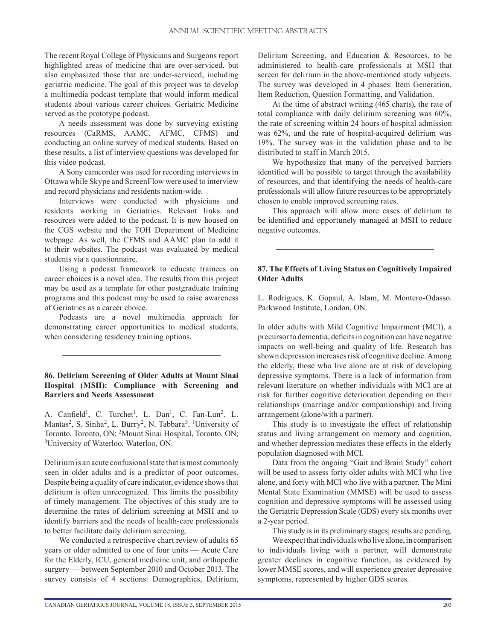The recent Royal College of Physicians and Surgeons report highlighted areas of medicine that are over-serviced, but also emphasized those that are under-serviced, including geriatric medicine. The goal of this project was to develop a multimedia podcast template that would inform medical students about various career choices. Geriatric Medicine served as the prototype podcast.

A needs assessment was done by surveying existing resources (CaRMS, AAMC, AFMC, CFMS) and conducting an online survey of medical students. Based on these results, a list of interview questions was developed for this video podcast.

A Sony camcorder was used for recording interviews in Ottawa while Skype and ScreenFlow were used to interview and record physicians and residents nation-wide.

Interviews were conducted with physicians and residents working in Geriatrics. Relevant links and resources were added to the podcast. It is now housed on the CGS website and the TOH Department of Medicine webpage. As well, the CFMS and AAMC plan to add it to their websites. The podcast was evaluated by medical students via a questionnaire.

Using a podcast framework to educate trainees on career choices is a novel idea. The results from this project may be used as a template for other postgraduate training programs and this podcast may be used to raise awareness of Geriatrics as a career choice.

Podcasts are a novel multimedia approach for demonstrating career opportunities to medical students, when considering residency training options.

# **86. Delirium Screening of Older Adults at Mount Sinai Hospital (MSH): Compliance with Screening and Barriers and Needs Assessment**

A. Canfield<sup>1</sup>, C. Turchet<sup>1</sup>, L. Dan<sup>1</sup>, C. Fan-Lun<sup>2</sup>, L. Mantas<sup>2</sup>, S. Sinha<sup>2</sup>, L. Burry<sup>2</sup>, N. Tabbara<sup>3</sup>. <sup>1</sup>University of Toronto, Toronto, ON; 2Mount Sinai Hospital, Toronto, ON; 3University of Waterloo, Waterloo, ON.

Delirium is an acute confusional state that is most commonly seen in older adults and is a predictor of poor outcomes. Despite being a quality of care indicator, evidence shows that delirium is often unrecognized. This limits the possibility of timely management. The objectives of this study are to determine the rates of delirium screening at MSH and to identify barriers and the needs of health-care professionals to better facilitate daily delirium screening.

We conducted a retrospective chart review of adults 65 years or older admitted to one of four units — Acute Care for the Elderly, ICU, general medicine unit, and orthopedic surgery — between September 2010 and October 2013. The survey consists of 4 sections: Demographics, Delirium, Delirium Screening, and Education & Resources, to be administered to health-care professionals at MSH that screen for delirium in the above-mentioned study subjects. The survey was developed in 4 phases: Item Generation, Item Reduction, Question Formatting, and Validation.

At the time of abstract writing (465 charts), the rate of total compliance with daily delirium screening was 60%, the rate of screening within 24 hours of hospital admission was 62%, and the rate of hospital-acquired delirium was 19%. The survey was in the validation phase and to be distributed to staff in March 2015.

We hypothesize that many of the perceived barriers identified will be possible to target through the availability of resources, and that identifying the needs of health-care professionals will allow future resources to be appropriately chosen to enable improved screening rates.

This approach will allow more cases of delirium to be identified and opportunely managed at MSH to reduce negative outcomes.

# **87. The Effects of Living Status on Cognitively Impaired Older Adults**

L. Rodrigues, K. Gopaul, A. Islam, M. Montero-Odasso. Parkwood Institute, London, ON.

In older adults with Mild Cognitive Impairment (MCI), a precursor to dementia, deficits in cognition can have negative impacts on well-being and quality of life. Research has shown depression increases risk of cognitive decline. Among the elderly, those who live alone are at risk of developing depressive symptoms. There is a lack of information from relevant literature on whether individuals with MCI are at risk for further cognitive deterioration depending on their relationships (marriage and/or companionship) and living arrangement (alone/with a partner).

This study is to investigate the effect of relationship status and living arrangement on memory and cognition, and whether depression mediates these effects in the elderly population diagnosed with MCI.

Data from the ongoing "Gait and Brain Study" cohort will be used to assess forty older adults with MCI who live alone, and forty with MCI who live with a partner. The Mini Mental State Examination (MMSE) will be used to assess cognition and depressive symptoms will be assessed using the Geriatric Depression Scale (GDS) every six months over a 2-year period.

This study is in its preliminary stages; results are pending.

We expect that individuals who live alone, in comparison to individuals living with a partner, will demonstrate greater declines in cognitive function, as evidenced by lower MMSE scores, and will experience greater depressive symptoms, represented by higher GDS scores.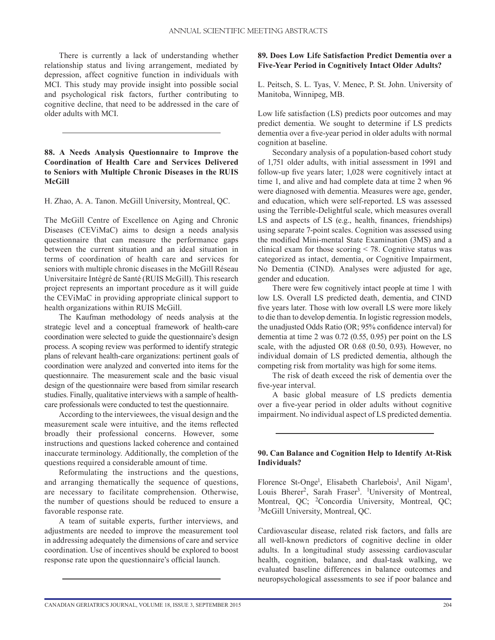There is currently a lack of understanding whether relationship status and living arrangement, mediated by depression, affect cognitive function in individuals with MCI. This study may provide insight into possible social and psychological risk factors, further contributing to cognitive decline, that need to be addressed in the care of older adults with MCI.

# **88. A Needs Analysis Questionnaire to Improve the Coordination of Health Care and Services Delivered to Seniors with Multiple Chronic Diseases in the RUIS McGill**

H. Zhao, A. A. Tanon. McGill University, Montreal, QC.

The McGill Centre of Excellence on Aging and Chronic Diseases (CEViMaC) aims to design a needs analysis questionnaire that can measure the performance gaps between the current situation and an ideal situation in terms of coordination of health care and services for seniors with multiple chronic diseases in the McGill Réseau Universitaire Intégré de Santé (RUIS McGill). This research project represents an important procedure as it will guide the CEViMaC in providing appropriate clinical support to health organizations within RUIS McGill.

The Kaufman methodology of needs analysis at the strategic level and a conceptual framework of health-care coordination were selected to guide the questionnaire's design process. A scoping review was performed to identify strategic plans of relevant health-care organizations: pertinent goals of coordination were analyzed and converted into items for the questionnaire. The measurement scale and the basic visual design of the questionnaire were based from similar research studies. Finally, qualitative interviews with a sample of healthcare professionals were conducted to test the questionnaire.

According to the interviewees, the visual design and the measurement scale were intuitive, and the items reflected broadly their professional concerns. However, some instructions and questions lacked coherence and contained inaccurate terminology. Additionally, the completion of the questions required a considerable amount of time.

Reformulating the instructions and the questions, and arranging thematically the sequence of questions, are necessary to facilitate comprehension. Otherwise, the number of questions should be reduced to ensure a favorable response rate.

A team of suitable experts, further interviews, and adjustments are needed to improve the measurement tool in addressing adequately the dimensions of care and service coordination. Use of incentives should be explored to boost response rate upon the questionnaire's official launch.

# **89. Does Low Life Satisfaction Predict Dementia over a Five-Year Period in Cognitively Intact Older Adults?**

L. Peitsch, S. L. Tyas, V. Menec, P. St. John. University of Manitoba, Winnipeg, MB.

Low life satisfaction (LS) predicts poor outcomes and may predict dementia. We sought to determine if LS predicts dementia over a five-year period in older adults with normal cognition at baseline.

Secondary analysis of a population-based cohort study of 1,751 older adults, with initial assessment in 1991 and follow-up five years later; 1,028 were cognitively intact at time 1, and alive and had complete data at time 2 when 96 were diagnosed with dementia. Measures were age, gender, and education, which were self-reported. LS was assessed using the Terrible-Delightful scale, which measures overall LS and aspects of LS (e.g., health, finances, friendships) using separate 7-point scales. Cognition was assessed using the modified Mini-mental State Examination (3MS) and a clinical exam for those scoring < 78. Cognitive status was categorized as intact, dementia, or Cognitive Impairment, No Dementia (CIND). Analyses were adjusted for age, gender and education.

There were few cognitively intact people at time 1 with low LS. Overall LS predicted death, dementia, and CIND five years later. Those with low overall LS were more likely to die than to develop dementia. In logistic regression models, the unadjusted Odds Ratio (OR; 95% confidence interval) for dementia at time 2 was 0.72 (0.55, 0.95) per point on the LS scale, with the adjusted OR 0.68 (0.50, 0.93). However, no individual domain of LS predicted dementia, although the competing risk from mortality was high for some items.

The risk of death exceed the risk of dementia over the five-year interval.

A basic global measure of LS predicts dementia over a five-year period in older adults without cognitive impairment. No individual aspect of LS predicted dementia.

#### **90. Can Balance and Cognition Help to Identify At-Risk Individuals?**

Florence St-Onge<sup>1</sup>, Elisabeth Charlebois<sup>1</sup>, Anil Nigam<sup>1</sup>, Louis Bherer<sup>2</sup>, Sarah Fraser<sup>3</sup>. <sup>1</sup>University of Montreal, Montreal, QC; <sup>2</sup>Concordia University, Montreal, QC; 3McGill University, Montreal, QC.

Cardiovascular disease, related risk factors, and falls are all well-known predictors of cognitive decline in older adults. In a longitudinal study assessing cardiovascular health, cognition, balance, and dual-task walking, we evaluated baseline differences in balance outcomes and neuropsychological assessments to see if poor balance and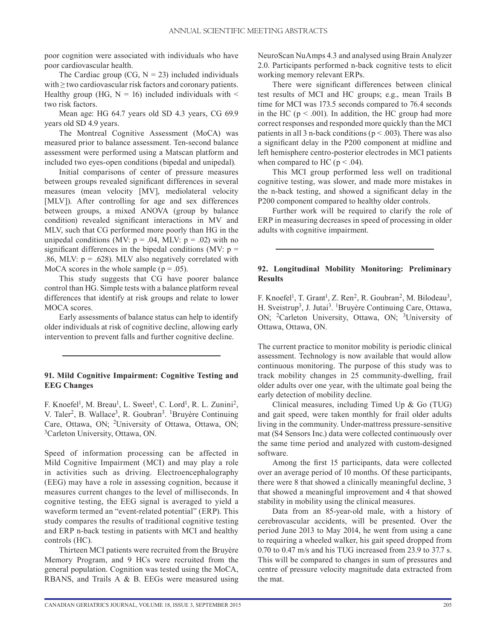poor cognition were associated with individuals who have poor cardiovascular health.

The Cardiac group (CG,  $N = 23$ ) included individuals with  $\geq$  two cardiovascular risk factors and coronary patients. Healthy group (HG,  $N = 16$ ) included individuals with  $\leq$ two risk factors.

Mean age: HG 64.7 years old SD 4.3 years, CG 69.9 years old SD 4.9 years.

The Montreal Cognitive Assessment (MoCA) was measured prior to balance assessment. Ten-second balance assessment were performed using a Matscan platform and included two eyes-open conditions (bipedal and unipedal).

Initial comparisons of center of pressure measures between groups revealed significant differences in several measures (mean velocity [MV], mediolateral velocity [MLV]). After controlling for age and sex differences between groups, a mixed ANOVA (group by balance condition) revealed significant interactions in MV and MLV, such that CG performed more poorly than HG in the unipedal conditions (MV:  $p = .04$ , MLV:  $p = .02$ ) with no significant differences in the bipedal conditions (MV:  $p =$ .86, MLV:  $p = .628$ ). MLV also negatively correlated with MoCA scores in the whole sample ( $p = .05$ ).

This study suggests that CG have poorer balance control than HG. Simple tests with a balance platform reveal differences that identify at risk groups and relate to lower MOCA scores.

Early assessments of balance status can help to identify older individuals at risk of cognitive decline, allowing early intervention to prevent falls and further cognitive decline.

#### **91. Mild Cognitive Impairment: Cognitive Testing and EEG Changes**

F. Knoefel<sup>1</sup>, M. Breau<sup>1</sup>, L. Sweet<sup>1</sup>, C. Lord<sup>1</sup>, R. L. Zunini<sup>2</sup>, V. Taler<sup>2</sup>, B. Wallace<sup>3</sup>, R. Goubran<sup>3</sup>. <sup>1</sup>Bruyère Continuing Care, Ottawa, ON; 2University of Ottawa, Ottawa, ON; 3Carleton University, Ottawa, ON.

Speed of information processing can be affected in Mild Cognitive Impairment (MCI) and may play a role in activities such as driving. Electroencephalography (EEG) may have a role in assessing cognition, because it measures current changes to the level of milliseconds. In cognitive testing, the EEG signal is averaged to yield a waveform termed an "event-related potential" (ERP). This study compares the results of traditional cognitive testing and ERP n-back testing in patients with MCI and healthy controls (HC).

Thirteen MCI patients were recruited from the Bruyère Memory Program, and 9 HCs were recruited from the general population. Cognition was tested using the MoCA, RBANS, and Trails A & B. EEGs were measured using NeuroScan NuAmps 4.3 and analysed using Brain Analyzer 2.0. Participants performed n-back cognitive tests to elicit working memory relevant ERPs.

There were significant differences between clinical test results of MCI and HC groups; e.g., mean Trails B time for MCI was 173.5 seconds compared to 76.4 seconds in the HC ( $p < .001$ ). In addition, the HC group had more correct responses and responded more quickly than the MCI patients in all 3 n-back conditions ( $p < .003$ ). There was also a significant delay in the P200 component at midline and left hemisphere centro-posterior electrodes in MCI patients when compared to HC ( $p < .04$ ).

This MCI group performed less well on traditional cognitive testing, was slower, and made more mistakes in the n-back testing, and showed a significant delay in the P200 component compared to healthy older controls.

Further work will be required to clarify the role of ERP in measuring decreases in speed of processing in older adults with cognitive impairment.

# **92. Longitudinal Mobility Monitoring: Preliminary Results**

F. Knoefel<sup>1</sup>, T. Grant<sup>1</sup>, Z. Ren<sup>2</sup>, R. Goubran<sup>2</sup>, M. Bilodeau<sup>3</sup>, H. Sveistrup<sup>3</sup>, J. Jutai<sup>3</sup>. <sup>1</sup>Bruyère Continuing Care, Ottawa, ON; 2Carleton University, Ottawa, ON; 3University of Ottawa, Ottawa, ON.

The current practice to monitor mobility is periodic clinical assessment. Technology is now available that would allow continuous monitoring. The purpose of this study was to track mobility changes in 25 community-dwelling, frail older adults over one year, with the ultimate goal being the early detection of mobility decline.

Clinical measures, including Timed Up & Go (TUG) and gait speed, were taken monthly for frail older adults living in the community. Under-mattress pressure-sensitive mat (S4 Sensors Inc.) data were collected continuously over the same time period and analyzed with custom-designed software.

Among the first 15 participants, data were collected over an average period of 10 months. Of these participants, there were 8 that showed a clinically meaningful decline, 3 that showed a meaningful improvement and 4 that showed stability in mobility using the clinical measures.

Data from an 85-year-old male, with a history of cerebrovascular accidents, will be presented. Over the period June 2013 to May 2014, he went from using a cane to requiring a wheeled walker, his gait speed dropped from 0.70 to 0.47 m/s and his TUG increased from 23.9 to 37.7 s. This will be compared to changes in sum of pressures and centre of pressure velocity magnitude data extracted from the mat.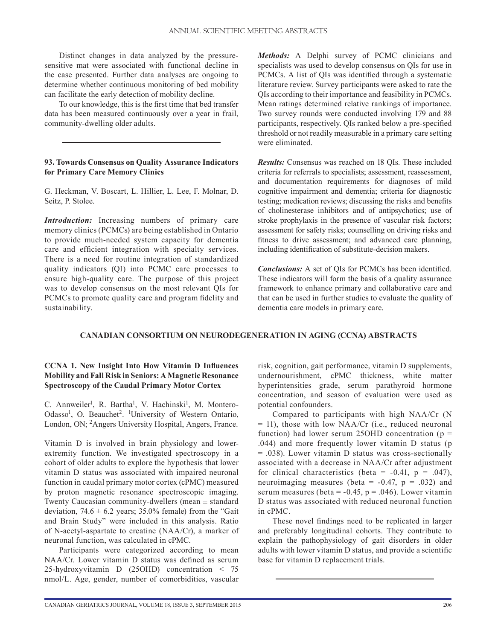Distinct changes in data analyzed by the pressuresensitive mat were associated with functional decline in the case presented. Further data analyses are ongoing to determine whether continuous monitoring of bed mobility can facilitate the early detection of mobility decline.

To our knowledge, this is the first time that bed transfer data has been measured continuously over a year in frail, community-dwelling older adults.

#### **93. Towards Consensus on Quality Assurance Indicators for Primary Care Memory Clinics**

G. Heckman, V. Boscart, L. Hillier, L. Lee, F. Molnar, D. Seitz, P. Stolee.

*Introduction:* Increasing numbers of primary care memory clinics (PCMCs) are being established in Ontario to provide much-needed system capacity for dementia care and efficient integration with specialty services. There is a need for routine integration of standardized quality indicators (QI) into PCMC care processes to ensure high-quality care. The purpose of this project was to develop consensus on the most relevant QIs for PCMCs to promote quality care and program fidelity and sustainability.

*Methods:* A Delphi survey of PCMC clinicians and specialists was used to develop consensus on QIs for use in PCMCs. A list of QIs was identified through a systematic literature review. Survey participants were asked to rate the QIs according to their importance and feasibility in PCMCs. Mean ratings determined relative rankings of importance. Two survey rounds were conducted involving 179 and 88 participants, respectively. QIs ranked below a pre-specified threshold or not readily measurable in a primary care setting were eliminated.

*Results:* Consensus was reached on 18 QIs. These included criteria for referrals to specialists; assessment, reassessment, and documentation requirements for diagnoses of mild cognitive impairment and dementia; criteria for diagnostic testing; medication reviews; discussing the risks and benefits of cholinesterase inhibitors and of antipsychotics; use of stroke prophylaxis in the presence of vascular risk factors; assessment for safety risks; counselling on driving risks and fitness to drive assessment; and advanced care planning, including identification of substitute-decision makers.

*Conclusions:* A set of QIs for PCMCs has been identified. These indicators will form the basis of a quality assurance framework to enhance primary and collaborative care and that can be used in further studies to evaluate the quality of dementia care models in primary care.

# **CANADIAN CONSORTIUM ON NEURODEGENERATION IN AGING (CCNA) ABSTRACTS**

# **CCNA 1. New Insight Into How Vitamin D Influences Mobility and Fall Risk in Seniors: A Magnetic Resonance Spectroscopy of the Caudal Primary Motor Cortex**

C. Annweiler<sup>1</sup>, R. Bartha<sup>1</sup>, V. Hachinski<sup>1</sup>, M. Montero-Odasso<sup>1</sup>, O. Beauchet<sup>2</sup>. <sup>1</sup>University of Western Ontario, London, ON; 2Angers University Hospital, Angers, France.

Vitamin D is involved in brain physiology and lowerextremity function. We investigated spectroscopy in a cohort of older adults to explore the hypothesis that lower vitamin D status was associated with impaired neuronal function in caudal primary motor cortex (cPMC) measured by proton magnetic resonance spectroscopic imaging. Twenty Caucasian community-dwellers (mean  $\pm$  standard deviation,  $74.6 \pm 6.2$  years; 35.0% female) from the "Gait and Brain Study" were included in this analysis. Ratio of N-acetyl-aspartate to creatine (NAA/Cr), a marker of neuronal function, was calculated in cPMC.

Participants were categorized according to mean NAA/Cr. Lower vitamin D status was defined as serum 25-hydroxyvitamin D (25OHD) concentration < 75 nmol/L. Age, gender, number of comorbidities, vascular

risk, cognition, gait performance, vitamin D supplements, undernourishment, cPMC thickness, white matter hyperintensities grade, serum parathyroid hormone concentration, and season of evaluation were used as potential confounders.

Compared to participants with high NAA/Cr (N  $=$  11), those with low NAA/Cr (i.e., reduced neuronal function) had lower serum 25OHD concentration ( $p =$ .044) and more frequently lower vitamin D status (p = .038). Lower vitamin D status was cross-sectionally associated with a decrease in NAA/Cr after adjustment for clinical characteristics (beta =  $-0.41$ , p =  $.047$ ), neuroimaging measures (beta =  $-0.47$ , p = .032) and serum measures (beta =  $-0.45$ , p = .046). Lower vitamin D status was associated with reduced neuronal function in cPMC.

These novel findings need to be replicated in larger and preferably longitudinal cohorts. They contribute to explain the pathophysiology of gait disorders in older adults with lower vitamin D status, and provide a scientific base for vitamin D replacement trials.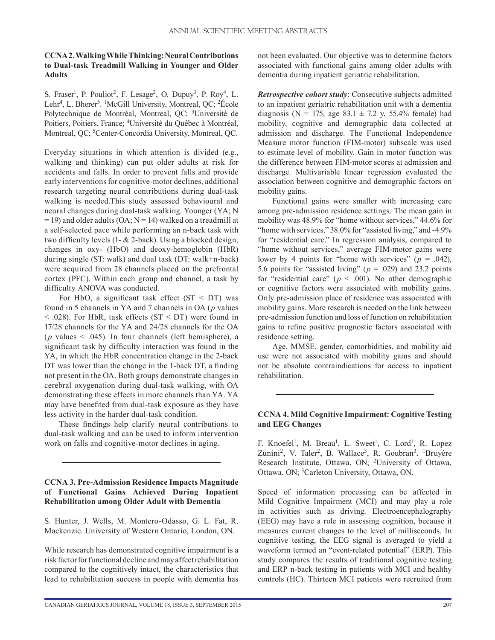# **CCNA 2. Walking While Thinking: Neural Contributions to Dual-task Treadmill Walking in Younger and Older Adults**

S. Fraser<sup>1</sup>, P. Pouliot<sup>2</sup>, F. Lesage<sup>2</sup>, O. Dupuy<sup>3</sup>, P. Roy<sup>4</sup>, L. Lehr<sup>4</sup>, L. Bherer<sup>5</sup>. <sup>1</sup>McGill University, Montreal, QC; <sup>2</sup>École Polytechnique de Montréal, Montreal, QC; <sup>3</sup>Université de Poitiers, Poitiers, France; 4Université du Québec à Montréal, Montreal, QC; <sup>5</sup>Center-Concordia University, Montreal, QC.

Everyday situations in which attention is divided (e.g., walking and thinking) can put older adults at risk for accidents and falls. In order to prevent falls and provide early interventions for cognitive-motor declines, additional research targeting neural contributions during dual-task walking is needed.This study assessed behavioural and neural changes during dual-task walking. Younger (YA; N  $= 19$ ) and older adults (OA; N = 14) walked on a treadmill at a self-selected pace while performing an n-back task with two difficulty levels (1- & 2-back). Using a blocked design, changes in oxy- (HbO) and deoxy-hemoglobin (HbR) during single (ST: walk) and dual task (DT: walk+n-back) were acquired from 28 channels placed on the prefrontal cortex (PFC). Within each group and channel, a task by difficulty ANOVA was conducted.

For HbO, a significant task effect  $(ST < DT)$  was found in 5 channels in YA and 7 channels in OA (*p* values  $<$  0.028). For HbR, task effects (ST  $<$  DT) were found in 17/28 channels for the YA and 24/28 channels for the OA (*p* values  $\leq$  .045). In four channels (left hemisphere), a significant task by difficulty interaction was found in the YA, in which the HbR concentration change in the 2-back DT was lower than the change in the 1-back DT, a finding not present in the OA. Both groups demonstrate changes in cerebral oxygenation during dual-task walking, with OA demonstrating these effects in more channels than YA. YA may have benefited from dual-task exposure as they have less activity in the harder dual-task condition.

These findings help clarify neural contributions to dual-task walking and can be used to inform intervention work on falls and cognitive-motor declines in aging.

# **CCNA 3. Pre-Admission Residence Impacts Magnitude of Functional Gains Achieved During Inpatient Rehabilitation among Older Adult with Dementia**

S. Hunter, J. Wells, M. Montero-Odasso, G. L. Fat, R. Mackenzie. University of Western Ontario, London, ON.

While research has demonstrated cognitive impairment is a risk factor for functional decline and may affect rehabilitation compared to the cognitively intact, the characteristics that lead to rehabilitation success in people with dementia has not been evaluated. Our objective was to determine factors associated with functional gains among older adults with dementia during inpatient geriatric rehabilitation.

*Retrospective cohort study*: Consecutive subjects admitted to an inpatient geriatric rehabilitation unit with a dementia diagnosis (N = 175, age 83.1  $\pm$  7.2 y, 55.4% female) had mobility, cognitive and demographic data collected at admission and discharge. The Functional Independence Measure motor function (FIM-motor) subscale was used to estimate level of mobility. Gain in motor function was the difference between FIM-motor scores at admission and discharge. Multivariable linear regression evaluated the association between cognitive and demographic factors on mobility gains.

Functional gains were smaller with increasing care among pre-admission residence settings. The mean gain in mobility was 48.9% for "home without services," 44.6% for "home with services," 38.0% for "assisted living," and -4.9% for "residential care." In regression analysis, compared to "home without services," average FIM-motor gains were lower by 4 points for "home with services" ( $p = .042$ ), 5.6 points for "assisted living" ( $p = .029$ ) and 23.2 points for "residential care" ( $p < .001$ ). No other demographic or cognitive factors were associated with mobility gains. Only pre-admission place of residence was associated with mobility gains. More research is needed on the link between pre-admission function and loss of function on rehabilitation gains to refine positive prognostic factors associated with residence setting.

Age, MMSE, gender, comorbidities, and mobility aid use were not associated with mobility gains and should not be absolute contraindications for access to inpatient rehabilitation.

#### **CCNA 4. Mild Cognitive Impairment: Cognitive Testing and EEG Changes**

F. Knoefel<sup>1</sup>, M. Breau<sup>1</sup>, L. Sweet<sup>1</sup>, C. Lord<sup>1</sup>, R. Lopez Zunini<sup>2</sup>, V. Taler<sup>2</sup>, B. Wallace<sup>3</sup>, R. Goubran<sup>3</sup>. <sup>1</sup>Bruyère Research Institute, Ottawa, ON; 2University of Ottawa, Ottawa, ON; 3Carleton University, Ottawa, ON.

Speed of information processing can be affected in Mild Cognitive Impairment (MCI) and may play a role in activities such as driving. Electroencephalography (EEG) may have a role in assessing cognition, because it measures current changes to the level of milliseconds. In cognitive testing, the EEG signal is averaged to yield a waveform termed an "event-related potential" (ERP). This study compares the results of traditional cognitive testing and ERP n-back testing in patients with MCI and healthy controls (HC). Thirteen MCI patients were recruited from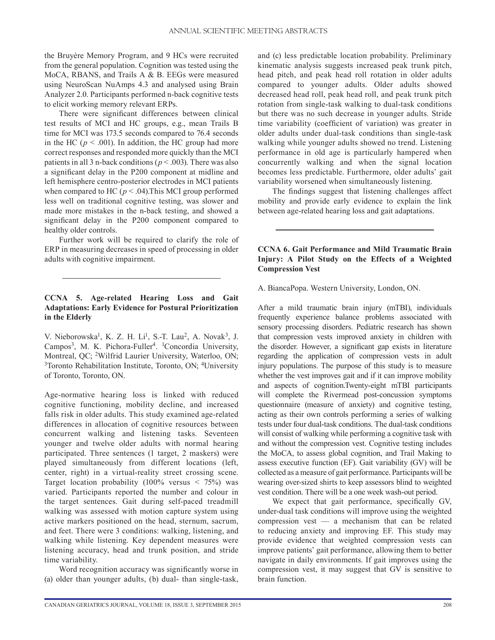the Bruyère Memory Program, and 9 HCs were recruited from the general population. Cognition was tested using the MoCA, RBANS, and Trails A & B. EEGs were measured using NeuroScan NuAmps 4.3 and analysed using Brain Analyzer 2.0. Participants performed n-back cognitive tests to elicit working memory relevant ERPs.

There were significant differences between clinical test results of MCI and HC groups, e.g., mean Trails B time for MCI was 173.5 seconds compared to 76.4 seconds in the HC ( $p < .001$ ). In addition, the HC group had more correct responses and responded more quickly than the MCI patients in all 3 n-back conditions ( $p < .003$ ). There was also a significant delay in the P200 component at midline and left hemisphere centro-posterior electrodes in MCI patients when compared to HC ( $p < .04$ ). This MCI group performed less well on traditional cognitive testing, was slower and made more mistakes in the n-back testing, and showed a significant delay in the P200 component compared to healthy older controls.

Further work will be required to clarify the role of ERP in measuring decreases in speed of processing in older adults with cognitive impairment.

# **CCNA 5. Age-related Hearing Loss and Gait Adaptations: Early Evidence for Postural Prioritization in the Elderly**

V. Nieborowska<sup>1</sup>, K. Z. H. Li<sup>1</sup>, S.-T. Lau<sup>2</sup>, A. Novak<sup>3</sup>, J. Campos<sup>3</sup>, M. K. Pichora-Fuller<sup>4</sup>. <sup>1</sup>Concordia University, Montreal, QC; 2Wilfrid Laurier University, Waterloo, ON; <sup>3</sup>Toronto Rehabilitation Institute, Toronto, ON; <sup>4</sup>University of Toronto, Toronto, ON.

Age-normative hearing loss is linked with reduced cognitive functioning, mobility decline, and increased falls risk in older adults. This study examined age-related differences in allocation of cognitive resources between concurrent walking and listening tasks. Seventeen younger and twelve older adults with normal hearing participated. Three sentences (1 target, 2 maskers) were played simultaneously from different locations (left, center, right) in a virtual-reality street crossing scene. Target location probability  $(100\% \text{ versus } < 75\%)$  was varied. Participants reported the number and colour in the target sentences. Gait during self-paced treadmill walking was assessed with motion capture system using active markers positioned on the head, sternum, sacrum, and feet. There were 3 conditions: walking, listening, and walking while listening. Key dependent measures were listening accuracy, head and trunk position, and stride time variability.

Word recognition accuracy was significantly worse in (a) older than younger adults, (b) dual- than single-task,

and (c) less predictable location probability. Preliminary kinematic analysis suggests increased peak trunk pitch, head pitch, and peak head roll rotation in older adults compared to younger adults. Older adults showed decreased head roll, peak head roll, and peak trunk pitch rotation from single-task walking to dual-task conditions but there was no such decrease in younger adults. Stride time variability (coefficient of variation) was greater in older adults under dual-task conditions than single-task walking while younger adults showed no trend. Listening performance in old age is particularly hampered when concurrently walking and when the signal location becomes less predictable. Furthermore, older adults' gait variability worsened when simultaneously listening.

The findings suggest that listening challenges affect mobility and provide early evidence to explain the link between age-related hearing loss and gait adaptations.

## **CCNA 6. Gait Performance and Mild Traumatic Brain Injury: A Pilot Study on the Effects of a Weighted Compression Vest**

A. BiancaPopa. Western University, London, ON.

After a mild traumatic brain injury (mTBI), individuals frequently experience balance problems associated with sensory processing disorders. Pediatric research has shown that compression vests improved anxiety in children with the disorder. However, a significant gap exists in literature regarding the application of compression vests in adult injury populations. The purpose of this study is to measure whether the vest improves gait and if it can improve mobility and aspects of cognition.Twenty-eight mTBI participants will complete the Rivermead post-concussion symptoms questionnaire (measure of anxiety) and cognitive testing, acting as their own controls performing a series of walking tests under four dual-task conditions. The dual-task conditions will consist of walking while performing a cognitive task with and without the compression vest. Cognitive testing includes the MoCA, to assess global cognition, and Trail Making to assess executive function (EF). Gait variability (GV) will be collected as a measure of gait performance. Participants will be wearing over-sized shirts to keep assessors blind to weighted vest condition. There will be a one week wash-out period.

We expect that gait performance, specifically GV, under-dual task conditions will improve using the weighted compression vest — a mechanism that can be related to reducing anxiety and improving EF. This study may provide evidence that weighted compression vests can improve patients' gait performance, allowing them to better navigate in daily environments. If gait improves using the compression vest, it may suggest that GV is sensitive to brain function.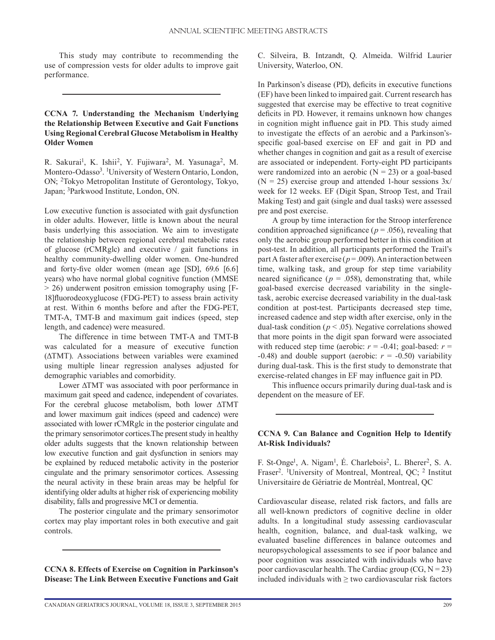This study may contribute to recommending the use of compression vests for older adults to improve gait performance.

# **CCNA 7. Understanding the Mechanism Underlying the Relationship Between Executive and Gait Functions Using Regional Cerebral Glucose Metabolism in Healthy Older Women**

R. Sakurai<sup>1</sup>, K. Ishii<sup>2</sup>, Y. Fujiwara<sup>2</sup>, M. Yasunaga<sup>2</sup>, M. Montero-Odasso<sup>3</sup>. <sup>1</sup>University of Western Ontario, London, ON; 2Tokyo Metropolitan Institute of Gerontology, Tokyo, Japan; 3Parkwood Institute, London, ON.

Low executive function is associated with gait dysfunction in older adults. However, little is known about the neural basis underlying this association. We aim to investigate the relationship between regional cerebral metabolic rates of glucose (rCMRglc) and executive / gait functions in healthy community-dwelling older women. One-hundred and forty-five older women (mean age [SD], 69.6 [6.6] years) who have normal global cognitive function (MMSE > 26) underwent positron emission tomography using [F-18]fluorodeoxyglucose (FDG-PET) to assess brain activity at rest. Within 6 months before and after the FDG-PET, TMT-A, TMT-B and maximum gait indices (speed, step length, and cadence) were measured.

The difference in time between TMT-A and TMT-B was calculated for a measure of executive function (ΔTMT). Associations between variables were examined using multiple linear regression analyses adjusted for demographic variables and comorbidity.

Lower ΔTMT was associated with poor performance in maximum gait speed and cadence, independent of covariates. For the cerebral glucose metabolism, both lower ΔTMT and lower maximum gait indices (speed and cadence) were associated with lower rCMRglc in the posterior cingulate and the primary sensorimotor cortices.The present study in healthy older adults suggests that the known relationship between low executive function and gait dysfunction in seniors may be explained by reduced metabolic activity in the posterior cingulate and the primary sensorimotor cortices. Assessing the neural activity in these brain areas may be helpful for identifying older adults at higher risk of experiencing mobility disability, falls and progressive MCI or dementia.

The posterior cingulate and the primary sensorimotor cortex may play important roles in both executive and gait controls.

**CCNA 8. Effects of Exercise on Cognition in Parkinson's Disease: The Link Between Executive Functions and Gait** C. Silveira, B. Intzandt, Q. Almeida. Wilfrid Laurier University, Waterloo, ON.

In Parkinson's disease (PD), deficits in executive functions (EF) have been linked to impaired gait. Current research has suggested that exercise may be effective to treat cognitive deficits in PD. However, it remains unknown how changes in cognition might influence gait in PD. This study aimed to investigate the effects of an aerobic and a Parkinson'sspecific goal-based exercise on EF and gait in PD and whether changes in cognition and gait as a result of exercise are associated or independent. Forty-eight PD participants were randomized into an aerobic  $(N = 23)$  or a goal-based  $(N = 25)$  exercise group and attended 1-hour sessions  $3x/$ week for 12 weeks. EF (Digit Span, Stroop Test, and Trail Making Test) and gait (single and dual tasks) were assessed pre and post exercise.

A group by time interaction for the Stroop interference condition approached significance ( $p = .056$ ), revealing that only the aerobic group performed better in this condition at post-test. In addition, all participants performed the Trail's part A faster after exercise ( $p = .009$ ). An interaction between time, walking task, and group for step time variability neared significance ( $p = .058$ ), demonstrating that, while goal-based exercise decreased variability in the singletask, aerobic exercise decreased variability in the dual-task condition at post-test. Participants decreased step time, increased cadence and step width after exercise, only in the dual-task condition ( $p < .05$ ). Negative correlations showed that more points in the digit span forward were associated with reduced step time (aerobic:  $r = -0.41$ ; goal-based:  $r =$  $-0.48$ ) and double support (aerobic:  $r = -0.50$ ) variability during dual-task. This is the first study to demonstrate that exercise-related changes in EF may influence gait in PD.

This influence occurs primarily during dual-task and is dependent on the measure of EF.

#### **CCNA 9. Can Balance and Cognition Help to Identify At-Risk Individuals?**

F. St-Onge<sup>1</sup>, A. Nigam<sup>1</sup>, É. Charlebois<sup>2</sup>, L. Bherer<sup>2</sup>, S. A. Fraser<sup>2</sup>. <sup>1</sup>University of Montreal, Montreal, QC; <sup>2</sup> Institut Universitaire de Gériatrie de Montréal, Montreal, QC

Cardiovascular disease, related risk factors, and falls are all well-known predictors of cognitive decline in older adults. In a longitudinal study assessing cardiovascular health, cognition, balance, and dual-task walking, we evaluated baseline differences in balance outcomes and neuropsychological assessments to see if poor balance and poor cognition was associated with individuals who have poor cardiovascular health. The Cardiac group  $(CG, N = 23)$ included individuals with  $\geq$  two cardiovascular risk factors